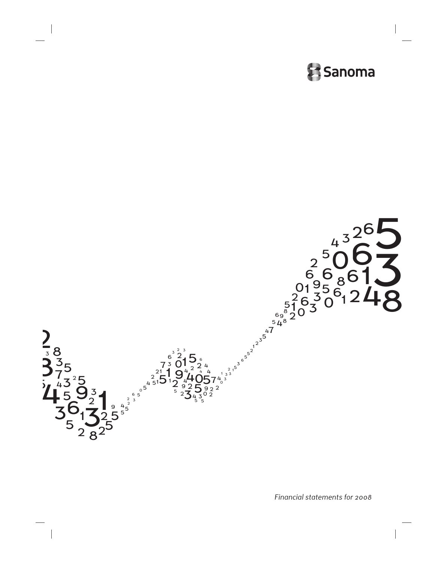



*Financial statements for 2008*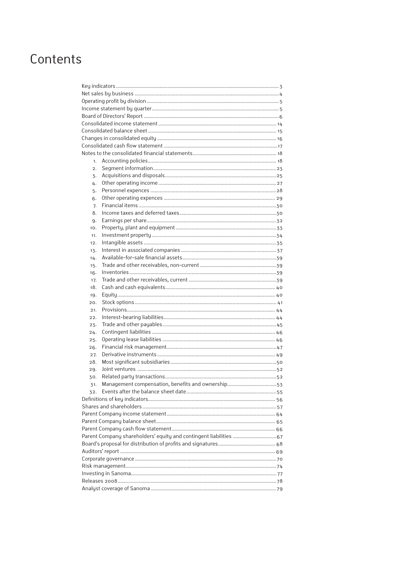## Contents

| 1.  |                                                                    |  |  |  |  |  |
|-----|--------------------------------------------------------------------|--|--|--|--|--|
| 2.  |                                                                    |  |  |  |  |  |
| 3.  |                                                                    |  |  |  |  |  |
| 4.  |                                                                    |  |  |  |  |  |
| 5.  |                                                                    |  |  |  |  |  |
| 6.  |                                                                    |  |  |  |  |  |
| 7.  |                                                                    |  |  |  |  |  |
| 8.  |                                                                    |  |  |  |  |  |
| 9.  |                                                                    |  |  |  |  |  |
| 10. |                                                                    |  |  |  |  |  |
| 11. |                                                                    |  |  |  |  |  |
|     |                                                                    |  |  |  |  |  |
| 12. |                                                                    |  |  |  |  |  |
| 13. |                                                                    |  |  |  |  |  |
| 14. |                                                                    |  |  |  |  |  |
| 15. |                                                                    |  |  |  |  |  |
| 16. |                                                                    |  |  |  |  |  |
| 17. |                                                                    |  |  |  |  |  |
| 18. |                                                                    |  |  |  |  |  |
| 19. |                                                                    |  |  |  |  |  |
| 20. |                                                                    |  |  |  |  |  |
| 21. |                                                                    |  |  |  |  |  |
| 22. |                                                                    |  |  |  |  |  |
| 23. |                                                                    |  |  |  |  |  |
| 24. |                                                                    |  |  |  |  |  |
| 25. |                                                                    |  |  |  |  |  |
| 26. |                                                                    |  |  |  |  |  |
| 27. |                                                                    |  |  |  |  |  |
| 28. |                                                                    |  |  |  |  |  |
| 29. |                                                                    |  |  |  |  |  |
| 30. |                                                                    |  |  |  |  |  |
| 31. |                                                                    |  |  |  |  |  |
| 32. |                                                                    |  |  |  |  |  |
|     |                                                                    |  |  |  |  |  |
|     |                                                                    |  |  |  |  |  |
|     |                                                                    |  |  |  |  |  |
|     |                                                                    |  |  |  |  |  |
|     |                                                                    |  |  |  |  |  |
|     | Parent Company shareholders' equity and contingent liabilities  67 |  |  |  |  |  |
|     |                                                                    |  |  |  |  |  |
|     |                                                                    |  |  |  |  |  |
|     |                                                                    |  |  |  |  |  |
|     |                                                                    |  |  |  |  |  |
|     |                                                                    |  |  |  |  |  |
|     |                                                                    |  |  |  |  |  |
|     |                                                                    |  |  |  |  |  |
|     |                                                                    |  |  |  |  |  |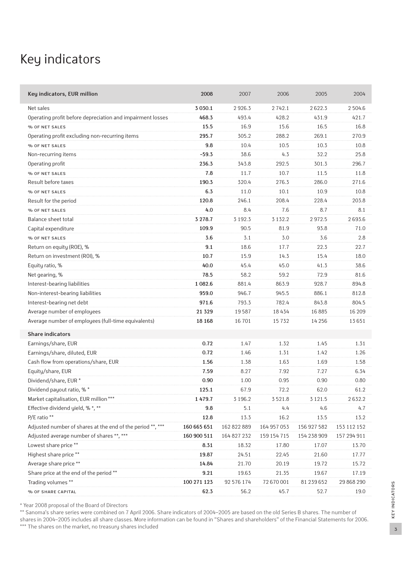## Key indicators

| Key indicators, EUR million                                | 2008        | 2007        | 2006        | 2005        | 2004        |
|------------------------------------------------------------|-------------|-------------|-------------|-------------|-------------|
| Net sales                                                  | 3 0 3 0.1   | 2926.3      | 2742.1      | 2622.3      | 2 5 0 4.6   |
| Operating profit before depreciation and impairment losses | 468.3       | 493.4       | 428.2       | 431.9       | 421.7       |
| % OF NET SALES                                             | 15.5        | 16.9        | 15.6        | 16.5        | 16.8        |
| Operating profit excluding non-recurring items             | 295.7       | 305.2       | 288.2       | 269.1       | 270.9       |
| % OF NET SALES                                             | 9.8         | 10.4        | 10.5        | 10.3        | 10.8        |
| Non-recurring items                                        | $-59.3$     | 38.6        | 4.3         | 32.2        | 25.8        |
| Operating profit                                           | 236.3       | 343.8       | 292.5       | 301.3       | 296.7       |
| % OF NET SALES                                             | 7.8         | 11.7        | 10.7        | 11.5        | 11.8        |
| Result before taxes                                        | 190.3       | 320.4       | 276.3       | 286.0       | 271.6       |
| % OF NET SALES                                             | 6.3         | 11.0        | 10.1        | 10.9        | 10.8        |
| Result for the period                                      | 120.8       | 246.1       | 208.4       | 228.4       | 203.8       |
| % OF NET SALES                                             | 4.0         | 8.4         | 7.6         | 8.7         | 8.1         |
| Balance sheet total                                        | 3 278.7     | 3 1 9 2 . 3 | 3 1 3 2 . 2 | 2972.5      | 2693.6      |
| Capital expenditure                                        | 109.9       | 90.5        | 81.9        | 93.8        | 71.0        |
| % OF NET SALES                                             | 3.6         | 3.1         | 3.0         | 3.6         | 2.8         |
| Return on equity (ROE), %                                  | 9.1         | 18.6        | 17.7        | 22.3        | 22.7        |
| Return on investment (ROI), %                              | 10.7        | 15.9        | 14.3        | 15.4        | 18.0        |
| Equity ratio, %                                            | 40.0        | 45.4        | 45.0        | 41.3        | 38.6        |
| Net gearing, %                                             | 78.5        | 58.2        | 59.2        | 72.9        | 81.6        |
| Interest-bearing liabilities                               | 1 0 8 2.6   | 881.4       | 863.9       | 928.7       | 894.8       |
| Non-interest-bearing liabilities                           | 959.0       | 946.7       | 945.5       | 886.1       | 812.8       |
| Interest-bearing net debt                                  | 971.6       | 793.3       | 782.4       | 843.8       | 804.5       |
| Average number of employees                                | 21 3 29     | 19587       | 18 4 3 4    | 16 885      | 16 209      |
| Average number of employees (full-time equivalents)        | 18 16 8     | 16 701      | 15732       | 14 2 5 6    | 13651       |
| <b>Share indicators</b>                                    |             |             |             |             |             |
| Earnings/share, EUR                                        | 0.72        | 1.47        | 1.32        | 1.45        | 1.31        |
| Earnings/share, diluted, EUR                               | 0.72        | 1.46        | 1.31        | 1.42        | 1.26        |
| Cash flow from operations/share, EUR                       | 1.56        | 1.38        | 1.63        | 1.69        | 1.58        |
| Equity/share, EUR                                          | 7.59        | 8.27        | 7.92        | 7.27        | 6.34        |
| Dividend/share, EUR *                                      | 0.90        | 1.00        | 0.95        | 0.90        | 0.80        |
| Dividend payout ratio, %*                                  | 125.1       | 67.9        | 72.2        | 62.0        | 61.2        |
| Market capitalisation, EUR million ***                     | 1479.7      | 3 1 9 6.2   | 3521.8      | 3 1 2 1 .5  | 2632.2      |
| Effective dividend yield, % *, **                          | $9.8\,$     | $5.1\,$     | 4.4         | 4.6         | 4.7         |
| P/E ratio **                                               | 12.8        | 13.3        | 16.2        | 13.5        | 13.2        |
| Adjusted number of shares at the end of the period **, *** | 160 665 651 | 162 822 889 | 164 957 053 | 156 927 582 | 153 112 152 |
| Adjusted average number of shares **, ***                  | 160 900 511 | 164 827 232 | 159 154 715 | 154 238 909 | 157 294 911 |
| Lowest share price **                                      | 8.31        | 18.32       | 17.80       | 17.07       | 13.70       |
| Highest share price **                                     | 19.87       | 24.51       | 22.45       | 21.60       | 17.77       |
| Average share price **                                     | 14.84       | 21.70       | 20.19       | 19.72       | 15.72       |
| Share price at the end of the period **                    | 9.21        | 19.63       | 21.35       | 19.67       | 17.19       |
| Trading volumes **                                         | 100 271 123 | 92 576 174  | 72 670 001  | 81 239 652  | 29 868 290  |
| % OF SHARE CAPITAL                                         | 62.3        | 56.2        | 45.7        | 52.7        | 19.0        |

\* Year 2008 proposal of the Board of Directors

\*\* Sanoma's share series were combined on 7 April 2006. Share indicators of 2004–2005 are based on the old Series B shares. The number of shares in 2004–2005 includes all share classes. More information can be found in "Shares and shareholders" of the Financial Statements for 2006. \*\*\* The shares on the market, no treasury shares included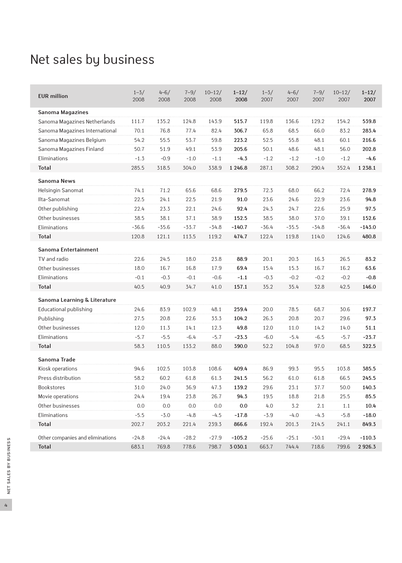## Net sales by business

| <b>EUR million</b>               | $1 - 3/$<br>2008 | $4 - 6/$<br>2008 | $7 - 9/$<br>2008 | $10 - 12/$<br>2008 | $1 - 12/$<br>2008 | $1 - 3/$<br>2007 | $4 - 6/$<br>2007 | $7 - 9/$<br>2007 | $10 - 12/$<br>2007 | $1 - 12/$<br>2007 |
|----------------------------------|------------------|------------------|------------------|--------------------|-------------------|------------------|------------------|------------------|--------------------|-------------------|
| <b>Sanoma Magazines</b>          |                  |                  |                  |                    |                   |                  |                  |                  |                    |                   |
| Sanoma Magazines Netherlands     | 111.7            | 135.2            | 124.8            | 143.9              | 515.7             | 119.8            | 136.6            | 129.2            | 154.2              | 539.8             |
| Sanoma Magazines International   | 70.1             | 76.8             | 77.4             | 82.4               | 306.7             | 65.8             | 68.5             | 66.0             | 83.2               | 283.4             |
| Sanoma Magazines Belgium         | 54.2             | 55.5             | 53.7             | 59.8               | 223.2             | 52.5             | 55.8             | 48.1             | 60.1               | 216.6             |
| Sanoma Magazines Finland         | 50.7             | 51.9             | 49.1             | 53.9               | 205.6             | 50.1             | 48.6             | 48.1             | 56.0               | 202.8             |
| Eliminations                     | $-1.3$           | $-0.9$           | $-1.0$           | $-1.1$             | $-4.3$            | $-1.2$           | $-1.2$           | $-1.0$           | $-1.2$             | $-4.6$            |
| <b>Total</b>                     | 285.5            | 318.5            | 304.0            | 338.9              | 1 246.8           | 287.1            | 308.2            | 290.4            | 352.4              | 1 2 3 8 . 1       |
| <b>Sanoma News</b>               |                  |                  |                  |                    |                   |                  |                  |                  |                    |                   |
| Helsingin Sanomat                | 74.1             | 71.2             | 65.6             | 68.6               | 279.5             | 72.3             | 68.0             | 66.2             | 72.4               | 278.9             |
| Ilta-Sanomat                     | 22.5             | 24.1             | 22.5             | 21.9               | 91.0              | 23.6             | 24.6             | 22.9             | 23.6               | 94.8              |
| Other publishing                 | 22.4             | 23.3             | 22.1             | 24.6               | 92.4              | 24.3             | 24.7             | 22.6             | 25.9               | 97.5              |
| Other businesses                 | 38.5             | 38.1             | 37.1             | 38.9               | 152.5             | 38.5             | 38.0             | 37.0             | 39.1               | 152.6             |
| Eliminations                     | $-36.6$          | $-35.6$          | $-33.7$          | $-34.8$            | $-140.7$          | $-36.4$          | $-35.5$          | $-34.8$          | $-36.4$            | $-143.0$          |
| Total                            | 120.8            | 121.1            | 113.5            | 119.2              | 474.7             | 122.4            | 119.8            | 114.0            | 124.6              | 480.8             |
| Sanoma Entertainment             |                  |                  |                  |                    |                   |                  |                  |                  |                    |                   |
| TV and radio                     | 22.6             | 24.5             | 18.0             | 23.8               | 88.9              | 20.1             | 20.3             | 16.3             | 26.5               | 83.2              |
| Other businesses                 | 18.0             | 16.7             | 16.8             | 17.9               | 69.4              | 15.4             | 15.3             | 16.7             | 16.2               | 63.6              |
| Eliminations                     | $-0.1$           | $-0.3$           | $-0.1$           | $-0.6$             | $-1.1$            | $-0.3$           | $-0.2$           | $-0.2$           | $-0.2$             | $-0.8$            |
| Total                            | 40.5             | 40.9             | 34.7             | 41.0               | 157.1             | 35.2             | 35.4             | 32.8             | 42.5               | 146.0             |
| Sanoma Learning & Literature     |                  |                  |                  |                    |                   |                  |                  |                  |                    |                   |
| Educational publishing           | 24.6             | 83.9             | 102.9            | 48.1               | 259.4             | 20.0             | 78.5             | 68.7             | 30.6               | 197.7             |
| Publishing                       | 27.5             | 20.8             | 22.6             | 33.3               | 104.2             | 26.3             | 20.8             | 20.7             | 29.6               | 97.3              |
| Other businesses                 | 12.0             | 11.3             | 14.1             | 12.3               | 49.8              | 12.0             | 11.0             | 14.2             | 14.0               | 51.1              |
| Eliminations                     | $-5.7$           | $-5.5$           | $-6.4$           | $-5.7$             | $-23.3$           | $-6.0$           | $-5.4$           | $-6.5$           | $-5.7$             | $-23.7$           |
| <b>Total</b>                     | 58.3             | 110.5            | 133.2            | 88.0               | 390.0             | 52.2             | 104.8            | 97.0             | 68.5               | 322.5             |
| Sanoma Trade                     |                  |                  |                  |                    |                   |                  |                  |                  |                    |                   |
| Kiosk operations                 | 94.6             | 102.5            | 103.8            | 108.6              | 409.4             | 86.9             | 99.3             | 95.5             | 103.8              | 385.5             |
| Press distribution               | 58.2             | 60.2             | 61.8             | 61.3               | 241.5             | 56.2             | 61.0             | 61.8             | 66.5               | 245.5             |
| <b>Bookstores</b>                | 31.0             | 24.0             | 36.9             | 47.3               | 139.2             | 29.6             | 23.1             | 37.7             | 50.0               | 140.3             |
| Movie operations                 | 24.4             | 19.4             | 23.8             | 26.7               | 94.3              | 19.5             | 18.8             | 21.8             | 25.5               | 85.5              |
| Other businesses                 | 0.0              | 0.0              | 0.0              | 0.0                | 0.0               | 4.0              | 3.2              | 2.1              | 1.1                | 10.4              |
| Eliminations                     | $-5.5$           | $-3.0$           | $-4.8$           | $-4.5$             | $-17.8$           | $-3.9$           | $-4.0$           | $-4.3$           | $-5.8$             | $-18.0$           |
| Total                            | 202.7            | 203.2            | 221.4            | 239.3              | 866.6             | 192.4            | 201.3            | 214.5            | 241.1              | 849.3             |
| Other companies and eliminations | $-24.8$          | $-24.4$          | $-28.2$          | $-27.9$            | $-105.2$          | $-25.6$          | $-25.1$          | $-30.1$          | $-29.4$            | $-110.3$          |
| Total                            | 683.1            | 769.8            | 778.6            | 798.7              | 3 0 3 0.1         | 663.7            | 744.4            | 718.6            | 799.6              | 2926.3            |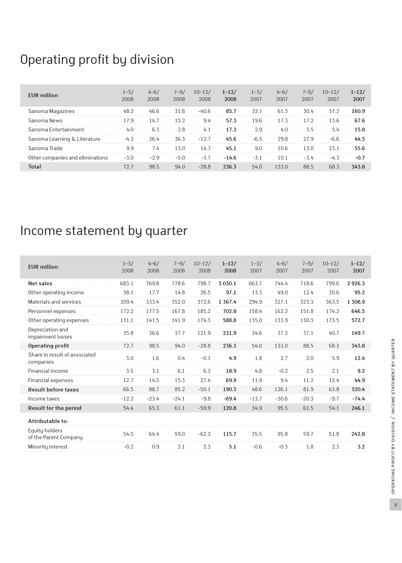## Operating profit by division

| <b>EUR</b> million               | $1 - 3/$<br>2008 | $4 - 6/$<br>2008 | $7 - 9/$<br>2008 | $10 - 12/$<br>2008 | $1 - 12/$<br>2008 | $1 - 3/$<br>2007 | $4 - 6/$<br>2007 | $7 - 9/$<br>2007 | $10 - 12/$<br>2007 | $1 - 12/$<br>2007 |
|----------------------------------|------------------|------------------|------------------|--------------------|-------------------|------------------|------------------|------------------|--------------------|-------------------|
| Sanoma Magazines                 | 48.2             | 46.6             | 31.6             | $-40.6$            | 85.7              | 32.1             | 61.3             | 30.4             | 37.2               | 160.9             |
| Sanoma News                      | 17.9             | 14.7             | 15.2             | 9.4                | 57.3              | 19.6             | 17.3             | 17.2             | 13.6               | 67.6              |
| Sanoma Entertainment             | 4.0              | 6.3              | 2.8              | 4.1                | 17.3              | 2.9              | 4.0              | 3.5              | 5.4                | 15.8              |
| Sanoma Learning & Literature     | $-4.3$           | 26.4             | 36.3             | $-12.7$            | 45.6              | $-6.5$           | 29.8             | 27.9             | $-6.6$             | 44.5              |
| Sanoma Trade                     | 9.9              | 7.4              | 13.0             | 14.7               | 45.1              | 9.0              | 10.6             | 13.0             | 23.1               | 55.6              |
| Other companies and eliminations | $-3.0$           | $-2.9$           | $-5.0$           | $-3.7$             | $-14.6$           | $-3.1$           | 10.1             | $-3.4$           | $-4.3$             | $-0.7$            |
| Total                            | 72.7             | 98.5             | 94.0             | $-28.8$            | 236.3             | 54.0             | 133.0            | 88.5             | 68.3               | 343.8             |

## Income statement by quarter

| <b>EUR million</b>                         | $1 - 3/$<br>2008 | $4 - 6/$<br>2008 | $7 - 9/$<br>2008 | $10 - 12/$<br>2008 | $1 - 12/$<br>2008 | $1 - 3/$<br>2007 | $4 - 6/$<br>2007 | $7 - 9/$<br>2007 | $10 - 12/$<br>2007 | $1 - 12/$<br>2007 |
|--------------------------------------------|------------------|------------------|------------------|--------------------|-------------------|------------------|------------------|------------------|--------------------|-------------------|
| <b>Net sales</b>                           | 683.1            | 769.8            | 778.6            | 798.7              | 3 0 3 0.1         | 663.7            | 744.4            | 718.6            | 799.6              | 2926.3            |
| Other operating income                     | 38.1             | 17.7             | 14.8             | 26.5               | 97.1              | 13.3             | 49.0             | 12.4             | 20.6               | 95.2              |
| Materials and services                     | 309.4            | 333.4            | 352.0            | 372.6              | 1 3 6 7 . 4       | 294.9            | 327.1            | 323.3            | 363.5              | 1 308.9           |
| Personnel expenses                         | 172.2            | 177.5            | 167.8            | 185.2              | 702.8             | 158.4            | 162.2            | 151.8            | 174.2              | 646.5             |
| Other operating expenses                   | 131.1            | 141.5            | 141.9            | 174.3              | 588.8             | 135.0            | 133.9            | 130.3            | 173.5              | 572.7             |
| Depreciation and<br>impairment losses      | 35.8             | 36.6             | 37.7             | 121.9              | 231.9             | 34.6             | 37.3             | 37.1             | 40.7               | 149.7             |
| Operating profit                           | 72.7             | 98.5             | 94.0             | $-28.8$            | 236.3             | 54.0             | 133.0            | 88.5             | 68.3               | 343.8             |
| Share in result of associated<br>companies | 3.0              | 1.6              | 0.4              | $-0.1$             | 4.9               | 1.8              | 2.7              | 2.0              | 5.9                | 12.4              |
| Financial income                           | 3.5              | 3.1              | 6.1              | 6.2                | 18.9              | 4.8              | $-0.2$           | 2.5              | 2.1                | 9.2               |
| Financial expenses                         | 12.7             | 14.5             | 15.3             | 27.4               | 69.9              | 11.9             | 9.4              | 11.2             | 12.4               | 44.9              |
| <b>Result before taxes</b>                 | 66.5             | 88.7             | 85.2             | $-50.1$            | 190.3             | 48.6             | 126.1            | 81.9             | 63.8               | 320.4             |
| Income taxes                               | $-12.2$          | $-23.4$          | $-24.1$          | $-9.8$             | $-69.4$           | $-13.7$          | $-30.6$          | $-20.3$          | $-9.7$             | $-74.4$           |
| Result for the period                      | 54.4             | 65.3             | 61.1             | $-59.9$            | 120.8             | 34.9             | 95.5             | 61.5             | 54.1               | 246.1             |
| Attributable to:                           |                  |                  |                  |                    |                   |                  |                  |                  |                    |                   |
| Equity holders<br>of the Parent Company    | 54.5             | 64.4             | 59.0             | $-62.2$            | 115.7             | 35.5             | 95.8             | 59.7             | 51.8               | 242.8             |
| Minority interest                          | $-0.2$           | 0.9              | 2.1              | 2.3                | 5.1               | $-0.6$           | $-0.3$           | 1.8              | 2.3                | 3.2               |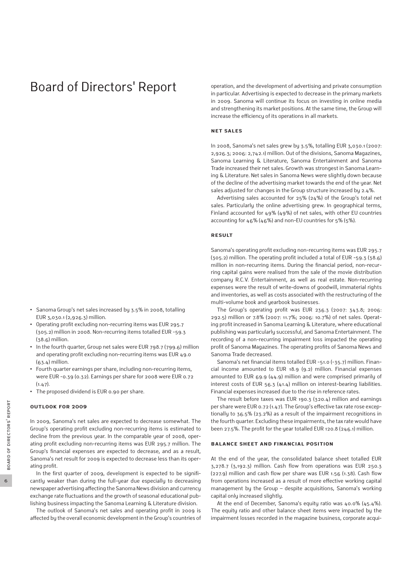## Board of Directors' Report

- **•** Sanoma Group's net sales increased by 3.5% in 2008, totalling EUR 3,030.1 (2,926.3) million.
- **•** Operating profit excluding non-recurring items was EUR 295.7 (305.2) million in 2008. Non-recurring items totalled EUR -59.3  $(38.6)$  million.
- **•** In the fourth quarter, Group net sales were EUR 798.7 (799.6) million and operating profit excluding non-recurring items was EUR 49.0  $(63.4)$  million.
- **•** Fourth quarter earnings per share, including non-recurring items, were EUR -0.39 (0.32). Earnings per share for 2008 were EUR 0.72  $(1.47)$ .
- **•** The proposed dividend is EUR 0.90 per share.

#### **Outlook for 2009**

In 2009, Sanoma's net sales are expected to decrease somewhat. The Group's operating profit excluding non-recurring items is estimated to decline from the previous year. In the comparable year of 2008, operating profit excluding non-recurring items was EUR 295.7 million. The Group's financial expenses are expected to decrease, and as a result, Sanoma's net result for 2009 is expected to decrease less than its operating profit.

In the first quarter of 2009, development is expected to be significantly weaker than during the full-year due especially to decreasing newspaper advertising affecting the Sanoma News division and currency exchange rate fluctuations and the growth of seasonal educational publishing business impacting the Sanoma Learning & Literature division.

The outlook of Sanoma's net sales and operating profit in 2009 is affected by the overall economic development in the Group's countries of operation, and the development of advertising and private consumption in particular. Advertising is expected to decrease in the primary markets in 2009. Sanoma will continue its focus on investing in online media and strengthening its market positions. At the same time, the Group will increase the efficiency of its operations in all markets.

#### **Net sales**

In 2008, Sanoma's net sales grew by 3.5%, totalling EUR 3,030.1 (2007: 2,926.3; 2006: 2,742.1) million. Out of the divisions, Sanoma Magazines, Sanoma Learning & Literature, Sanoma Entertainment and Sanoma Trade increased their net sales. Growth was strongest in Sanoma Learning & Literature. Net sales in Sanoma News were slightly down because of the decline of the advertising market towards the end of the year. Net sales adjusted for changes in the Group structure increased by 2.4%.

Advertising sales accounted for 25% (24%) of the Group's total net sales. Particularly the online advertising grew. In geographical terms, Finland accounted for 49% (49%) of net sales, with other EU countries accounting for 46% (46%) and non-EU countries for 5% (5%).

#### **Result**

Sanoma's operating profit excluding non-recurring items was EUR 295.7 (305.2) million. The operating profit included a total of EUR -59.3 (38.6) million in non-recurring items. During the financial period, non-recurring capital gains were realised from the sale of the movie distribution company R.C.V. Entertainment, as well as real estate. Non-recurring expenses were the result of write-downs of goodwill, immaterial rights and inventories, as well as costs associated with the restructuring of the multi-volume book and yearbook businesses.

The Group's operating profit was EUR 236.3 (2007: 343.8; 2006: 292.5) million or 7.8% (2007: 11.7%; 2006: 10.7%) of net sales. Operating profit increased in Sanoma Learning & Literature, where educational publishing was particularly successful, and Sanoma Entertainment. The recording of a non-recurring impairment loss impacted the operating profit of Sanoma Magazines. The operating profits of Sanoma News and Sanoma Trade decreased.

Sanoma's net financial items totalled EUR -51.0 (-35.7) million. Financial income amounted to EUR 18.9 (9.2) million. Financial expenses amounted to EUR 69.9 (44.9) million and were comprised primarily of interest costs of EUR 56.3 (41.4) million on interest-bearing liabilities. Financial expenses increased due to the rise in reference rates.

The result before taxes was EUR 190.3 (320.4) million and earnings per share were EUR 0.72 (1.47). The Group's effective tax rate rose exceptionally to 36.5% (23.2%) as a result of the impairment recognitions in the fourth quarter. Excluding these impairments, the tax rate would have been 27.5%. The profit for the year totalled EUR 120.8 (246.1) million.

#### **Balance sheet and financial position**

At the end of the year, the consolidated balance sheet totalled EUR 3,278.7 (3,192.3) million. Cash flow from operations was EUR 250.3 (227.9) million and cash flow per share was EUR 1.56 (1.38). Cash flow from operations increased as a result of more effective working capital management by the Group – despite acquisitions, Sanoma's working capital only increased slightly.

At the end of December, Sanoma's equity ratio was 40.0% (45.4%). The equity ratio and other balance sheet items were impacted by the impairment losses recorded in the magazine business, corporate acqui-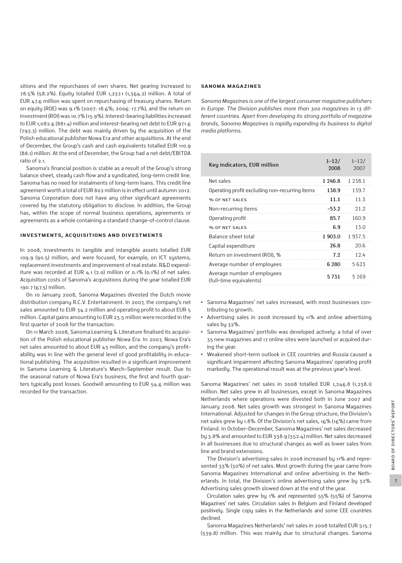sitions and the repurchases of own shares. Net gearing increased to 78.5% (58.2%). Equity totalled EUR 1,237.1 (1,364.2) million. A total of EUR 47.6 million was spent on repurchasing of treasury shares. Return on equity (ROE) was 9.1% (2007: 18.6%; 2006: 17.7%), and the return on investment (ROI) was 10.7% (15.9%). Interest-bearing liabilities increased to EUR 1,082.6 (881.4) million and interest-bearing net debt to EUR 971.6 (793.3) million. The debt was mainly driven by the acquisition of the Polish educational publisher Nowa Era and other acquisitions. At the end of December, the Group's cash and cash equivalents totalled EUR 110.9 (88.1) million. At the end of December, the Group had a net debt/EBITDA ratio of 2.1.

Sanoma's financial position is stable as a result of the Group's strong balance sheet, steady cash flow and a syndicated, long-term credit line. Sanoma has no need for instalments of long-term loans. This credit line agreement worth a total of EUR 802 million is in effect until autumn 2012. Sanoma Corporation does not have any other significant agreements covered by the statutory obligation to disclose. In addition, the Group has, within the scope of normal business operations, agreements or agreements as a whole containing a standard change-of-control clause.

#### **Investments, acquisitions and divestments**

In 2008, investments in tangible and intangible assets totalled EUR 109.9 (90.5) million, and were focused, for example, on ICT systems, replacement investments and improvement of real estate. R&D expenditure was recorded at EUR 4.1 (2.0) million or 0.1% (0.1%) of net sales. Acquisition costs of Sanoma's acquisitions during the year totalled EUR 190.7 (67.5) million.

On 10 January 2008, Sanoma Magazines divested the Dutch movie distribution company R.C.V. Entertainment. In 2007, the company's net sales amounted to EUR 34.2 million and operating profit to about EUR 5 million. Capital gains amounting to EUR 23.5 million were recorded in the first quarter of 2008 for the transaction.

On 11 March 2008, Sanoma Learning & Literature finalised its acquisition of the Polish educational publisher Nowa Era. In 2007, Nowa Era's net sales amounted to about EUR 43 million, and the company's profitability was in line with the general level of good profitability in educational publishing. The acquisition resulted in a significant improvement in Sanoma Learning & Literature's March–September result. Due to the seasonal nature of Nowa Era's business, the first and fourth quarters typically post losses. Goodwill amounting to EUR 54.6 million was recorded for the transaction.

#### **SANOMA MAGAZINES**

*Sanoma Magazines is one of the largest consumer magazine publishers in Europe. The Division publishes more than 300 magazines in 13 different countries. Apart from developing its strong portfolio of magazine brands, Sanoma Magazines is rapidly expanding its business to digital media platforms.*

| Key indicators, EUR million                            | $1 - 12/$<br>2008 | $1 - 12/$<br>2007 |
|--------------------------------------------------------|-------------------|-------------------|
| Net sales                                              | 1 246.8           | 1 2 3 8 . 1       |
| Operating profit excluding non-recurring items         | 138.9             | 139.7             |
| % OF NET SALES                                         | 11.1              | 11.3              |
| Non-recurring items                                    | $-53.2$           | 21.2              |
| Operating profit                                       | 85.7              | 160.9             |
| % OF NET SALES                                         | 6.9               | 13.0              |
| Balance sheet total                                    | 1903.0            | 1937.5            |
| Capital expenditure                                    | 26.8              | 20.6              |
| Return on investment (ROI), %                          | 7.2               | 12.4              |
| Average number of employees                            | 6 280             | 5623              |
| Average number of employees<br>(full-time equivalents) | 5731              | 5169              |

- **•** Sanoma Magazines' net sales increased, with most businesses contributing to growth.
- **•** Advertising sales in 2008 increased by 11% and online advertising sales bu 32%.
- **•** Sanoma Magazines' portfolio was developed actively: a total of over 35 new magazines and 17 online sites were launched or acquired during the year.
- **•** Weakened short-term outlook in CEE countries and Russia caused a significant impairment affecting Sanoma Magazines' operating profit markedly. The operational result was at the previous year's level.

Sanoma Magazines' net sales in 2008 totalled EUR 1,246.8 (1,238.1) million. Net sales grew in all businesses, except in Sanoma Magazines Netherlands where operations were divested both in June 2007 and January 2008. Net sales growth was strongest in Sanoma Magazines International. Adjusted for changes in the Group structure, the Division's net sales grew by 1.8%. Of the Division's net sales, 16% (16%) came from Finland. In October–December, Sanoma Magazines' net sales decreased by 3.8% and amounted to EUR 338.9 (352.4) million. Net sales decreased in all businesses due to structural changes as well as lower sales from line and brand extensions.

The Division's advertising sales in 2008 increased by 11% and represented 33% (30%) of net sales. Most growth during the year came from Sanoma Magazines International and online advertising in the Netherlands. In total, the Division's online advertising sales grew by 32%. Advertising sales growth slowed down at the end of the year.

Circulation sales grew by 1% and represented 55% (55%) of Sanoma Magazines' net sales. Circulation sales in Belgium and Finland developed positively. Single copy sales in the Netherlands and some CEE countries declined.

Sanoma Magazines Netherlands' net sales in 2008 totalled EUR 515.7 (539.8) million. This was mainly due to structural changes. Sanoma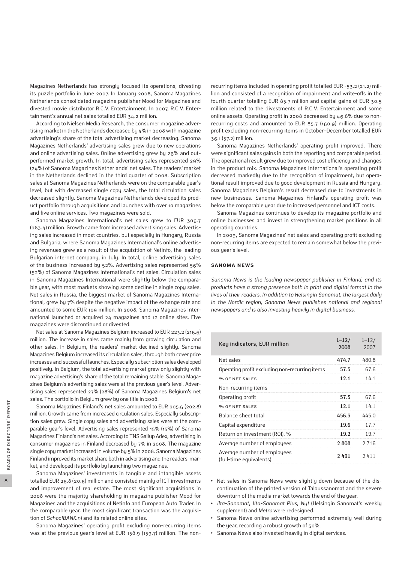Magazines Netherlands has strongly focused its operations, divesting its puzzle portfolio in June 2007. In January 2008, Sanoma Magazines Netherlands consolidated magazine publisher Mood for Magazines and divested movie distributor R.C.V. Entertainment. In 2007, R.C.V. Entertainment's annual net sales totalled EUR 34.2 million.

According to Nielsen Media Research, the consumer magazine advertising market in the Netherlands decreased by 4% in 2008 with magazine advertising's share of the total advertising market decreasing. Sanoma Magazines Netherlands' advertising sales grew due to new operations and online advertising sales. Online advertising grew by 26% and outperformed market growth. In total, advertising sales represented 29% (24%) of Sanoma Magazines Netherlands' net sales. The readers' market in the Netherlands declined in the third quarter of 2008. Subscription sales at Sanoma Magazines Netherlands were on the comparable year's level, but with decreased single copy sales, the total circulation sales decreased slightly. Sanoma Magazines Netherlands developed its product portfolio through acquisitions and launches with over 10 magazines and five online services. Two magazines were sold.

Sanoma Magazines International's net sales grew to EUR 306.7 (283.4) million. Growth came from increased advertising sales. Advertising sales increased in most countries, but especially in Hungary, Russia and Bulgaria, where Sanoma Magazines International's online advertising revenues grew as a result of the acquisition of Netinfo, the leading Bulgarian internet company, in July. In total, online advertising sales of the business increased by 52%. Advertising sales represented 56% (52%) of Sanoma Magazines International's net sales. Circulation sales in Sanoma Magazines International were slightly below the comparable year, with most markets showing some decline in single copy sales. Net sales in Russia, the biggest market of Sanoma Magazines International, grew by 7% despite the negative impact of the exhange rate and amounted to some EUR 109 million. In 2008, Sanoma Magazines International launched or acquired 24 magazines and 12 online sites. Five magazines were discontinued or divested.

Net sales at Sanoma Magazines Belgium increased to EUR 223.2 (216.6) million. The increase in sales came mainly from growing circulation and other sales. In Belgium, the readers' market declined slightly. Sanoma Magazines Belgium increased its circulation sales, through both cover price increases and successful launches. Especially subscription sales developed positively. In Belgium, the total advertising market grew only slightly with magazine advertising's share of the total remaining stable. Sanoma Magazines Belgium's advertising sales were at the previous year's level. Advertising sales represented 27% (28%) of Sanoma Magazines Belgium's net sales. The portfolio in Belgium grew by one title in 2008.

Sanoma Magazines Finland's net sales amounted to EUR 205.6 (202.8) million. Growth came from increased circulation sales. Especially subscription sales grew. Single copy sales and advertising sales were at the comparable year's level. Advertising sales represented 15% (15%) of Sanoma Magazines Finland's net sales. According to TNS Gallup Adex, advertising in consumer magazines in Finland decreased by 7% in 2008. The magazine single copy market increased in volume by 5% in 2008. Sanoma Magazines Finland improved its market share both in advertising and the readers' market, and developed its portfolio by launching two magazines.

Sanoma Magazines' investments in tangible and intangible assets totalled EUR 26.8 (20.6) million and consisted mainly of ICT investments and improvement of real estate. The most significant acquisitions in 2008 were the majority shareholding in magazine publisher Mood for Magazines and the acquisitions of Netinfo and European Auto Trader. In the comparable year, the most significant transaction was the acquisition of *SchoolBANK.nl* and its related online sites.

Sanoma Magazines' operating profit excluding non-recurring items was at the previous year's level at EUR 138.9 (139.7) million. The nonrecurring items included in operating profit totalled EUR -53.2 (21.2) million and consisted of a recognition of impairment and write-offs in the fourth quarter totalling EUR 83.7 million and capital gains of EUR 30.5 million related to the divestments of R.C.V. Entertainment and some online assets. Operating profit in 2008 decreased by 46.8% due to nonrecurring costs and amounted to EUR 85.7 (160.9) million. Operating profit excluding non-recurring items in October–December totalled EUR 36.1 (37.2) million.

Sanoma Magazines Netherlands' operating profit improved. There were significant sales gains in both the reporting and comparable period. The operational result grew due to improved cost efficiency and changes in the product mix. Sanoma Magazines International's operating profit decreased markedly due to the recognition of impairment, but operational result improved due to good development in Russia and Hungary. Sanoma Magazines Belgium's result decreased due to investments in new businesses. Sanoma Magazines Finland's operating profit was below the comparable year due to increased personnel and ICT costs.

Sanoma Magazines continues to develop its magazine portfolio and online businesses and invest in strengthening market positions in all operating countries.

In 2009, Sanoma Magazines' net sales and operating profit excluding non-recurring items are expected to remain somewhat below the previous year's level.

#### **SANOMA NEWS**

*Sanoma News is the leading newspaper publisher in Finland, and its products have a strong presence both in print and digital format in the lives of their readers. In addition to Helsingin Sanomat, the largest daily in the Nordic region, Sanoma News publishes national and regional newspapers and is also investing heavily in digital business.*

| Key indicators, EUR million                            | $1 - 12/$<br>2008 | $1 - 12/$<br>2007 |
|--------------------------------------------------------|-------------------|-------------------|
| Net sales                                              | 474.7             | 480.8             |
| Operating profit excluding non-recurring items         | 57.3              | 67.6              |
| % OF NET SALES                                         | 12.1              | 14.1              |
| Non-recurring items                                    |                   |                   |
| Operating profit                                       | 57.3              | 67.6              |
| % OF NET SALES                                         | 12.1              | 14.1              |
| Balance sheet total                                    | 456.3             | 445.0             |
| Capital expenditure                                    | 19.6              | 17.7              |
| Return on investment (ROI), %                          | 19.2              | 19.7              |
| Average number of employees                            | 2808              | 2716              |
| Average number of employees<br>(full-time equivalents) | 2491              | 2411              |

- **•** Net sales in Sanoma News were slightly down because of the discontinuation of the printed version of Taloussanomat and the severe downturn of the media market towards the end of the year.
- **•** *Ilta-Sanomat*, *Ilta-Sanomat Plus*, *Nyt* (Helsingin Sanomat's weekly supplement) and *Metro* were redesigned.
- **•** Sanoma News online advertising performed extremely well during the year, recording a robust growth of 50%.
- **•** Sanoma News also invested heavily in digital services.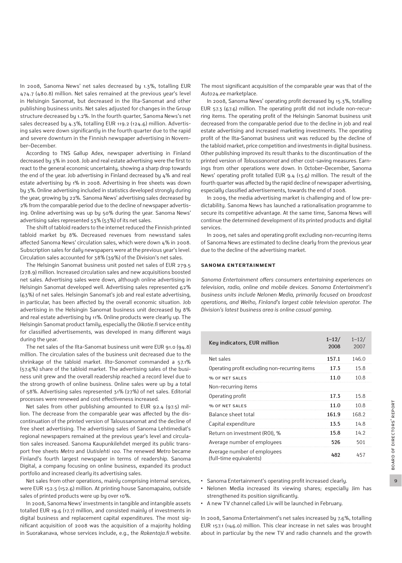In 2008, Sanoma News' net sales decreased by 1.3%, totalling EUR 474.7 (480.8) million. Net sales remained at the previous year's level in Helsingin Sanomat, but decreased in the Ilta-Sanomat and other publishing business units. Net sales adjusted for changes in the Group structure decreased by 1.2%. In the fourth quarter, Sanoma News's net sales decreased by 4.3%, totalling EUR 119.2 (124.6) million. Advertising sales were down significantly in the fourth quarter due to the rapid and severe downturn in the Finnish newspaper advertising in November–December.

According to TNS Gallup Adex, newspaper advertising in Finland decreased by 3% in 2008. Job and real estate advertising were the first to react to the general economic uncertainty, showing a sharp drop towards the end of the year. Job advertising in Finland decreased by 4% and real estate advertising by 1% in 2008. Advertising in free sheets was down by 3%. Online advertising included in statistics developed strongly during the year, growing by 22%. Sanoma News' advertising sales decreased by 2% from the comparable period due to the decline of newspaper advertising. Online advertising was up by 50% during the year. Sanoma News' advertising sales represented 53% (53%) of its net sales.

The shift of tabloid readers to the internet reduced the Finnish printed tabloid market by 8%. Decreased revenues from newsstand sales affected Sanoma News' circulation sales, which were down 4% in 2008. Subscription sales for daily newspapers were at the previous year's level. Circulation sales accounted for 38% (39%) of the Division's net sales.

The Helsingin Sanomat business unit posted net sales of EUR 279.5 (278.9) million. Increased circulation sales and new acquisitions boosted net sales. Advertising sales were down, although online advertising in Helsingin Sanomat developed well. Advertising sales represented 62% (63%) of net sales. Helsingin Sanomat's job and real estate advertising, in particular, has been affected by the overall economic situation. Job advertising in the Helsingin Sanomat business unit decreased by 8% and real estate advertising by 11%. Online products were clearly up. The Helsingin Sanomat product family, especially the *Oikotie.fi* service entity for classified advertisements, was developed in many different ways during the year.

The net sales of the Ilta-Sanomat business unit were EUR 91.0 (94.8) million. The circulation sales of the business unit decreased due to the shrinkage of the tabloid market. *Ilta-Sanomat* commanded a 57.1% (57.6%) share of the tabloid market. The advertising sales of the business unit grew and the overall readership reached a record level due to the strong growth of online business. Online sales were up by a total of 58%. Advertising sales represented 31% (27%) of net sales. Editorial processes were renewed and cost effectiveness increased.

Net sales from other publishing amounted to EUR 92.4 (97.5) million. The decrease from the comparable year was affected by the discontinuation of the printed version of Taloussanomat and the decline of free sheet advertising. The advertising sales of Sanoma Lehtimediat's regional newspapers remained at the previous year's level and circulation sales increased. Sanoma Kaupunkilehdet merged its public transport free sheets *Metro* and *Uutislehti 100*. The renewed *Metro* became Finland's fourth largest newspaper in terms of readership. Sanoma Digital, a company focusing on online business, expanded its product portfolio and increased clearly its advertising sales.

Net sales from other operations, mainly comprising internal services, were EUR 152.5 (152.6) million. At printing house Sanomapaino, outside sales of printed products were up by over 10%.

In 2008, Sanoma News' investments in tangible and intangible assets totalled EUR 19.6 (17.7) million, and consisted mainly of investments in digital business and replacement capital expenditures. The most significant acquisition of 2008 was the acquisition of a majority holding in Suorakanava, whose services include, e.g., the *Rakentaja.fi* website. The most significant acquisition of the comparable year was that of the *Auto24.ee* marketplace.

In 2008, Sanoma News' operating profit decreased by 15.3%, totalling EUR 57.3 (67.6) million. The operating profit did not include non-recurring items. The operating profit of the Helsingin Sanomat business unit decreased from the comparable period due to the decline in job and real estate advertising and increased marketing investments. The operating profit of the Ilta-Sanomat business unit was reduced by the decline of the tabloid market, price competition and investments in digital business. Other publishing improved its result thanks to the discontinuation of the printed version of *Taloussanomat* and other cost-saving measures. Earnings from other operations were down. In October–December, Sanoma News' operating profit totalled EUR 9.4 (13.6) million. The result of the fourth quarter was affected by the rapid decline of newspaper advertising, especially classified advertisements, towards the end of 2008.

In 2009, the media advertising market is challenging and of low predictability. Sanoma News has launched a rationalisation programme to secure its competitive advantage. At the same time, Sanoma News will continue the determined development of its printed products and digital services.

In 2009, net sales and operating profit excluding non-recurring items of Sanoma News are estimated to decline clearly from the previous year due to the decline of the advertising market.

#### **SANOMA ENTERTAINMENT**

*Sanoma Entertainment offers consumers entertaining experiences on television, radio, online and mobile devices. Sanoma Entertainment's business units include Nelonen Media, primarily focused on broadcast operations, and Welho, Finland's largest cable television operator. The Division's latest business area is online casual gaming.*

| Key indicators, EUR million                            | $1 - 12/$<br>2008 | $1 - 12/$<br>2007 |
|--------------------------------------------------------|-------------------|-------------------|
| Net sales                                              | 157.1             | 146.0             |
| Operating profit excluding non-recurring items         | 17.3              | 15.8              |
| % OF NET SALES                                         | 11.0              | 10.8              |
| Non-recurring items                                    |                   |                   |
| Operating profit                                       | 17.3              | 15.8              |
| % OF NET SALES                                         | 11.0              | 10.8              |
| Balance sheet total                                    | 161.9             | 168.2             |
| Capital expenditure                                    | 13.5              | 14.8              |
| Return on investment (ROI), %                          | 15.8              | 14.2              |
| Average number of employees                            | 526               | 501               |
| Average number of employees<br>(full-time equivalents) | 482               | 457               |

- **•** Sanoma Entertainment's operating profit increased clearly.
- **•** Nelonen Media increased its viewing shares; especially Jim has strengthened its position significantly.
- **•** A new TV channel called Liv will be launched in February.

In 2008, Sanoma Entertainment's net sales increased by 7.6%, totalling EUR 157.1 (146.0) million. This clear increase in net sales was brought about in particular by the new TV and radio channels and the growth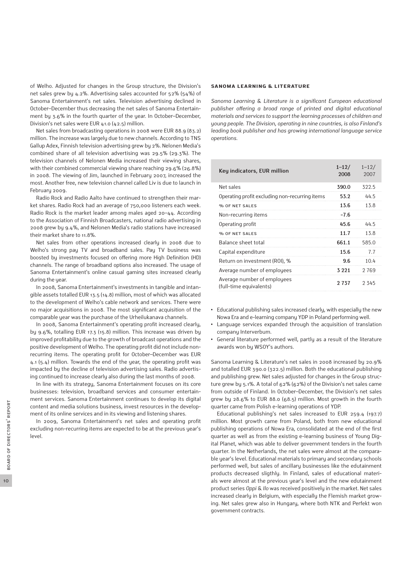of Welho. Adjusted for changes in the Group structure, the Division's net sales grew by 4.2%. Advertising sales accounted for 52% (54%) of Sanoma Entertainment's net sales. Television advertising declined in October–December thus decreasing the net sales of Sanoma Entertainment by 3.6% in the fourth quarter of the year. In October–December, Division's net sales were EUR 41.0 (42.5) million.

Net sales from broadcasting operations in 2008 were EUR 88.9 (83.2) million. The increase was largely due to new channels. According to TNS Gallup Adex, Finnish television advertising grew by 2%. Nelonen Media's combined share of all television advertising was 29.5% (29.3%). The television channels of Nelonen Media increased their viewing shares, with their combined commercial viewing share reaching 29.6% (26.8%) in 2008. The viewing of Jim, launched in February 2007, increased the most. Another free, new television channel called Liv is due to launch in Februaru 2009.

Radio Rock and Radio Aalto have continued to strengthen their market shares. Radio Rock had an average of 750,000 listeners each week. Radio Rock is the market leader among males aged 20–44. According to the Association of Finnish Broadcasters, national radio advertising in 2008 grew by 9.4%, and Nelonen Media's radio stations have increased their market share to 11.8%.

Net sales from other operations increased clearly in 2008 due to Welho's strong pay TV and broadband sales. Pay TV business was boosted by investments focused on offering more High Definition (HD) channels. The range of broadband options also increased. The usage of Sanoma Entertainment's online casual gaming sites increased clearly during the year.

In 2008, Sanoma Entertainment's investments in tangible and intangible assets totalled EUR 13.5 (14.8) million, most of which was allocated to the development of Welho's cable network and services. There were no major acquisitions in 2008. The most significant acquisition of the comparable year was the purchase of the Urheilukanava channels.

In 2008, Sanoma Entertainment's operating profit increased clearly, by 9.6%, totalling EUR 17.3 (15.8) million. This increase was driven by improved profitability due to the growth of broadcast operations and the positive development of Welho. The operating profit did not include nonrecurring items. The operating profit for October–December was EUR 4.1 (5.4) million. Towards the end of the year, the operating profit was impacted by the decline of television advertising sales. Radio advertising continued to increase clearly also during the last months of 2008.

In line with its strategy, Sanoma Entertainment focuses on its core businesses: television, broadband services and consumer entertainment services. Sanoma Entertainment continues to develop its digital content and media solutions business, invest resources in the development of its online services and in its viewing and listening shares.

In 2009, Sanoma Entertainment's net sales and operating profit excluding non-recurring items are expected to be at the previous year's level.

#### **SANOMA LEARNING & LITERATURE**

*Sanoma Learning & Literature is a significant European educational publisher offering a broad range of printed and digital educational materials and services to support the learning processes of children and young people. The Division, operating in nine countries, is also Finland's leading book publisher and has growing international language service operations.*

| Key indicators, EUR million                            | $1 - 12/$<br>2008 | $1 - 12/$<br>2007 |
|--------------------------------------------------------|-------------------|-------------------|
| Net sales                                              | 390.0             | 322.5             |
| Operating profit excluding non-recurring items         | 53.2              | 44.5              |
| % OF NET SALES                                         | 13.6              | 13.8              |
| Non-recurring items                                    | $-7.6$            |                   |
| Operating profit                                       | 45.6              | 44.5              |
| % OF NET SALES                                         | 11.7              | 13.8              |
| Balance sheet total                                    | 661.1             | 585.0             |
| Capital expenditure                                    | 15.6              | 7.7               |
| Return on investment (ROI), %                          | 9.6               | 10.4              |
| Average number of employees                            | 3 2 2 1           | 2769              |
| Average number of employees<br>(full-time equivalents) | 2 737             | 2345              |

- **•** Educational publishing sales increased clearly, with especially the new Nowa Era and e-learning company YDP in Poland performing well.
- **•** Language services expanded through the acquisition of translation company Interverbum.
- **•** General literature performed well, partly as a result of the literature awards won by WSOY's authors.

Sanoma Learning & Literature's net sales in 2008 increased by 20.9% and totalled EUR 390.0 (322.5) million. Both the educational publishing and publishing grew. Net sales adjusted for changes in the Group structure grew by 5.1%. A total of 62% (62%) of the Division's net sales came from outside of Finland. In October–December, the Division's net sales grew by 28.6% to EUR 88.0 (68.5) million. Most growth in the fourth quarter came from Polish e-learning operations of YDP.

Educational publishing's net sales increased to EUR 259.4 (197.7) million. Most growth came from Poland, both from new educational publishing operations of Nowa Era, consolidated at the end of the first quarter as well as from the existing e-learning business of Young Digital Planet, which was able to deliver government tenders in the fourth quarter. In the Netherlands, the net sales were almost at the comparable year's level. Educational materials to primary and secondary schools performed well, but sales of ancillary businesses like the edutainment products decreased sligthly. In Finland, sales of educational materials were almost at the previous year's level and the new edutainment product series *Oppi & Ilo* was received positively in the market. Net sales increased clearly in Belgium, with especially the Flemish market growing. Net sales grew also in Hungary, where both NTK and Perfekt won government contracts.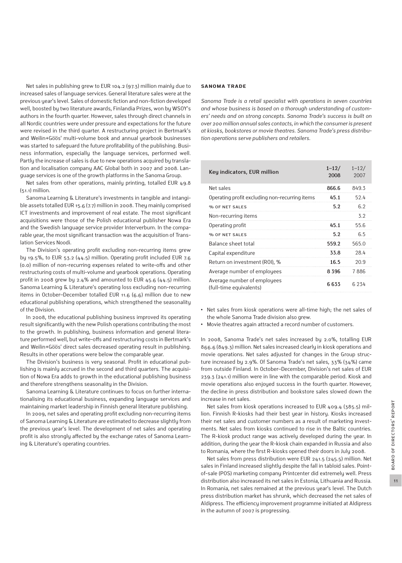Net sales in publishing grew to EUR 104.2 (97.3) million mainly due to increased sales of language services. General literature sales were at the previous year's level. Sales of domestic fiction and non-fiction developed well, boosted by two literature awards, Finlandia Prizes, won by WSOY's authors in the fourth quarter. However, sales through direct channels in all Nordic countries were under pressure and expectations for the future were revised in the third quarter. A restructuring project in Bertmark's and Weilin+Göös' multi-volume book and annual yearbook businesses was started to safeguard the future profitability of the publishing. Business information, especially the language services, performed well. Partly the increase of sales is due to new operations acquired by translation and localisation company AAC Global both in 2007 and 2008. Language services is one of the growth platforms in the Sanoma Group.

Net sales from other operations, mainly printing, totalled EUR 49.8  $(51.1)$  million.

Sanoma Learning & Literature's investments in tangible and intangible assets totalled EUR 15.6 (7.7) million in 2008. They mainly comprised ICT investments and improvement of real estate. The most significant acquisitions were those of the Polish educational publisher Nowa Era and the Swedish language service provider Interverbum. In the comparable year, the most significant transaction was the acquisition of Translation Services Noodi.

The Division's operating profit excluding non-recurring items grew by 19.5%, to EUR 53.2  $(44.5)$  million. Operating profit included EUR 7.6 (0.0) million of non-recurring expenses related to write-offs and other restructuring costs of multi-volume and yearbook operations. Operating profit in 2008 grew by  $2.4\%$  and amounted to EUR  $45.6$  ( $44.5$ ) million. Sanoma Learning & Literature's operating loss excluding non-recurring items in October–December totalled EUR 11.6 (6.6) million due to new educational publishing operations, which strengthened the seasonality of the Division.

In 2008, the educational publishing business improved its operating result significantly with the new Polish operations contributing the most to the growth. In publishing, business information and general literature performed well, but write-offs and restructuring costs in Bertmark's and Weilin+Göös' direct sales decreased operating result in publishing. Results in other operations were below the comparable year.

The Division's business is very seasonal. Profit in educational publishing is mainly accrued in the second and third quarters. The acquisition of Nowa Era adds to growth in the educational publishing business and therefore strengthens seasonality in the Division.

Sanoma Learning & Literature continues to focus on further internationalising its educational business, expanding language services and maintaining market leadership in Finnish general literature publishing.

In 2009, net sales and operating profit excluding non-recurring items of Sanoma Learning & Literature are estimated to decrease slightly from the previous year's level. The development of net sales and operating profit is also strongly affected by the exchange rates of Sanoma Learning & Literature's operating countries.

#### **SANOMA TRADE**

*Sanoma Trade is a retail specialist with operations in seven countries and whose business is based on a thorough understanding of customers' needs and on strong concepts. Sanoma Trade's success is built on over 200 million annual sales contacts, in which the consumer is present at kiosks, bookstores or movie theatres. Sanoma Trade's press distribution operations serve publishers and retailers.*

| Key indicators, EUR million                            | $1 - 12/$<br>2008 | $1 - 12/$<br>2007 |
|--------------------------------------------------------|-------------------|-------------------|
| Net sales                                              | 866.6             | 849.3             |
| Operating profit excluding non-recurring items         | 45.1              | 52.4              |
| % OF NET SALES                                         | 5.2               | 6.2               |
| Non-recurring items                                    |                   | 3.2               |
| Operating profit                                       | 45.1              | 55.6              |
| % OF NET SALES                                         | 5.2               | 6.5               |
| Balance sheet total                                    | 559.2             | 565.0             |
| Capital expenditure                                    | 33.8              | 28.4              |
| Return on investment (ROI), %                          | 16.5              | 20.9              |
| Average number of employees                            | 8396              | 7886              |
| Average number of employees<br>(full-time equivalents) | 6633              | 6 234             |

**•** Net sales from kiosk operations were all-time high; the net sales of the whole Sanoma Trade division also grew.

**•** Movie theatres again attracted a record number of customers.

In 2008, Sanoma Trade's net sales increased by 2.0%, totalling EUR 866.6 (849.3) million. Net sales increased clearly in kiosk operations and movie operations. Net sales adjusted for changes in the Group structure increased by 2.9%. Of Sanoma Trade's net sales, 33% (34%) came from outside Finland. In October–December, Division's net sales of EUR 239.3 (241.1) million were in line with the comparable period. Kiosk and movie operations also enjoyed success in the fourth quarter. However, the decline in press distribution and bookstore sales slowed down the increase in net sales.

Net sales from kiosk operations increased to EUR 409.4 (385.5) million. Finnish R-kiosks had their best year in history. Kiosks increased their net sales and customer numbers as a result of marketing investments. Net sales from kiosks continued to rise in the Baltic countries. The R-kiosk product range was actively developed during the year. In addition, during the year the R-kiosk chain expanded in Russia and also to Romania, where the first R-kiosks opened their doors in July 2008.

Net sales from press distribution were EUR 241.5 (245.5) million. Net sales in Finland increased slightly despite the fall in tabloid sales. Pointof-sale (POS) marketing company Printcenter did extremely well. Press distribution also increased its net sales in Estonia, Lithuania and Russia. In Romania, net sales remained at the previous year's level. The Dutch press distribution market has shrunk, which decreased the net sales of Aldipress. The efficiency improvement programme initiated at Aldipress in the autumn of 2007 is progressing.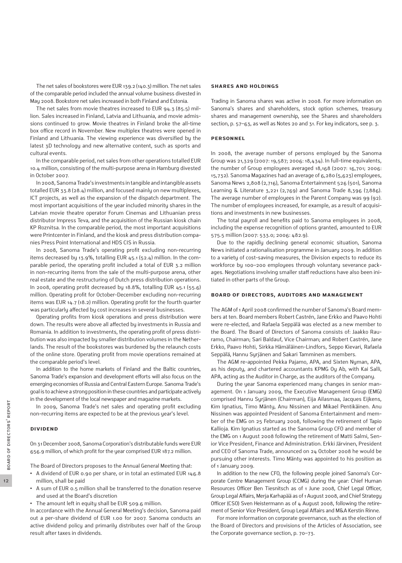The net sales of bookstores were EUR 139.2 (140.3) million. The net sales of the comparable period included the annual volume business divested in May 2008. Bookstore net sales increased in both Finland and Estonia.

The net sales from movie theatres increased to EUR 94.3 (85.5) million. Sales increased in Finland, Latvia and Lithuania, and movie admissions continued to grow. Movie theatres in Finland broke the all-time box office record in November. New multiplex theatres were opened in Finland and Lithuania. The viewing experience was diversified by the latest 3D technology and new alternative content, such as sports and cultural events.

In the comparable period, net sales from other operations totalled EUR 10.4 million, consisting of the multi-purpose arena in Hamburg divested in October 2007.

In 2008, Sanoma Trade's investments in tangible and intangible assets totalled EUR 33.8 (28.4) million, and focused mainly on new multiplexes, ICT projects, as well as the expansion of the dispatch department. The most important acquisitions of the year included minority shares in the Latvian movie theatre operator Forum Cinemas and Lithuanian press distributor Impress Teva, and the acquisition of the Russian kiosk chain KP Roznitsa. In the comparable period, the most important acquisitions were Printcenter in Finland, and the kiosk and press distribution companies Press Point International and HDS CIS in Russia.

In 2008, Sanoma Trade's operating profit excluding non-recurring items decreased by 13.9%, totalling EUR 45.1 (52.4) million. In the comparable period, the operating profit included a total of EUR 3.2 million in non-recurring items from the sale of the multi-purpose arena, other real estate and the restructuring of Dutch press distribution operations. In 2008, operating profit decreased by 18.8%, totalling EUR 45.1 (55.6) million. Operating profit for October-December excluding non-recurring items was EUR 14.7 (18.2) million. Operating profit for the fourth quarter was particularly affected by cost increases in several businesses.

Operating profits from kiosk operations and press distribution were down. The results were above all affected by investments in Russia and Romania. In addition to investments, the operating profit of press distribution was also impacted by smaller distribution volumes in the Netherlands. The result of the bookstores was burdened by the relaunch costs of the online store. Operating profit from movie operations remained at the comparable period's level.

In addition to the home markets of Finland and the Baltic countries, Sanoma Trade's expansion and development efforts will also focus on the emerging economies of Russia and Central Eastern Europe. Sanoma Trade's goal is to achieve a strong position in these countries and participate actively in the development of the local newspaper and magazine markets.

In 2009, Sanoma Trade's net sales and operating profit excluding non-recurring items are expected to be at the previous year's level.

#### **Dividend**

On 31 December 2008, Sanoma Corporation's distributable funds were EUR 656.9 million, of which profit for the year comprised EUR 187.2 million.

The Board of Directors proposes to the Annual General Meeting that:

- **•** A dividend of EUR 0.90 per share, or in total an estimated EUR 146.8 million, shall be paid
- **•** A sum of EUR 0.5 million shall be transferred to the donation reserve and used at the Board's discretion
- **•** The amount left in equity shall be EUR 509.6 million.

In accordance with the Annual General Meeting's decision, Sanoma paid out a per-share dividend of EUR 1.00 for 2007. Sanoma conducts an active dividend policy and primarily distributes over half of the Group result after taxes in dividends.

#### **Shares and holdings**

Trading in Sanoma shares was active in 2008. For more information on Sanoma's shares and shareholders, stock option schemes, treasury shares and management ownership, see the Shares and shareholders section, p. 57–63, as well as Notes 20 and 31. For key indicators, see p. 3.

#### **Personnel**

In 2008, the average number of persons employed by the Sanoma Group was 21,329 (2007: 19,587; 2006: 18,434). In full-time equivalents, the number of Group employees averaged 18,168 (2007: 16,701; 2006: 15,732). Sanoma Magazines had an average of 6,280 (5,623) employees, Sanoma News 2,808 (2,716), Sanoma Entertainment 526 (501), Sanoma Learning & Literature 3,221 (2,769) and Sanoma Trade 8,396 (7,886). The average number of employees in the Parent Company was 99 (92). The number of employees increased, for example, as a result of acquisitions and investments in new businesses.

The total payroll and benefits paid to Sanoma employees in 2008, including the expense recognition of options granted, amounted to EUR 575.5 million (2007: 533.0; 2006: 482.9).

Due to the rapidly declining general economic situation, Sanoma News initiated a rationalisation programme in January 2009. In addition to a variety of cost-saving measures, the Division expects to reduce its workforce by 100–200 employees through voluntary severance packages. Negotiations involving smaller staff reductions have also been initiated in other parts of the Group.

#### **Board of Directors, auditors and management**

The AGM of 1 April 2008 confirmed the number of Sanoma's Board members at ten. Board members Robert Castrén, Jane Erkko and Paavo Hohti were re-elected, and Rafaela Seppälä was elected as a new member to the Board. The Board of Directors of Sanoma consists of: Jaakko Rauramo, Chairman; Sari Baldauf, Vice Chairman; and Robert Castrén, Jane Erkko, Paavo Hohti, Sirkka Hämäläinen-Lindfors, Seppo Kievari, Rafaela Seppälä, Hannu Syrjänen and Sakari Tamminen as members.

The AGM re-appointed Pekka Pajamo, APA, and Sixten Nyman, APA, as his deputy, and chartered accountants KPMG Oy Ab, with Kai Salli, APA, acting as the Auditor in Charge, as the auditors of the Company.

During the year Sanoma experienced many changes in senior management. On 1 January 2009, the Executive Management Group (EMG) comprised Hannu Syrjänen (Chairman), Eija Ailasmaa, Jacques Eijkens, Kim Ignatius, Timo Mänty, Anu Nissinen and Mikael Pentikäinen. Anu Nissinen was appointed President of Sanoma Entertainment and member of the EMG on 25 February 2008, following the retirement of Tapio Kallioja. Kim Ignatius started as the Sanoma Group CFO and member of the EMG on 1 August 2008 following the retirement of Matti Salmi, Senior Vice President, Finance and Administration. Erkki Järvinen, President and CEO of Sanoma Trade, announced on 24 October 2008 he would be pursuing other interests. Timo Mänty was appointed to his position as of 1 January 2009.

In addition to the new CFO, the following people joined Sanoma's Corporate Centre Management Group (CCMG) during the year: Chief Human Resources Officer Ben Tiesnitsch as of 1 June 2008, Chief Legal Officer, Group Legal Affairs, Merja Karhapää as of 1 August 2008, and Chief Strategy Officer (CSO) Sven Heistermann as of 4 August 2008, following the retirement of Senior Vice President, Group Legal Affairs and M&A Kerstin Rinne.

For more information on corporate governance, such as the election of the Board of Directors and provisions of the Articles of Association, see the Corporate governance section, p. 70–73.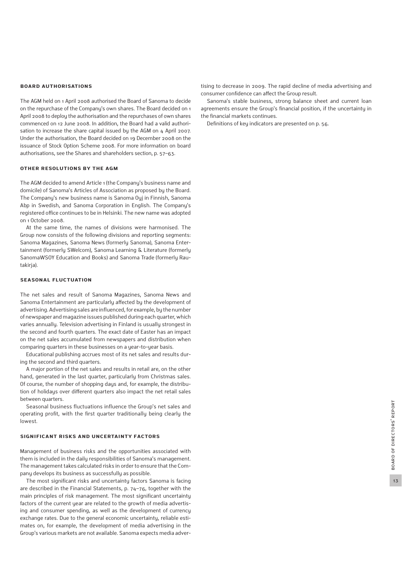#### **Board authorisations**

The AGM held on 1 April 2008 authorised the Board of Sanoma to decide on the repurchase of the Company's own shares. The Board decided on 1 April 2008 to deploy the authorisation and the repurchases of own shares commenced on 12 June 2008. In addition, the Board had a valid authorisation to increase the share capital issued by the AGM on 4 April 2007. Under the authorisation, the Board decided on 19 December 2008 on the issuance of Stock Option Scheme 2008. For more information on board authorisations, see the Shares and shareholders section, p. 57–63.

#### **Other resolutions by the AGM**

The AGM decided to amend Article 1 (the Company's business name and domicile) of Sanoma's Articles of Association as proposed by the Board. The Company's new business name is Sanoma Oyj in Finnish, Sanoma Abp in Swedish, and Sanoma Corporation in English. The Company's registered office continues to be in Helsinki. The new name was adopted on 1 October 2008.

At the same time, the names of divisions were harmonised. The Group now consists of the following divisions and reporting segments: Sanoma Magazines, Sanoma News (formerly Sanoma), Sanoma Entertainment (formerly SWelcom), Sanoma Learning & Literature (formerly SanomaWSOY Education and Books) and Sanoma Trade (formerly Rautakirja).

#### **Seasonal fluctuation**

The net sales and result of Sanoma Magazines, Sanoma News and Sanoma Entertainment are particularly affected by the development of advertising. Advertising sales are influenced, for example, by the number of newspaper and magazine issues published during each quarter, which varies annually. Television advertising in Finland is usually strongest in the second and fourth quarters. The exact date of Easter has an impact on the net sales accumulated from newspapers and distribution when comparing quarters in these businesses on a year-to-year basis.

Educational publishing accrues most of its net sales and results during the second and third quarters.

A major portion of the net sales and results in retail are, on the other hand, generated in the last quarter, particularly from Christmas sales. Of course, the number of shopping days and, for example, the distribution of holidays over different quarters also impact the net retail sales between quarters.

Seasonal business fluctuations influence the Group's net sales and operating profit, with the first quarter traditionally being clearly the lowest.

### **Significant risks and uncertainty factors**

Management of business risks and the opportunities associated with them is included in the daily responsibilities of Sanoma's management. The management takes calculated risks in order to ensure that the Company develops its business as successfully as possible.

The most significant risks and uncertainty factors Sanoma is facing are described in the Financial Statements, p. 74–76, together with the main principles of risk management. The most significant uncertainty factors of the current year are related to the growth of media advertising and consumer spending, as well as the development of currency exchange rates. Due to the general economic uncertainty, reliable estimates on, for example, the development of media advertising in the Group's various markets are not available. Sanoma expects media advertising to decrease in 2009. The rapid decline of media advertising and consumer confidence can affect the Group result.

Sanoma's stable business, strong balance sheet and current loan agreements ensure the Group's financial position, if the uncertainty in the financial markets continues.

Definitions of key indicators are presented on p. 56.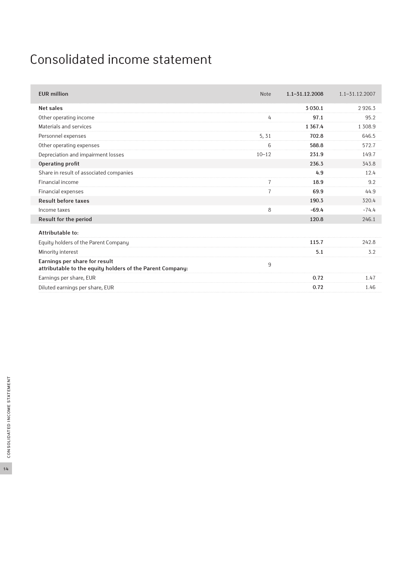## Consolidated income statement

| <b>EUR</b> million                                                                         | <b>Note</b>    | $1.1 - 31.12.2008$ | $1.1 - 31.12.2007$ |
|--------------------------------------------------------------------------------------------|----------------|--------------------|--------------------|
| <b>Net sales</b>                                                                           |                | 3 0 3 0.1          | 2926.3             |
| Other operating income                                                                     | 4              | 97.1               | 95.2               |
| Materials and services                                                                     |                | 1 3 6 7 . 4        | 1 3 0 8 .9         |
| Personnel expenses                                                                         | 5, 31          | 702.8              | 646.5              |
| Other operating expenses                                                                   | 6              | 588.8              | 572.7              |
| Depreciation and impairment losses                                                         | $10 - 12$      | 231.9              | 149.7              |
| Operating profit                                                                           |                | 236.3              | 343.8              |
| Share in result of associated companies                                                    |                | 4.9                | 12.4               |
| Financial income                                                                           | $\overline{7}$ | 18.9               | 9.2                |
| Financial expenses                                                                         | $\overline{7}$ | 69.9               | 44.9               |
| <b>Result before taxes</b>                                                                 |                | 190.3              | 320.4              |
| Income taxes                                                                               | 8              | $-69.4$            | $-74.4$            |
| <b>Result for the period</b>                                                               |                | 120.8              | 246.1              |
| Attributable to:                                                                           |                |                    |                    |
| Equity holders of the Parent Company                                                       |                | 115.7              | 242.8              |
| Minority interest                                                                          |                | 5.1                | 3.2                |
| Earnings per share for result<br>attributable to the equity holders of the Parent Company: | 9              |                    |                    |
| Earnings per share, EUR                                                                    |                | 0.72               | 1.47               |
| Diluted earnings per share, EUR                                                            |                | 0.72               | 1.46               |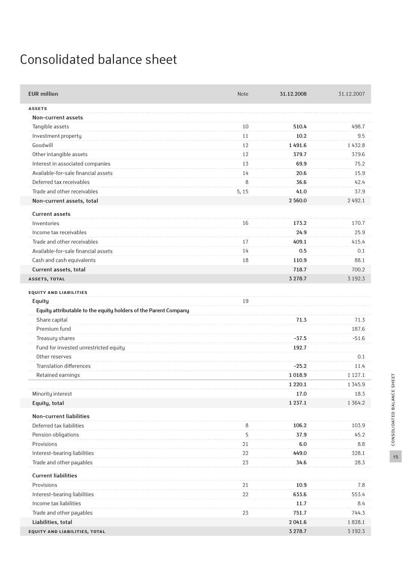## Consolidated balance sheet

| <b>ASSETS</b><br>Non-current assets<br>Tangible assets<br>10<br>510.4<br>498.7<br>10.2<br>Investment property<br>11<br>9.5<br>Goodwill<br>1491.6<br>12<br>1432.8<br>Other intangible assets<br>12<br>379.7<br>379.6<br>Interest in associated companies<br>13<br>69.9<br>75.2<br>Available-for-sale financial assets<br>20.6<br>15.9<br>14<br>Deferred tax receivables<br>8<br>36.6<br>42.4<br>Trade and other receivables<br>5, 15<br>41.0<br>37.9<br>Non-current assets, total<br>2 560.0<br>2492.1<br><b>Current assets</b><br>173.2<br>170.7<br>Inventories<br>16<br>Income tax receivables<br>25.9<br>24.9<br>Trade and other receivables<br>17<br>409.1<br>415.4<br>Available-for-sale financial assets<br>0.5<br>14<br>0.1<br>Cash and cash equivalents<br>88.1<br>110.9<br>18<br>Current assets, total<br>718.7<br>700.2<br>3 2 7 8.7<br>3 1 9 2.3<br><b>ASSETS, TOTAL</b><br><b>EQUITY AND LIABILITIES</b><br>19<br>Equity<br>Equity attributable to the equity holders of the Parent Company<br>71.3<br>Share capital<br>71.3<br>Premium fund<br>187.6<br>Treasury shares<br>$-37.5$<br>$-51.6$<br>Fund for invested unrestricted equity<br>192.7<br>Other reserves<br>0.1<br><b>Translation differences</b><br>$-25.2$<br>11.4<br>Retained earnings<br>1018.9<br>1 1 2 7 . 1<br>1 2 2 0.1<br>1 3 4 5 9<br>Minority interest<br>17.0<br>18.3<br>1 3 6 4 . 2<br>1 2 3 7 . 1<br>Equity, total<br>Non-current liabilities<br>$\,8\,$<br>106.2<br>103.9<br>Deferred tax liabilities<br>5<br>37.9<br>45.2<br>Pension obligations<br>Provisions<br>6.0<br>21<br>8.8<br>Interest-bearing liabilities<br>22<br>449.0<br>328.1<br>23<br>28.3<br>Trade and other payables<br>34.6<br><b>Current liabilities</b><br>Provisions<br>21<br>10.9<br>7.8<br>Interest-bearing liabilities<br>633.6<br>553.4<br>22<br>Income tax liabilities<br>11.7<br>8.4<br>Trade and other payables<br>744.3<br>23<br>751.7<br>Liabilities, total<br>2041.6<br>1828.1<br>3 2 7 8.7<br>3 192.3<br>EQUITY AND LIABILITIES, TOTAL | <b>EUR million</b> | <b>Note</b> | 31.12.2008 | 31.12.2007 |
|------------------------------------------------------------------------------------------------------------------------------------------------------------------------------------------------------------------------------------------------------------------------------------------------------------------------------------------------------------------------------------------------------------------------------------------------------------------------------------------------------------------------------------------------------------------------------------------------------------------------------------------------------------------------------------------------------------------------------------------------------------------------------------------------------------------------------------------------------------------------------------------------------------------------------------------------------------------------------------------------------------------------------------------------------------------------------------------------------------------------------------------------------------------------------------------------------------------------------------------------------------------------------------------------------------------------------------------------------------------------------------------------------------------------------------------------------------------------------------------------------------------------------------------------------------------------------------------------------------------------------------------------------------------------------------------------------------------------------------------------------------------------------------------------------------------------------------------------------------------------------------------------------------------------------------------------------------------------------------------------------------|--------------------|-------------|------------|------------|
|                                                                                                                                                                                                                                                                                                                                                                                                                                                                                                                                                                                                                                                                                                                                                                                                                                                                                                                                                                                                                                                                                                                                                                                                                                                                                                                                                                                                                                                                                                                                                                                                                                                                                                                                                                                                                                                                                                                                                                                                            |                    |             |            |            |
|                                                                                                                                                                                                                                                                                                                                                                                                                                                                                                                                                                                                                                                                                                                                                                                                                                                                                                                                                                                                                                                                                                                                                                                                                                                                                                                                                                                                                                                                                                                                                                                                                                                                                                                                                                                                                                                                                                                                                                                                            |                    |             |            |            |
|                                                                                                                                                                                                                                                                                                                                                                                                                                                                                                                                                                                                                                                                                                                                                                                                                                                                                                                                                                                                                                                                                                                                                                                                                                                                                                                                                                                                                                                                                                                                                                                                                                                                                                                                                                                                                                                                                                                                                                                                            |                    |             |            |            |
|                                                                                                                                                                                                                                                                                                                                                                                                                                                                                                                                                                                                                                                                                                                                                                                                                                                                                                                                                                                                                                                                                                                                                                                                                                                                                                                                                                                                                                                                                                                                                                                                                                                                                                                                                                                                                                                                                                                                                                                                            |                    |             |            |            |
|                                                                                                                                                                                                                                                                                                                                                                                                                                                                                                                                                                                                                                                                                                                                                                                                                                                                                                                                                                                                                                                                                                                                                                                                                                                                                                                                                                                                                                                                                                                                                                                                                                                                                                                                                                                                                                                                                                                                                                                                            |                    |             |            |            |
|                                                                                                                                                                                                                                                                                                                                                                                                                                                                                                                                                                                                                                                                                                                                                                                                                                                                                                                                                                                                                                                                                                                                                                                                                                                                                                                                                                                                                                                                                                                                                                                                                                                                                                                                                                                                                                                                                                                                                                                                            |                    |             |            |            |
|                                                                                                                                                                                                                                                                                                                                                                                                                                                                                                                                                                                                                                                                                                                                                                                                                                                                                                                                                                                                                                                                                                                                                                                                                                                                                                                                                                                                                                                                                                                                                                                                                                                                                                                                                                                                                                                                                                                                                                                                            |                    |             |            |            |
|                                                                                                                                                                                                                                                                                                                                                                                                                                                                                                                                                                                                                                                                                                                                                                                                                                                                                                                                                                                                                                                                                                                                                                                                                                                                                                                                                                                                                                                                                                                                                                                                                                                                                                                                                                                                                                                                                                                                                                                                            |                    |             |            |            |
|                                                                                                                                                                                                                                                                                                                                                                                                                                                                                                                                                                                                                                                                                                                                                                                                                                                                                                                                                                                                                                                                                                                                                                                                                                                                                                                                                                                                                                                                                                                                                                                                                                                                                                                                                                                                                                                                                                                                                                                                            |                    |             |            |            |
|                                                                                                                                                                                                                                                                                                                                                                                                                                                                                                                                                                                                                                                                                                                                                                                                                                                                                                                                                                                                                                                                                                                                                                                                                                                                                                                                                                                                                                                                                                                                                                                                                                                                                                                                                                                                                                                                                                                                                                                                            |                    |             |            |            |
|                                                                                                                                                                                                                                                                                                                                                                                                                                                                                                                                                                                                                                                                                                                                                                                                                                                                                                                                                                                                                                                                                                                                                                                                                                                                                                                                                                                                                                                                                                                                                                                                                                                                                                                                                                                                                                                                                                                                                                                                            |                    |             |            |            |
|                                                                                                                                                                                                                                                                                                                                                                                                                                                                                                                                                                                                                                                                                                                                                                                                                                                                                                                                                                                                                                                                                                                                                                                                                                                                                                                                                                                                                                                                                                                                                                                                                                                                                                                                                                                                                                                                                                                                                                                                            |                    |             |            |            |
|                                                                                                                                                                                                                                                                                                                                                                                                                                                                                                                                                                                                                                                                                                                                                                                                                                                                                                                                                                                                                                                                                                                                                                                                                                                                                                                                                                                                                                                                                                                                                                                                                                                                                                                                                                                                                                                                                                                                                                                                            |                    |             |            |            |
|                                                                                                                                                                                                                                                                                                                                                                                                                                                                                                                                                                                                                                                                                                                                                                                                                                                                                                                                                                                                                                                                                                                                                                                                                                                                                                                                                                                                                                                                                                                                                                                                                                                                                                                                                                                                                                                                                                                                                                                                            |                    |             |            |            |
|                                                                                                                                                                                                                                                                                                                                                                                                                                                                                                                                                                                                                                                                                                                                                                                                                                                                                                                                                                                                                                                                                                                                                                                                                                                                                                                                                                                                                                                                                                                                                                                                                                                                                                                                                                                                                                                                                                                                                                                                            |                    |             |            |            |
|                                                                                                                                                                                                                                                                                                                                                                                                                                                                                                                                                                                                                                                                                                                                                                                                                                                                                                                                                                                                                                                                                                                                                                                                                                                                                                                                                                                                                                                                                                                                                                                                                                                                                                                                                                                                                                                                                                                                                                                                            |                    |             |            |            |
|                                                                                                                                                                                                                                                                                                                                                                                                                                                                                                                                                                                                                                                                                                                                                                                                                                                                                                                                                                                                                                                                                                                                                                                                                                                                                                                                                                                                                                                                                                                                                                                                                                                                                                                                                                                                                                                                                                                                                                                                            |                    |             |            |            |
|                                                                                                                                                                                                                                                                                                                                                                                                                                                                                                                                                                                                                                                                                                                                                                                                                                                                                                                                                                                                                                                                                                                                                                                                                                                                                                                                                                                                                                                                                                                                                                                                                                                                                                                                                                                                                                                                                                                                                                                                            |                    |             |            |            |
|                                                                                                                                                                                                                                                                                                                                                                                                                                                                                                                                                                                                                                                                                                                                                                                                                                                                                                                                                                                                                                                                                                                                                                                                                                                                                                                                                                                                                                                                                                                                                                                                                                                                                                                                                                                                                                                                                                                                                                                                            |                    |             |            |            |
|                                                                                                                                                                                                                                                                                                                                                                                                                                                                                                                                                                                                                                                                                                                                                                                                                                                                                                                                                                                                                                                                                                                                                                                                                                                                                                                                                                                                                                                                                                                                                                                                                                                                                                                                                                                                                                                                                                                                                                                                            |                    |             |            |            |
|                                                                                                                                                                                                                                                                                                                                                                                                                                                                                                                                                                                                                                                                                                                                                                                                                                                                                                                                                                                                                                                                                                                                                                                                                                                                                                                                                                                                                                                                                                                                                                                                                                                                                                                                                                                                                                                                                                                                                                                                            |                    |             |            |            |
|                                                                                                                                                                                                                                                                                                                                                                                                                                                                                                                                                                                                                                                                                                                                                                                                                                                                                                                                                                                                                                                                                                                                                                                                                                                                                                                                                                                                                                                                                                                                                                                                                                                                                                                                                                                                                                                                                                                                                                                                            |                    |             |            |            |
|                                                                                                                                                                                                                                                                                                                                                                                                                                                                                                                                                                                                                                                                                                                                                                                                                                                                                                                                                                                                                                                                                                                                                                                                                                                                                                                                                                                                                                                                                                                                                                                                                                                                                                                                                                                                                                                                                                                                                                                                            |                    |             |            |            |
|                                                                                                                                                                                                                                                                                                                                                                                                                                                                                                                                                                                                                                                                                                                                                                                                                                                                                                                                                                                                                                                                                                                                                                                                                                                                                                                                                                                                                                                                                                                                                                                                                                                                                                                                                                                                                                                                                                                                                                                                            |                    |             |            |            |
|                                                                                                                                                                                                                                                                                                                                                                                                                                                                                                                                                                                                                                                                                                                                                                                                                                                                                                                                                                                                                                                                                                                                                                                                                                                                                                                                                                                                                                                                                                                                                                                                                                                                                                                                                                                                                                                                                                                                                                                                            |                    |             |            |            |
|                                                                                                                                                                                                                                                                                                                                                                                                                                                                                                                                                                                                                                                                                                                                                                                                                                                                                                                                                                                                                                                                                                                                                                                                                                                                                                                                                                                                                                                                                                                                                                                                                                                                                                                                                                                                                                                                                                                                                                                                            |                    |             |            |            |
|                                                                                                                                                                                                                                                                                                                                                                                                                                                                                                                                                                                                                                                                                                                                                                                                                                                                                                                                                                                                                                                                                                                                                                                                                                                                                                                                                                                                                                                                                                                                                                                                                                                                                                                                                                                                                                                                                                                                                                                                            |                    |             |            |            |
|                                                                                                                                                                                                                                                                                                                                                                                                                                                                                                                                                                                                                                                                                                                                                                                                                                                                                                                                                                                                                                                                                                                                                                                                                                                                                                                                                                                                                                                                                                                                                                                                                                                                                                                                                                                                                                                                                                                                                                                                            |                    |             |            |            |
|                                                                                                                                                                                                                                                                                                                                                                                                                                                                                                                                                                                                                                                                                                                                                                                                                                                                                                                                                                                                                                                                                                                                                                                                                                                                                                                                                                                                                                                                                                                                                                                                                                                                                                                                                                                                                                                                                                                                                                                                            |                    |             |            |            |
|                                                                                                                                                                                                                                                                                                                                                                                                                                                                                                                                                                                                                                                                                                                                                                                                                                                                                                                                                                                                                                                                                                                                                                                                                                                                                                                                                                                                                                                                                                                                                                                                                                                                                                                                                                                                                                                                                                                                                                                                            |                    |             |            |            |
|                                                                                                                                                                                                                                                                                                                                                                                                                                                                                                                                                                                                                                                                                                                                                                                                                                                                                                                                                                                                                                                                                                                                                                                                                                                                                                                                                                                                                                                                                                                                                                                                                                                                                                                                                                                                                                                                                                                                                                                                            |                    |             |            |            |
|                                                                                                                                                                                                                                                                                                                                                                                                                                                                                                                                                                                                                                                                                                                                                                                                                                                                                                                                                                                                                                                                                                                                                                                                                                                                                                                                                                                                                                                                                                                                                                                                                                                                                                                                                                                                                                                                                                                                                                                                            |                    |             |            |            |
|                                                                                                                                                                                                                                                                                                                                                                                                                                                                                                                                                                                                                                                                                                                                                                                                                                                                                                                                                                                                                                                                                                                                                                                                                                                                                                                                                                                                                                                                                                                                                                                                                                                                                                                                                                                                                                                                                                                                                                                                            |                    |             |            |            |
|                                                                                                                                                                                                                                                                                                                                                                                                                                                                                                                                                                                                                                                                                                                                                                                                                                                                                                                                                                                                                                                                                                                                                                                                                                                                                                                                                                                                                                                                                                                                                                                                                                                                                                                                                                                                                                                                                                                                                                                                            |                    |             |            |            |
|                                                                                                                                                                                                                                                                                                                                                                                                                                                                                                                                                                                                                                                                                                                                                                                                                                                                                                                                                                                                                                                                                                                                                                                                                                                                                                                                                                                                                                                                                                                                                                                                                                                                                                                                                                                                                                                                                                                                                                                                            |                    |             |            |            |
|                                                                                                                                                                                                                                                                                                                                                                                                                                                                                                                                                                                                                                                                                                                                                                                                                                                                                                                                                                                                                                                                                                                                                                                                                                                                                                                                                                                                                                                                                                                                                                                                                                                                                                                                                                                                                                                                                                                                                                                                            |                    |             |            |            |
|                                                                                                                                                                                                                                                                                                                                                                                                                                                                                                                                                                                                                                                                                                                                                                                                                                                                                                                                                                                                                                                                                                                                                                                                                                                                                                                                                                                                                                                                                                                                                                                                                                                                                                                                                                                                                                                                                                                                                                                                            |                    |             |            |            |
|                                                                                                                                                                                                                                                                                                                                                                                                                                                                                                                                                                                                                                                                                                                                                                                                                                                                                                                                                                                                                                                                                                                                                                                                                                                                                                                                                                                                                                                                                                                                                                                                                                                                                                                                                                                                                                                                                                                                                                                                            |                    |             |            |            |
|                                                                                                                                                                                                                                                                                                                                                                                                                                                                                                                                                                                                                                                                                                                                                                                                                                                                                                                                                                                                                                                                                                                                                                                                                                                                                                                                                                                                                                                                                                                                                                                                                                                                                                                                                                                                                                                                                                                                                                                                            |                    |             |            |            |
|                                                                                                                                                                                                                                                                                                                                                                                                                                                                                                                                                                                                                                                                                                                                                                                                                                                                                                                                                                                                                                                                                                                                                                                                                                                                                                                                                                                                                                                                                                                                                                                                                                                                                                                                                                                                                                                                                                                                                                                                            |                    |             |            |            |
|                                                                                                                                                                                                                                                                                                                                                                                                                                                                                                                                                                                                                                                                                                                                                                                                                                                                                                                                                                                                                                                                                                                                                                                                                                                                                                                                                                                                                                                                                                                                                                                                                                                                                                                                                                                                                                                                                                                                                                                                            |                    |             |            |            |
|                                                                                                                                                                                                                                                                                                                                                                                                                                                                                                                                                                                                                                                                                                                                                                                                                                                                                                                                                                                                                                                                                                                                                                                                                                                                                                                                                                                                                                                                                                                                                                                                                                                                                                                                                                                                                                                                                                                                                                                                            |                    |             |            |            |
|                                                                                                                                                                                                                                                                                                                                                                                                                                                                                                                                                                                                                                                                                                                                                                                                                                                                                                                                                                                                                                                                                                                                                                                                                                                                                                                                                                                                                                                                                                                                                                                                                                                                                                                                                                                                                                                                                                                                                                                                            |                    |             |            |            |
|                                                                                                                                                                                                                                                                                                                                                                                                                                                                                                                                                                                                                                                                                                                                                                                                                                                                                                                                                                                                                                                                                                                                                                                                                                                                                                                                                                                                                                                                                                                                                                                                                                                                                                                                                                                                                                                                                                                                                                                                            |                    |             |            |            |
|                                                                                                                                                                                                                                                                                                                                                                                                                                                                                                                                                                                                                                                                                                                                                                                                                                                                                                                                                                                                                                                                                                                                                                                                                                                                                                                                                                                                                                                                                                                                                                                                                                                                                                                                                                                                                                                                                                                                                                                                            |                    |             |            |            |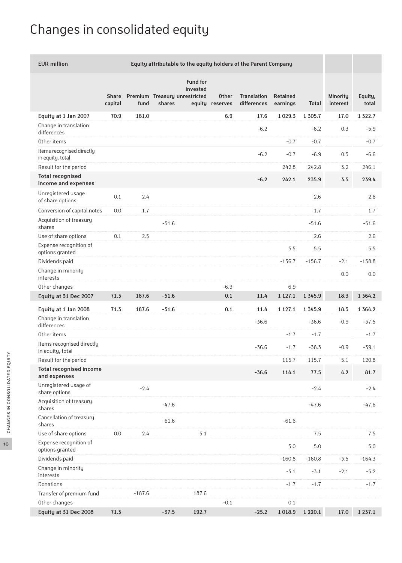# Changes in consolidated equity

| <b>EUR million</b><br>Equity attributable to the equity holders of the Parent Company |         |          |                                                                              |                                 |                                   |                      |             |                             |                  |
|---------------------------------------------------------------------------------------|---------|----------|------------------------------------------------------------------------------|---------------------------------|-----------------------------------|----------------------|-------------|-----------------------------|------------------|
|                                                                                       | capital | fund     | <b>Fund for</b><br>invested<br>Share Premium Treasury unrestricted<br>shares | <b>Other</b><br>equity reserves | <b>Translation</b><br>differences | Retained<br>earnings | Total       | <b>Minority</b><br>interest | Equity,<br>total |
| Equity at 1 Jan 2007                                                                  | 70.9    | 181.0    |                                                                              | 6.9                             | 17.6                              | 1 0 29.3             | 1 3 0 5 . 7 | 17.0                        | 1 3 2 2 . 7      |
| Change in translation<br>differences                                                  |         |          |                                                                              |                                 | $-6.2$                            |                      | $-6.2$      | 0.3                         | $-5.9$           |
| Other items                                                                           |         |          |                                                                              |                                 |                                   | $-0.7$               | $-0.7$      |                             | $-0.7$           |
| Items recognised directly<br>in equity, total                                         |         |          |                                                                              |                                 | $-6.2$                            | $-0.7$               | $-6.9$      | 0.3                         | $-6.6$           |
| Result for the period                                                                 |         |          |                                                                              |                                 |                                   | 242.8                | 242.8       | 3.2                         | 246.1            |
| <b>Total recognised</b><br>income and expenses                                        |         |          |                                                                              |                                 | $-6.2$                            | 242.1                | 235.9       | 3.5                         | 239.4            |
| Unregistered usage<br>of share options                                                | 0.1     | 2.4      |                                                                              |                                 |                                   |                      | 2.6         |                             | 2.6              |
| Conversion of capital notes                                                           | 0.0     | 1.7      |                                                                              |                                 |                                   |                      | 1.7         |                             | 1.7              |
| Acquisition of treasury<br>shares                                                     |         |          | $-51.6$                                                                      |                                 |                                   |                      | $-51.6$     |                             | $-51.6$          |
| Use of share options                                                                  | 0.1     | 2.5      |                                                                              |                                 |                                   |                      | 2.6         |                             | 2.6              |
| Expense recognition of<br>options granted                                             |         |          |                                                                              |                                 |                                   | 5.5                  | 5.5         |                             | 5.5              |
| Dividends paid                                                                        |         |          |                                                                              |                                 |                                   | $-156.7$             | $-156.7$    | $-2.1$                      | $-158.8$         |
| Change in minority<br>interests                                                       |         |          |                                                                              |                                 |                                   |                      |             | 0.0                         | 0.0              |
| Other changes                                                                         |         |          |                                                                              | $-6.9$                          |                                   | 6.9                  |             |                             |                  |
| Equity at 31 Dec 2007                                                                 | 71.3    | 187.6    | $-51.6$                                                                      | 0.1                             | 11.4                              | 1 1 2 7 . 1          | 1 3 4 5 . 9 | 18.3                        | 1 3 6 4 . 2      |
| Equity at 1 Jan 2008                                                                  | 71.3    | 187.6    | $-51.6$                                                                      | 0.1                             | 11.4                              | 1 1 2 7 . 1          | 1 3 4 5 . 9 | 18.3                        | 1 3 6 4 . 2      |
| Change in translation<br>differences                                                  |         |          |                                                                              |                                 | $-36.6$                           |                      | $-36.6$     | $-0.9$                      | $-37.5$          |
| Other items                                                                           |         |          |                                                                              |                                 |                                   | $-1.7$               | $-1.7$      |                             | $-1.7$           |
| Items recognised directly<br>in equity, total                                         |         |          |                                                                              |                                 | $-36.6$                           | $-1.7$               | $-38.3$     | $-0.9$                      | $-39.1$          |
| Result for the period                                                                 |         |          |                                                                              |                                 |                                   | 115.7                | 115.7       | 5.1                         | 120.8            |
| <b>Total recognised income</b><br>and expenses                                        |         |          |                                                                              |                                 | $-36.6$                           | 114.1                | $77.5$      | 4.2                         | 81.7             |
| Unregistered usage of<br>share options                                                |         | $-2.4$   |                                                                              |                                 |                                   |                      | $-2.4$      |                             | $-2.4$           |
| Acquisition of treasury<br>shares                                                     |         |          | $-47.6$                                                                      |                                 |                                   |                      | $-47.6$     |                             | $-47.6$          |
| Cancellation of treasury<br>shares                                                    |         |          | 61.6                                                                         |                                 |                                   | $-61.6$              |             |                             |                  |
| Use of share options                                                                  | $0.0\,$ | 2.4      | 5.1                                                                          |                                 |                                   |                      | 7.5         |                             | 7.5              |
| Expense recognition of<br>options granted                                             |         |          |                                                                              |                                 |                                   | 5.0                  | $5.0\,$     |                             | $5.0\,$          |
| Dividends paid                                                                        |         |          |                                                                              |                                 |                                   | $-160.8$             | $-160.8$    | $-3.5$                      | $-164.3$         |
| Change in minority<br>interests                                                       |         |          |                                                                              |                                 |                                   | $-3.1$               | $-3.1$      | $-2.1$                      | $-5.2$           |
| Donations                                                                             |         |          |                                                                              |                                 |                                   | $-1.7$               | $-1.7$      |                             | $-1.7$           |
| Transfer of premium fund                                                              |         | $-187.6$ | 187.6                                                                        |                                 |                                   |                      |             |                             |                  |
| Other changes                                                                         |         |          |                                                                              | $-0.1$                          |                                   | 0.1                  |             |                             |                  |
| Equity at 31 Dec 2008                                                                 | 71.3    |          | 192.7<br>$-37.5$                                                             |                                 | $-25.2$                           | 1018.9               | 1 2 2 0 . 1 | 17.0                        | 1 2 3 7 . 1      |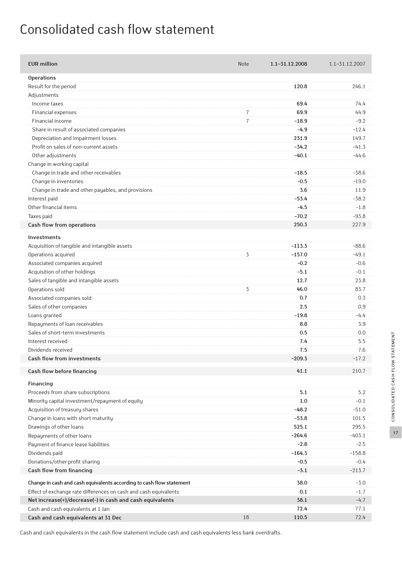## Consolidated cash flow statement

| <b>EUR million</b>                                                   | <b>Note</b>    | 1.1-31.12.2008 | 1.1-31.12.2007 |
|----------------------------------------------------------------------|----------------|----------------|----------------|
| <b>Operations</b>                                                    |                |                |                |
| Result for the period                                                |                | 120.8          | 246.1          |
| Adjustments                                                          |                |                |                |
| Income taxes                                                         |                | 69.4           | 74.4           |
| Financial expenses                                                   | 7              | 69.9           | 44.9           |
| Financial income                                                     | $\overline{7}$ | $-18.9$        | $-9.2$         |
| Share in result of associated companies                              |                | $-4.9$         | $-12.4$        |
| Depreciation and impairment losses                                   |                | 231.9          | 149.7          |
| Profit on sales of non-current assets                                |                | $-34.2$        | $-41.3$        |
| Other adjustments                                                    |                | $-40.1$        | $-44.6$        |
| Change in working capital                                            |                |                |                |
| Change in trade and other receivables                                |                | $-18.5$        | $-38.6$        |
| Change in inventories                                                |                | $-0.5$         | $-19.0$        |
| Change in trade and other payables, and provisions                   |                | 3.6            | 11.9           |
| Interest paid                                                        |                | $-53.4$        | $-38.2$        |
| Other financial items                                                |                | $-4.5$         | $-1.8$         |
| Taxes paid                                                           |                | $-70.2$        | $-93.8$        |
| Cash flow from operations                                            |                | 250.3          | 227.9          |
|                                                                      |                |                |                |
| <b>Investments</b>                                                   |                |                |                |
| Acquisition of tangible and intangible assets                        |                | $-113.3$       | $-88.6$        |
| Operations acquired                                                  | 3              | $-157.0$       | $-49.1$        |
| Associated companies acquired                                        |                | $-0.2$         | $-0.6$         |
| Acquisition of other holdings                                        |                | $-5.1$         | $-0.1$         |
| Sales of tangible and intangible assets                              |                | 12.7           | 23.8           |
| Operations sold                                                      | 3              | 46.0           | 83.7           |
| Associated companies sold                                            |                | 0.7            | 0.3            |
| Sales of other companies                                             |                | 2.5            | 0.9            |
| Loans granted                                                        |                | $-19.8$        | $-4.4$         |
| Repayments of loan receivables                                       |                | 8.8            | 3.9            |
| Sales of short-term investments                                      |                | 0.5            | 0.0            |
| Interest received                                                    |                | 7.4            | 5.5            |
| Dividends received                                                   |                | 7.5            | 7.6            |
| Cash flow from investments                                           |                | $-209.3$       | $-17.2$        |
| Cash flow before financing                                           |                | 41.1           | 210.7          |
| Financing                                                            |                |                |                |
| Proceeds from share subscriptions                                    |                | 5.1            | 5.2            |
| Minority capital investment/repayment of equity                      |                | 1.0            | $-0.1$         |
| Acquisition of treasury shares                                       |                | $-48.2$        | $-51.0$        |
| Change in loans with short maturity                                  |                | $-53.8$        | 101.5          |
| Drawings of other loans                                              |                | 525.1          | 295.5          |
| Repayments of other loans                                            |                | $-264.6$       | $-403.1$       |
| Payment of finance lease liabilities                                 |                | $-2.8$         | $-2.5$         |
| Dividends paid                                                       |                | $-164.3$       | $-158.8$       |
| Donations/other profit sharing                                       |                | $-0.5$         | $-0.4$         |
| Cash flow from financing                                             |                | $-3.1$         | $-213.7$       |
| Change in cash and cash equivalents according to cash flow statement |                | 38.0           | $-3.0$         |
| Effect of exchange rate differences on cash and cash equivalents     |                | 0.1            | $-1.7$         |
| Net increase(+)/decrease(-) in cash and cash equivalents             |                | 38.1           | $-4.7$         |
| Cash and cash equivalents at 1 Jan                                   |                | 72.4           | 77.1           |
| Cash and cash equivalents at 31 Dec                                  | 18             | 110.5          | 72.4           |
|                                                                      |                |                |                |

Cash and cash equivalents in the cash flow statement include cash and cash equivalents less bank overdrafts.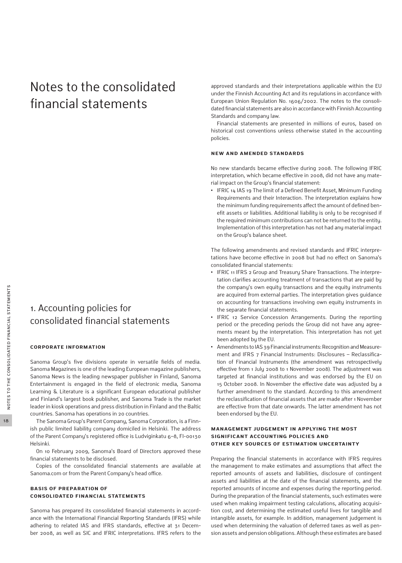## Notes to the consolidated financial statements

### 1. Accounting policies for consolidated financial statements

#### **Corporate information**

Sanoma Group's five divisions operate in versatile fields of media. Sanoma Magazines is one of the leading European magazine publishers, Sanoma News is the leading newspaper publisher in Finland, Sanoma Entertainment is engaged in the field of electronic media, Sanoma Learning & Literature is a significant European educational publisher and Finland's largest book publisher, and Sanoma Trade is the market leader in kiosk operations and press distribution in Finland and the Baltic countries. Sanoma has operations in 20 countries.

The Sanoma Group's Parent Company, Sanoma Corporation, is a Finnish public limited liability company domiciled in Helsinki. The address of the Parent Company's registered office is Ludviginkatu 6–8, FI-00130 Helsinki.

On 10 February 2009, Sanoma's Board of Directors approved these financial statements to be disclosed.

Copies of the consolidated financial statements are available at Sanoma.com or from the Parent Company's head office.

#### **Basis of preparation of consolidated financial statements**

Sanoma has prepared its consolidated financial statements in accordance with the International Financial Reporting Standards (IFRS) while adhering to related IAS and IFRS standards, effective at 31 December 2008, as well as SIC and IFRIC interpretations. IFRS refers to the

approved standards and their interpretations applicable within the EU under the Finnish Accounting Act and its regulations in accordance with European Union Regulation No. 1606/2002. The notes to the consolidated financial statements are also in accordance with Finnish Accounting Standards and company law.

Financial statements are presented in millions of euros, based on historical cost conventions unless otherwise stated in the accounting policies.

#### **New and amended standards**

No new standards became effective during 2008. The following IFRIC interpretation, which became effective in 2008, did not have any material impact on the Group's financial statement:

**•** IFRIC 14 IAS 19 The limit of a Defined Benefit Asset, Minimum Funding Requirements and their Interaction. The interpretation explains how the minimum funding requirements affect the amount of defined benefit assets or liabilities. Additional liability is only to be recognised if the required minimum contributions can not be returned to the entity. Implementation of this interpretation has not had any material impact on the Group's balance sheet.

The following amendments and revised standards and IFRIC interpretations have become effective in 2008 but had no effect on Sanoma's consolidated financial statements:

- **•** IFRIC 11 IFRS 2 Group and Treasury Share Transactions. The interpretation clarifies accounting treatment of transactions that are paid by the company's own equity transactions and the equity instruments are acquired from external parties. The interpretation gives guidance on accounting for transactions involving own equity instruments in the separate financial statements.
- **•** IFRIC 12 Service Concession Arrangements. During the reporting period or the preceding periods the Group did not have any agreements meant by the interpretation. This interpretation has not yet been adopted by the EU.
- **•** Amendments to IAS 39 Financial instruments: Recognition and Measurement and IFRS 7 Financial Instruments: Disclosures – Reclassification of Financial Instruments (the amendment was retrospectively effective from 1 July 2008 to 1 November 2008). The adjustment was targeted at financial institutions and was endorsed by the EU on 15 October 2008. In November the effective date was adjusted by a further amendment to the standard. According to this amendment the reclassification of financial assets that are made after 1 November are effective from that date onwards. The latter amendment has not been endorsed by the EU.

#### **Management judgement in applying the most significant accounting policies and other key sources of estimation uncertainty**

Preparing the financial statements in accordance with IFRS requires the management to make estimates and assumptions that affect the reported amounts of assets and liabilities, disclosure of contingent assets and liabilities at the date of the financial statements, and the reported amounts of income and expenses during the reporting period. During the preparation of the financial statements, such estimates were used when making impairment testing calculations, allocating acquisition cost, and determining the estimated useful lives for tangible and intangible assets, for example. In addition, management judgement is used when determining the valuation of deferred taxes as well as pension assets and pension obligations. Although these estimates are based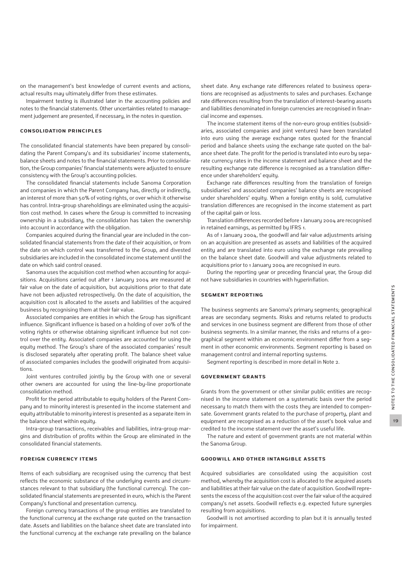on the management's best knowledge of current events and actions, actual results may ultimately differ from these estimates.

Impairment testing is illustrated later in the accounting policies and notes to the financial statements. Other uncertainties related to management judgement are presented, if necessary, in the notes in question.

#### **Consolidation principles**

The consolidated financial statements have been prepared by consolidating the Parent Company's and its subsidiaries' income statements, balance sheets and notes to the financial statements. Prior to consolidation, the Group companies' financial statements were adjusted to ensure consistency with the Group's accounting policies.

The consolidated financial statements include Sanoma Corporation and companies in which the Parent Company has, directly or indirectly, an interest of more than 50% of voting rights, or over which it otherwise has control. Intra-group shareholdings are eliminated using the acquisition cost method. In cases where the Group is committed to increasing ownership in a subsidiary, the consolidation has taken the ownership into account in accordance with the obligation.

Companies acquired during the financial year are included in the consolidated financial statements from the date of their acquisition, or from the date on which control was transferred to the Group, and divested subsidiaries are included in the consolidated income statement until the date on which said control ceased.

Sanoma uses the acquisition cost method when accounting for acquisitions. Acquisitions carried out after 1 January 2004 are measured at fair value on the date of acquisition, but acquisitions prior to that date have not been adjusted retrospectively. On the date of acquisition, the acquisition cost is allocated to the assets and liabilities of the acquired business by recognising them at their fair value.

Associated companies are entities in which the Group has significant influence. Significant influence is based on a holding of over 20% of the voting rights or otherwise obtaining significant influence but not control over the entity. Associated companies are accounted for using the equity method. The Group's share of the associated companies' result is disclosed separately after operating profit. The balance sheet value of associated companies includes the goodwill originated from acquisitions.

Joint ventures controlled jointly by the Group with one or several other owners are accounted for using the line-by-line proportionate consolidation method.

Profit for the period attributable to equity holders of the Parent Company and to minority interest is presented in the income statement and equity attributable to minority interest is presented as a separate item in the balance sheet within equity.

Intra-group transactions, receivables and liabilities, intra-group margins and distribution of profits within the Group are eliminated in the consolidated financial statements.

### **Foreign currency items**

Items of each subsidiary are recognised using the currency that best reflects the economic substance of the underlying events and circumstances relevant to that subsidiary (the functional currency). The consolidated financial statements are presented in euro, which is the Parent Company's functional and presentation currency.

Foreign currency transactions of the group entities are translated to the functional currency at the exchange rate quoted on the transaction date. Assets and liabilities on the balance sheet date are translated into the functional currency at the exchange rate prevailing on the balance sheet date. Any exchange rate differences related to business operations are recognised as adjustments to sales and purchases. Exchange rate differences resulting from the translation of interest-bearing assets and liabilities denominated in foreign currencies are recognised in financial income and expenses.

The income statement items of the non-euro group entities (subsidiaries, associated companies and joint ventures) have been translated into euro using the average exchange rates quoted for the financial period and balance sheets using the exchange rate quoted on the balance sheet date. The profit for the period is translated into euro by separate currency rates in the income statement and balance sheet and the resulting exchange rate difference is recognised as a translation difference under shareholders' equity.

Exchange rate differences resulting from the translation of foreign subsidiaries' and associated companies' balance sheets are recognised under shareholders' equity. When a foreign entity is sold, cumulative translation differences are recognised in the income statement as part of the capital gain or loss.

Translation differences recorded before 1 January 2004 are recognised in retained earnings, as permitted by IFRS 1.

As of 1 January 2004, the goodwill and fair value adjustments arising on an acquisition are presented as assets and liabilities of the acquired entity and are translated into euro using the exchange rate prevailing on the balance sheet date. Goodwill and value adjustments related to acquisitions prior to 1 January 2004 are recognised in euro.

During the reporting year or preceding financial year, the Group did not have subsidiaries in countries with hyperinflation.

#### **Segment reporting**

The business segments are Sanoma's primary segments; geographical areas are secondary segments. Risks and returns related to products and services in one business segment are different from those of other business segments. In a similar manner, the risks and returns of a geographical segment within an economic environment differ from a segment in other economic environments. Segment reporting is based on management control and internal reporting systems.

Segment reporting is described in more detail in Note 2.

#### **Government grants**

Grants from the government or other similar public entities are recognised in the income statement on a systematic basis over the period necessary to match them with the costs they are intended to compensate. Government grants related to the purchase of property, plant and equipment are recognised as a reduction of the asset's book value and credited to the income statement over the asset's useful life.

The nature and extent of government grants are not material within the Sanoma Group.

#### **Goodwill and other intangible assets**

Acquired subsidiaries are consolidated using the acquisition cost method, whereby the acquisition cost is allocated to the acquired assets and liabilities at their fair value on the date of acquisition. Goodwill represents the excess of the acquisition cost over the fair value of the acquired company's net assets. Goodwill reflects e.g. expected future synergies resulting from acquisitions.

Goodwill is not amortised according to plan but it is annually tested for impairment.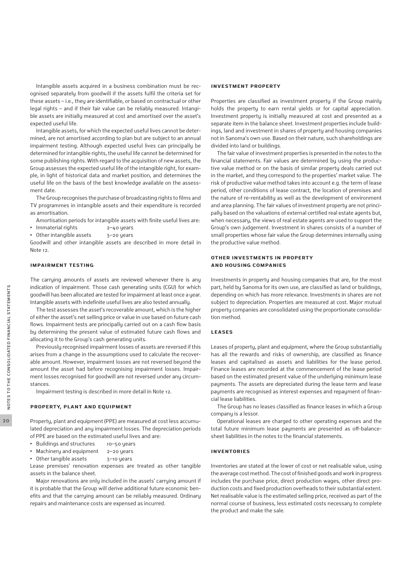Intangible assets acquired in a business combination must be recognised separately from goodwill if the assets fulfil the criteria set for these assets – i.e., they are identifiable, or based on contractual or other legal rights – and if their fair value can be reliably measured. Intangible assets are initially measured at cost and amortised over the asset's expected useful life.

Intangible assets, for which the expected useful lives cannot be determined, are not amortised according to plan but are subject to an annual impairment testing. Although expected useful lives can principally be determined for intangible rights, the useful life cannot be determined for some publishing rights. With regard to the acquisition of new assets, the Group assesses the expected useful life of the intangible right, for example, in light of historical data and market position, and determines the useful life on the basis of the best knowledge available on the assessment date.

The Group recognises the purchase of broadcasting rights to films and TV programmes in intangible assets and their expenditure is recorded as amortisation.

Amortisation periods for intangible assets with finite useful lives are:

- **•** Immaterial rights 2–40 years
- Other intangible assets 3-20 years

Goodwill and other intangible assets are described in more detail in Note 12.

#### **Impairment testing**

The carrying amounts of assets are reviewed whenever there is any indication of impairment. Those cash generating units (CGU) for which goodwill has been allocated are tested for impairment at least once a year. Intangible assets with indefinite useful lives are also tested annually.

The test assesses the asset's recoverable amount, which is the higher of either the asset's net selling price or value in use based on future cash flows. Impairment tests are principally carried out on a cash flow basis by determining the present value of estimated future cash flows and allocating it to the Group's cash generating units.

Previously recognised impairment losses of assets are reversed if this arises from a change in the assumptions used to calculate the recoverable amount. However, impairment losses are not reversed beyond the amount the asset had before recognising impairment losses. Impairment losses recognised for goodwill are not reversed under any circumstances.

Impairment testing is described in more detail in Note 12.

#### **Property, plant and equipment**

Property, plant and equipment (PPE) are measured at cost less accumulated depreciation and any impairment losses. The depreciation periods of PPE are based on the estimated useful lives and are:

- Buildings and structures 10-50 years
- Machinery and equipment 2-20 years
- Other tangible assets 3-10 years

Lease premises' renovation expenses are treated as other tangible assets in the balance sheet.

Major renovations are only included in the assets' carrying amount if it is probable that the Group will derive additional future economic benefits and that the carrying amount can be reliably measured. Ordinary repairs and maintenance costs are expensed as incurred.

#### **Investment property**

Properties are classified as investment property if the Group mainly holds the property to earn rental yields or for capital appreciation. Investment property is initially measured at cost and presented as a separate item in the balance sheet. Investment properties include buildings, land and investment in shares of property and housing companies not in Sanoma's own use. Based on their nature, such shareholdings are divided into land or buildings.

The fair value of investment properties is presented in the notes to the financial statements. Fair values are determined by using the productive value method or on the basis of similar property deals carried out in the market, and they correspond to the properties' market value. The risk of productive value method takes into account e.g. the term of lease period, other conditions of lease contract, the location of premises and the nature of re-rentability as well as the development of environment and area planning. The fair values of investment property are not principally based on the valuations of external certified real estate agents but, when necessary, the views of real estate agents are used to support the Group's own judgement. Investment in shares consists of a number of small properties whose fair value the Group determines internally using the productive value method.

#### **Other investments in property and housing companies**

Investments in property and housing companies that are, for the most part, held by Sanoma for its own use, are classified as land or buildings, depending on which has more relevance. Investments in shares are not subject to depreciation. Properties are measured at cost. Major mutual property companies are consolidated using the proportionate consolidation method.

#### **Leases**

Leases of property, plant and equipment, where the Group substantially has all the rewards and risks of ownership, are classified as finance leases and capitalised as assets and liabilities for the lease period. Finance leases are recorded at the commencement of the lease period based on the estimated present value of the underlying minimum lease payments. The assets are depreciated during the lease term and lease payments are recognised as interest expenses and repayment of financial lease liabilities.

The Group has no leases classified as finance leases in which a Group company is a lessor.

Operational leases are charged to other operating expenses and the total future minimum lease payments are presented as off-balancesheet liabilities in the notes to the financial statements.

#### **Inventories**

Inventories are stated at the lower of cost or net realisable value, using the average cost method. The cost of finished goods and work in progress includes the purchase price, direct production wages, other direct production costs and fixed production overheads to their substantial extent. Net realisable value is the estimated selling price, received as part of the normal course of business, less estimated costs necessary to complete the product and make the sale.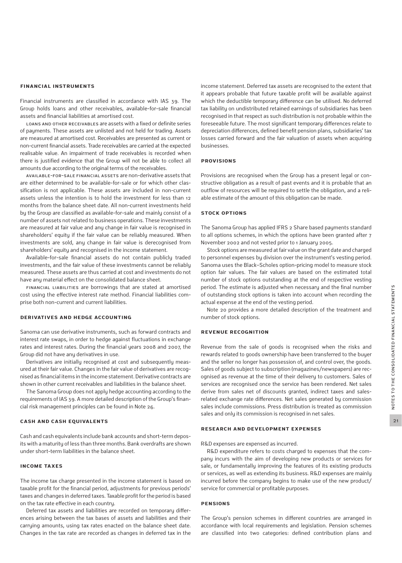#### **Financial instruments**

Financial instruments are classified in accordance with IAS 39. The Group holds loans and other receivables, available-for-sale financial assets and financial liabilities at amortised cost.

Loans and other receivables are assets with a fixed or definite series of payments. These assets are unlisted and not held for trading. Assets are measured at amortised cost. Receivables are presented as current or non-current financial assets. Trade receivables are carried at the expected realisable value. An impairment of trade receivables is recorded when there is justified evidence that the Group will not be able to collect all amounts due according to the original terms of the receivables.

Available-for-sale financial assets are non-derivative assets that are either determined to be available-for-sale or for which other classification is not applicable. These assets are included in non-current assets unless the intention is to hold the investment for less than 12 months from the balance sheet date. All non-current investments held by the Group are classified as available-for-sale and mainly consist of a number of assets not related to business operations. These investments are measured at fair value and any change in fair value is recognised in shareholders' equity if the fair value can be reliably measured. When investments are sold, any change in fair value is derecognised from shareholders' equity and recognised in the income statement.

Available-for-sale financial assets do not contain publicly traded investments, and the fair value of these investments cannot be reliably measured. These assets are thus carried at cost and investments do not have any material effect on the consolidated balance sheet.

Financial liabilities are borrowings that are stated at amortised cost using the effective interest rate method. Financial liabilities comprise both non-current and current liabilities.

#### **Derivatives and hedge accounting**

Sanoma can use derivative instruments, such as forward contracts and interest rate swaps, in order to hedge against fluctuations in exchange rates and interest rates. During the financial years 2008 and 2007, the Group did not have any derivatives in use.

Derivatives are initially recognised at cost and subsequently measured at their fair value. Changes in the fair value of derivatives are recognised as financial items in the income statement. Derivative contracts are shown in other current receivables and liabilities in the balance sheet.

The Sanoma Group does not apply hedge accounting according to the requirements of IAS 39. A more detailed description of the Group's financial risk management principles can be found in Note 26.

#### **Cash and cash equivalents**

Cash and cash equivalents include bank accounts and short-term deposits with a maturity of less than three months. Bank overdrafts are shown under short-term liabilities in the balance sheet.

#### **Income taxes**

The income tax charge presented in the income statement is based on taxable profit for the financial period, adjustments for previous periods' taxes and changes in deferred taxes. Taxable profit for the period is based on the tax rate effective in each country.

Deferred tax assets and liabilities are recorded on temporary differences arising between the tax bases of assets and liabilities and their carrying amounts, using tax rates enacted on the balance sheet date. Changes in the tax rate are recorded as changes in deferred tax in the income statement. Deferred tax assets are recognised to the extent that it appears probable that future taxable profit will be available against which the deductible temporary difference can be utilised. No deferred tax liability on undistributed retained earnings of subsidiaries has been recognised in that respect as such distribution is not probable within the foreseeable future. The most significant temporary differences relate to depreciation differences, defined benefit pension plans, subsidiaries' tax losses carried forward and the fair valuation of assets when acquiring businesses.

#### **Provisions**

Provisions are recognised when the Group has a present legal or constructive obligation as a result of past events and it is probable that an outflow of resources will be required to settle the obligation, and a reliable estimate of the amount of this obligation can be made.

#### **Stock options**

The Sanoma Group has applied IFRS 2 Share based payments standard to all options schemes, in which the options have been granted after 7 November 2002 and not vested prior to 1 January 2005.

Stock options are measured at fair value on the grant date and charged to personnel expenses by division over the instrument's vesting period. Sanoma uses the Black–Scholes option-pricing model to measure stock option fair values. The fair values are based on the estimated total number of stock options outstanding at the end of respective vesting period. The estimate is adjusted when necessary and the final number of outstanding stock options is taken into account when recording the actual expense at the end of the vesting period.

Note 20 provides a more detailed description of the treatment and number of stock options.

#### **Revenue recognition**

Revenue from the sale of goods is recognised when the risks and rewards related to goods ownership have been transferred to the buyer and the seller no longer has possession of, and control over, the goods. Sales of goods subject to subscription (magazines/newspapers) are recognised as revenue at the time of their delivery to customers. Sales of services are recognised once the service has been rendered. Net sales derive from sales net of discounts granted, indirect taxes and salesrelated exchange rate differences. Net sales generated by commission sales include commissions. Press distribution is treated as commission sales and only its commission is recognised in net sales.

#### **Research and development expenses**

R&D expenses are expensed as incurred.

R&D expenditure refers to costs charged to expenses that the company incurs with the aim of developing new products or services for sale, or fundamentally improving the features of its existing products or services, as well as extending its business. R&D expenses are mainly incurred before the company begins to make use of the new product/ service for commercial or profitable purposes.

#### **Pensions**

The Group's pension schemes in different countries are arranged in accordance with local requirements and legislation. Pension schemes are classified into two categories: defined contribution plans and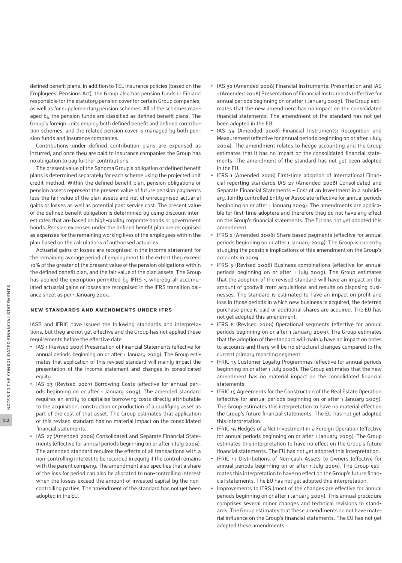defined benefit plans. In addition to TEL insurance policies (based on the Employees' Pensions Act), the Group also has pension funds in Finland responsible for the statutory pension cover for certain Group companies, as well as for supplementary pension schemes. All of the schemes managed by the pension funds are classified as defined benefit plans. The Group's foreign units employ both defined benefit and defined contribution schemes, and the related pension cover is managed by both pension funds and insurance companies.

Contributions under defined contribution plans are expensed as incurred, and once they are paid to insurance companies the Group has no obligation to pay further contributions.

The present value of the Sanoma Group's obligation of defined benefit plans is determined separately for each scheme using the projected unit credit method. Within the defined benefit plan, pension obligations or pension assets represent the present value of future pension payments less the fair value of the plan assets and net of unrecognised actuarial gains or losses as well as potential past service cost. The present value of the defined benefit obligation is determined by using discount interest rates that are based on high-quality corporate bonds or government bonds. Pension expenses under the defined benefit plan are recognised as expenses for the remaining working lives of the employees within the plan based on the calculations of authorised actuaries.

Actuarial gains or losses are recognised in the income statement for the remaining average period of employment to the extent they exceed 10% of the greater of the present value of the pension obligations within the defined benefit plan, and the fair value of the plan assets. The Group has applied the exemption permitted by IFRS 1, whereby all accumulated actuarial gains or losses are recognised in the IFRS transition balance sheet as per 1 January 2004.

#### **New standards and amendments under IFRS**

IASB and IFRIC have issued the following standards and interpretations, but they are not yet effective and the Group has not applied these requirements before the effective date.

- **•** IAS 1 (Revised 2007) Presentation of Financial Statements (effective for annual periods beginning on or after 1 January 2009). The Group estimates that application of this revised standard will mainly impact the presentation of the income statement and changes in consolidated equity.
- **•** IAS 23 (Revised 2007) Borrowing Costs (effective for annual periods beginning on or after 1 January 2009). The amended standard requires an entity to capitalise borrowing costs directly attributable to the acquisition, construction or production of a qualifying asset as part of the cost of that asset. The Group estimates that application of this revised standard has no material impact on the consolidated financial statements.
- **•** IAS 27 (Amended 2008) Consolidated and Separate Financial Statements (effective for annual periods beginning on or after 1 July 2009). The amended standard requires the effects of all transactions with a non-controlling interest to be recorded in equity if the control remains with the parent company. The amendment also specifies that a share of the loss for period can also be allocated to non-controlling interest when the losses exceed the amount of invested capital by the noncontrolling parties. The amendment of the standard has not yet been adopted in the EU.
- **•** IAS 32 (Amended 2008) Financial Instruments: Presentation and IAS 1 (Amended 2008) Presentation of Financial Instruments (effective for annual periods beginning on or after 1 January 2009). The Group estimates that the new amendment has no impact on the consolidated financial statements. The amendment of the standard has not yet been adopted in the EU.
- **•** IAS 39 (Amended 2008) Financial Instruments: Recognition and Measurement (effective for annual periods beginning on or after 1 July 2009). The amendment relates to hedge accounting and the Group estimates that it has no impact on the consolidated financial statements. The amendment of the standard has not yet been adopted in the EU.
- **•** IFRS 1 (Amended 2008) First-time adoption of International Financial reporting standards IAS 27 (Amended 2008) Consolidated and Separate Financial Statements – Cost of an Investment in a subsidiary, Jointly controlled Entity or Associate (effective for annual periods beginning on or after 1 January 2009). The amendments are applicable for first-time adopters and therefore they do not have any effect on the Group's financial statements. The EU has not yet adopted this amendment.
- **•** IFRS 2 (Amended 2008) Share based payments (effective for annual periods beginning on or after 1 January 2009). The Group is currently studying the possible implications of this amendment on the Group's accounts in 2009.
- **•** IFRS 3 (Revised 2008) Business combinations (effective for annual periods beginning on or after 1 July 2009). The Group estimates that the adoption of the revised standard will have an impact on the amount of goodwill from acquisitions and results on disposing businesses. The standard is estimated to have an impact on profit and loss in those periods in which new business is acquired, the deferred purchase price is paid or additional shares are acquired. The EU has not yet adopted this amendment.
- **•** IFRS 8 (Revised 2008) Operational segments (effective for annual periods beginning on or after 1 January 2009). The Group estimates that the adoption of the standard will mainly have an impact on notes to accounts and there will be no structural changes compared to the current primary reporting segment.
- **•** IFRIC 13 Customer Loyalty Programmes (effective for annual periods beginning on or after 1 July 2008). The Group estimates that the new amendment has no material impact on the consolidated financial statements.
- **•** IFRIC 15 Agreements for the Construction of the Real Estate Operation (effective for annual periods beginning on or after 1 January 2009). The Group estimates this interpretation to have no material effect on the Group's future financial statements. The EU has not yet adopted this interpretation.
- **•** IFRIC 16 Hedges of a Net Investment in a Foreign Operation (effective for annual periods beginning on or after 1 January 2009). The Group estimates this interpretation to have no effect on the Group's future financial statements. The EU has not yet adopted this interpretation.
- **•** IFRIC 17 Distributions of Non-cash Assets to Owners (effective for annual periods beginning on or after 1 July 2009). The Group estimates this interpretation to have no effect on the Group's future financial statements. The EU has not yet adopted this interpretation.
- **•** Improvements to IFRS (most of the changes are effective for annual periods beginning on or after 1 January 2009). This annual procedure comprises several minor changes and technical revisions to standards. The Group estimates that these amendments do not have material influence on the Group's financial statements. The EU has not yet adopted these amendments.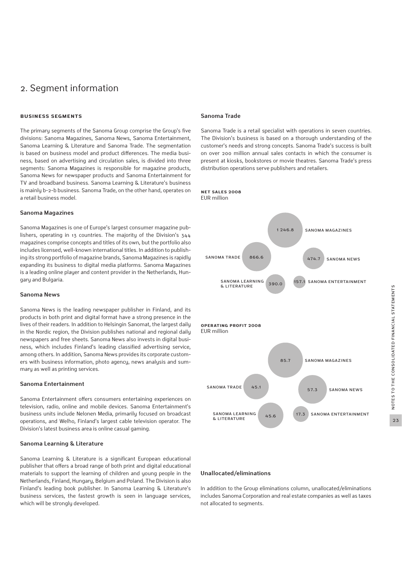### 2. Segment information

#### **Business segments**

The primary segments of the Sanoma Group comprise the Group's five divisions: Sanoma Magazines, Sanoma News, Sanoma Entertainment, Sanoma Learning & Literature and Sanoma Trade. The segmentation is based on business model and product differences. The media business, based on advertising and circulation sales, is divided into three segments: Sanoma Magazines is responsible for magazine products, Sanoma News for newspaper products and Sanoma Entertainment for TV and broadband business. Sanoma Learning & Literature's business is mainly b-2-b business. Sanoma Trade, on the other hand, operates on a retail business model.

#### **Sanoma Magazines**

Sanoma Magazines is one of Europe's largest consumer magazine publishers, operating in 13 countries. The majority of the Division's 344 magazines comprise concepts and titles of its own, but the portfolio also includes licensed, well-known international titles. In addition to publishing its strong portfolio of magazine brands, Sanoma Magazines is rapidly expanding its business to digital media platforms. Sanoma Magazines is a leading online player and content provider in the Netherlands, Hungary and Bulgaria.

#### **Sanoma News**

Sanoma News is the leading newspaper publisher in Finland, and its products in both print and digital format have a strong presence in the lives of their readers. In addition to Helsingin Sanomat, the largest daily in the Nordic region, the Division publishes national and regional daily newspapers and free sheets. Sanoma News also invests in digital business, which includes Finland's leading classified advertising service, among others. In addition, Sanoma News provides its corporate customers with business information, photo agency, news analysis and summary as well as printing services.

#### **Sanoma Entertainment**

Sanoma Entertainment offers consumers entertaining experiences on television, radio, online and mobile devices. Sanoma Entertainment's business units include Nelonen Media, primarily focused on broadcast operations, and Welho, Finland's largest cable television operator. The Division's latest business area is online casual gaming.

#### **Sanoma Learning & Literature**

Sanoma Learning & Literature is a significant European educational publisher that offers a broad range of both print and digital educational materials to support the learning of children and young people in the Netherlands, Finland, Hungary, Belgium and Poland. The Division is also Finland's leading book publisher. In Sanoma Learning & Literature's business services, the fastest growth is seen in language services, which will be strongly developed.

#### **Sanoma Trade**

Sanoma Trade is a retail specialist with operations in seven countries. The Division's business is based on a thorough understanding of the customer's needs and strong concepts. Sanoma Trade's success is built on over 200 million annual sales contacts in which the consumer is present at kiosks, bookstores or movie theatres. Sanoma Trade's press distribution operations serve publishers and retailers.







#### **Unallocated/eliminations**

In addition to the Group eliminations column, unallocated/eliminations includes Sanoma Corporation and real estate companies as well as taxes not allocated to segments.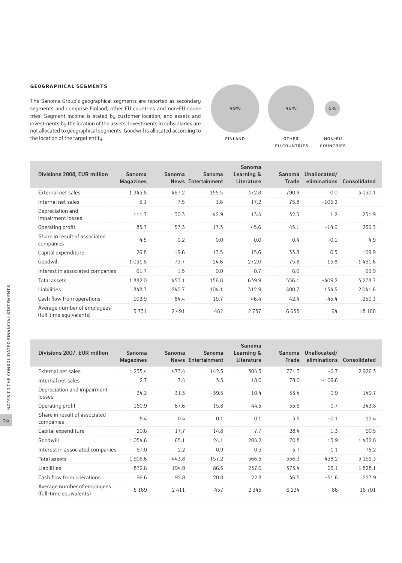#### **Geographical segments**

The Sanoma Group's geographical segments are reported as secondary segments and comprise Finland, other EU countries and non-EU countries. Segment income is stated by customer location, and assets and investments by the location of the assets. Investments in subsidiaries are not allocated to geographical segments. Goodwill is allocated according to the location of the target entity. The intervals of the target entity. The intervals of the target entity.



| Divisions 2008, EUR million                            | <b>Sanoma</b><br><b>Magazines</b> | <b>Sanoma</b> | <b>Sanoma</b><br>News Entertainment | Sanoma<br>Learning &<br>Literature | <b>Sanoma</b><br><b>Trade</b> | Unallocated/ | eliminations Consolidated |
|--------------------------------------------------------|-----------------------------------|---------------|-------------------------------------|------------------------------------|-------------------------------|--------------|---------------------------|
| External net sales                                     | 1 2 4 3 . 8                       | 467.2         | 155.5                               | 372.8                              | 790.9                         | 0.0          | 3 0 3 0.1                 |
| Internal net sales                                     | 3.1                               | 7.5           | 1.6                                 | 17.2                               | 75.8                          | $-105.2$     |                           |
| Depreciation and<br>impairment losses                  | 111.7                             | 30.3          | 42.9                                | 13.4                               | 32.5                          | 1.2          | 231.9                     |
| Operating profit                                       | 85.7                              | 57.3          | 17.3                                | 45.6                               | 45.1                          | $-14.6$      | 236.3                     |
| Share in result of associated<br>companies             | 4.5                               | 0.2           | 0.0                                 | 0.0                                | 0.4                           | $-0.1$       | 4.9                       |
| Capital expenditure                                    | 26.8                              | 19.6          | 13.5                                | 15.6                               | 33.8                          | 0.5          | 109.9                     |
| Goodwill                                               | 1031.6                            | 73.7          | 24.6                                | 272.0                              | 75.8                          | 13.8         | 1491.6                    |
| Interest in associated companies                       | 61.7                              | 1.5           | 0.0                                 | 0.7                                | 6.0                           |              | 69.9                      |
| Total assets                                           | 1882.0                            | 453.1         | 156.8                               | 639.9                              | 556.1                         | $-409.2$     | 3 2 7 8 . 7               |
| Liabilities                                            | 848.7                             | 240.7         | 104.1                               | 312.9                              | 400.7                         | 134.5        | 2041.6                    |
| Cash flow from operations                              | 102.9                             | 84.4          | 19.7                                | 46.4                               | 42.4                          | $-45.4$      | 250.3                     |
| Average number of employees<br>(full-time equivalents) | 5731                              | 2491          | 482                                 | 2737                               | 6633                          | 94           | 18 168                    |

| Divisions 2007, EUR million                            | Sanoma<br><b>Magazines</b> | Sanoma | Sanoma<br><b>News Entertainment</b> | Sanoma<br>Learning &<br>Literature | <b>Sanoma</b><br><b>Trade</b> | Unallocated/<br>eliminations | Consolidated |
|--------------------------------------------------------|----------------------------|--------|-------------------------------------|------------------------------------|-------------------------------|------------------------------|--------------|
| External net sales                                     | 1 2 3 5 . 4                | 473.4  | 142.5                               | 304.5                              | 771.3                         | $-0.7$                       | 2926.3       |
| Internal net sales                                     | 2.7                        | 7.4    | 3.5                                 | 18.0                               | 78.0                          | $-109.6$                     |              |
| Depreciation and impairment<br>losses                  | 34.2                       | 31.3   | 39.5                                | 10.4                               | 33.4                          | 0.9                          | 149.7        |
| Operating profit                                       | 160.9                      | 67.6   | 15.8                                | 44.5                               | 55.6                          | $-0.7$                       | 343.8        |
| Share in result of associated<br>companies             | 8.4                        | 0.4    | 0.1                                 | 0.1                                | 3.5                           | $-0.1$                       | 12.4         |
| Capital expenditure                                    | 20.6                       | 17.7   | 14.8                                | 7.7                                | 28.4                          | 1.3                          | 90.5         |
| Goodwill                                               | 1 0 5 4 . 6                | 65.1   | 24.1                                | 204.2                              | 70.8                          | 13.9                         | 1432.8       |
| Interest in associated companies                       | 67.0                       | 2.2    | 0.9                                 | 0.3                                | 5.7                           | $-1.1$                       | 75.2         |
| Total assets                                           | 1 906.6                    | 443.8  | 157.2                               | 566.5                              | 556.3                         | $-438.2$                     | 3 1 9 2 . 3  |
| Liabilities                                            | 872.6                      | 194.9  | 86.5                                | 237.6                              | 373.4                         | 63.1                         | 1828.1       |
| Cash flow from operations                              | 96.6                       | 92.8   | 20.8                                | 22.8                               | 46.5                          | $-51.6$                      | 227.9        |
| Average number of employees<br>(full-time equivalents) | 5 1 6 9                    | 2411   | 457                                 | 2 3 4 5                            | 6 2 3 4                       | 86                           | 16 701       |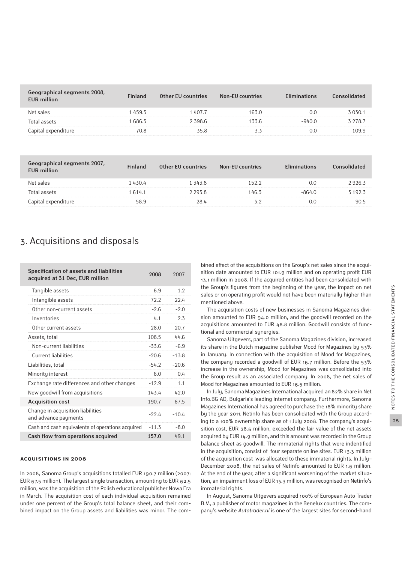| Geographical segments 2008,<br><b>EUR million</b> | ıland | Other EU countries | <b>Non-EU countries</b> |     |
|---------------------------------------------------|-------|--------------------|-------------------------|-----|
| Net sales                                         | 459.5 | 407.7              |                         |     |
| lotal assets                                      | 686 5 | 398.6              |                         | 78. |
| Capital expenditure                               |       | 55.8               |                         |     |

| raphical segments 2007,<br><b>EUR</b> million | Finland | Other EU countries | Non-EU countries | <i>iminations</i> |         |
|-----------------------------------------------|---------|--------------------|------------------|-------------------|---------|
| Net sales                                     | 430.4   | 343.8              | 1522             |                   | 7 926 F |
| Total assets                                  | 614.1   | 2958               | 46.3             |                   | 3 192 3 |
| Capital expenditure                           | 58 9    | 28 L               |                  |                   |         |

### 3. Acquisitions and disposals

| Specification of assets and liabilities<br>acquired at 31 Dec, EUR million | 2008    | 2007    |
|----------------------------------------------------------------------------|---------|---------|
| Tangible assets                                                            | 6.9     | 1.2     |
| Intangible assets                                                          | 72.2    | 22.4    |
| Other non-current assets                                                   | $-2.6$  | $-2.0$  |
| Inventories                                                                | 4.1     | 2.3     |
| Other current assets                                                       | 28.0    | 20.7    |
| Assets, total                                                              | 108.5   | 44.6    |
| Non-current liabilities                                                    | $-33.6$ | $-6.9$  |
| Current liabilities                                                        | $-20.6$ | $-13.8$ |
| Liabilities, total                                                         | $-54.2$ | $-206$  |
| Minority interest                                                          | 6.0     | 0.4     |
| Exchange rate differences and other changes                                | $-12.9$ | 1.1     |
| New goodwill from acquisitions                                             | 143.4   | 42.0    |
| <b>Acquisition cost</b>                                                    | 190.7   | 67.5    |
| Change in acquisition liabilities<br>and advance payments                  | $-22.4$ | $-10.4$ |
| Cash and cash equivalents of operations acquired                           | $-11.3$ | $-8.0$  |
| Cash flow from operations acquired                                         | 157.0   | 49.1    |

#### **Acquisitions in 2008**

In 2008, Sanoma Group's acquisitions totalled EUR 190.7 million (2007: EUR 67.5 million). The largest single transaction, amounting to EUR 62.5 million, was the acquisition of the Polish educational publisher Nowa Era in March. The acquisition cost of each individual acquisition remained under one percent of the Group's total balance sheet, and their combined impact on the Group assets and liabilities was minor. The combined effect of the acquisitions on the Group's net sales since the acquisition date amounted to EUR 101.9 million and on operating profit EUR 13.1 million in 2008. If the acquired entities had been consolidated with the Group's figures from the beginning of the year, the impact on net sales or on operating profit would not have been materially higher than mentioned above.

The acquisition costs of new businesses in Sanoma Magazines division amounted to EUR 94.0 million, and the goodwill recorded on the acquisitions amounted to EUR 48.8 million. Goodwill consists of functional and commercial synergies.

Sanoma Uitgevers, part of the Sanoma Magazines division, increased its share in the Dutch magazine publisher Mood for Magazines by 53% in January. In connection with the acquisition of Mood for Magazines, the company recorded a goodwill of EUR 16.7 million. Before the 53% increase in the ownership, Mood for Magazines was consolidated into the Group result as an associated company. In 2008, the net sales of Mood for Magazines amounted to EUR 16.5 million.

In July, Sanoma Magazines International acquired an 82% share in Net Info.BG AD, Bulgaria's leading internet company. Furthermore, Sanoma Magazines International has agreed to purchase the 18% minority share by the year 2011. Netinfo has been consolidated with the Group according to a 100% ownership share as of 1 July 2008. The company's acquisition cost, EUR 28.6 million, exceeded the fair value of the net assets acquired by EUR 14.9 million, and this amount was recorded in the Group balance sheet as goodwill. The immaterial rights that were indentified in the acquisition, consist of four separate online sites. EUR 13.3 million of the acquisition cost was allocated to these immaterial rights. In July– December 2008, the net sales of Netinfo amounted to EUR 1.6 million. At the end of the year, after a significant worsening of the market situation, an impairment loss of EUR 13.3 million, was recognised on Netinfo's immaterial rights.

In August, Sanoma Uitgevers acquired 100% of European Auto Trader B.V., a publisher of motor magazines in the Benelux countries. The company's website *Autotrader.nl* is one of the largest sites for second-hand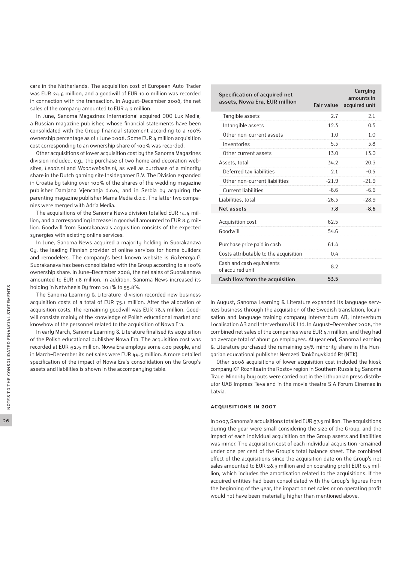cars in the Netherlands. The acquisition cost of European Auto Trader was EUR 24.6 million, and a goodwill of EUR 10.0 million was recorded in connection with the transaction. In August–December 2008, the net sales of the company amounted to EUR 4.2 million.

In June, Sanoma Magazines International acquired OOO Lux Media, a Russian magazine publisher, whose financial statements have been consolidated with the Group financial statement according to a 100% ownership percentage as of 1 June 2008. Some EUR 4 million acquisition cost corresponding to an ownership share of 100% was recorded.

Other acquisitions of lower acquisition cost by the Sanoma Magazines division included, e.g., the purchase of two home and decoration websites, *Leadz.nl* and *Woonwebsite.nl*, as well as purchase of a minority share in the Dutch gaming site Insidegamer B.V. The Division expanded in Croatia by taking over 100% of the shares of the wedding magazine publisher Damjana Vjencanja d.o.o., and in Serbia by acquiring the parenting magazine publisher Mama Media d.o.o. The latter two companies were merged with Adria Media.

The acquisitions of the Sanoma News division totalled EUR 14.4 million, and a corresponding increase in goodwill amounted to EUR 8.6 million. Goodwill from Suorakanava's acquisition consists of the expected synergies with existing online services.

In June, Sanoma News acquired a majority holding in Suorakanava Oy, the leading Finnish provider of online services for home builders and remodelers. The company's best known website is *Rakentaja.fi*. Suorakanava has been consolidated with the Group according to a 100% ownership share. In June–December 2008, the net sales of Suorakanava amounted to EUR 1.8 million. In addition, Sanoma News increased its holding in Netwheels Oy from 20.1% to 55.8%.

The Sanoma Learning & Literature division recorded new business acquisition costs of a total of EUR 75.1 million. After the allocation of acquisition costs, the remaining goodwill was EUR 78.3 million. Goodwill consists mainly of the knowledge of Polish educational market and knowhow of the personnel related to the acquisition of Nowa Era.

In early March, Sanoma Learning & Literature finalised its acquisition of the Polish educational publisher Nowa Era. The acquisition cost was recorded at EUR 62.5 million. Nowa Era employs some 400 people, and in March–December its net sales were EUR 44.5 million. A more detailed specification of the impact of Nowa Era's consolidation on the Group's assets and liabilities is shown in the accompanying table.

| Specification of acquired net<br>assets, Nowa Era, EUR million | <b>Fair value</b> | Carrying<br>amounts in<br>acquired unit |
|----------------------------------------------------------------|-------------------|-----------------------------------------|
| Tangible assets                                                | 2.7               | 2.1                                     |
| Intangible assets                                              | 12.3              | 0.5                                     |
| Other non-current assets                                       | 1.0               | 1.0                                     |
| Inventories                                                    | 5.3               | 3.8                                     |
| Other current assets                                           | 13.0              | 13.0                                    |
| Assets, total                                                  | 34.2              | 20.3                                    |
| Deferred tax liabilities                                       | 2.1               | $-0.5$                                  |
| Other non-current liabilities                                  | $-21.9$           | $-21.9$                                 |
| Current liabilities                                            | $-6.6$            | $-6.6$                                  |
| Liabilities, total                                             | $-26.3$           | $-28.9$                                 |
| Net assets                                                     | 7.8               | $-8.6$                                  |
| Acquisition cost                                               | 62.5              |                                         |
| Goodwill                                                       | 54.6              |                                         |
| Purchase price paid in cash                                    | 61.4              |                                         |
| Costs attributable to the acquisition                          | 0.4               |                                         |
| Cash and cash equivalents<br>of acquired unit                  | 8.2               |                                         |
| Cash flow from the acquisition                                 | 53.5              |                                         |

In August, Sanoma Learning & Literature expanded its language services business through the acquisition of the Swedish translation, localisation and language training company Interverbum AB, Interverbum Localisation AB and Interverbum UK Ltd. In August–December 2008, the combined net sales of the companies were EUR 4.1 million, and they had an average total of about 60 employees. At year end, Sanoma Learning & Literature purchased the remaining 25% minority share in the Hungarian educational publisher Nemzeti Tankönyvkiadó Rt (NTK).

Other 2008 acquisitions of lower acquisition cost included the kiosk company KP Roznitsa in the Rostov region in Southern Russia by Sanoma Trade. Minority buy outs were carried out in the Lithuanian press distributor UAB Impress Teva and in the movie theatre SIA Forum Cinemas in Latvia.

#### **Acquisitions in 2007**

In 2007, Sanoma's acquisitions totalled EUR 67.5 million. The acquisitions during the year were small considering the size of the Group, and the impact of each individual acquisition on the Group assets and liabilities was minor. The acquisition cost of each individual acquisition remained under one per cent of the Group's total balance sheet. The combined effect of the acquisitions since the acquisition date on the Group's net sales amounted to EUR 28.3 million and on operating profit EUR 0.3 million, which includes the amortisation related to the acquisitions. If the acquired entities had been consolidated with the Group's figures from the beginning of the year, the impact on net sales or on operating profit would not have been materially higher than mentioned above.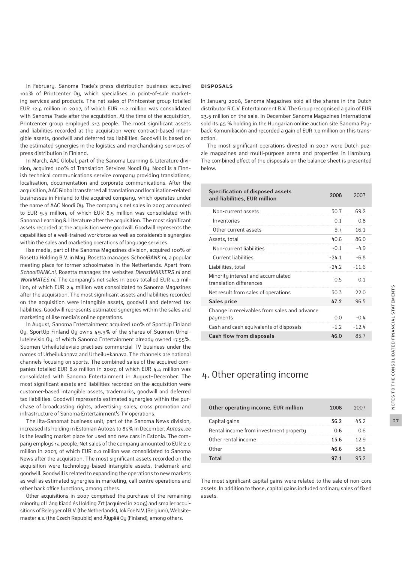In February, Sanoma Trade's press distribution business acquired 100% of Printcenter Oy, which specialises in point-of-sale marketing services and products. The net sales of Printcenter group totalled EUR 12.6 million in 2007, of which EUR 11.2 million was consolidated with Sanoma Trade after the acquisition. At the time of the acquisition, Printcenter group employed 213 people. The most significant assets and liabilities recorded at the acquisition were contract-based intangible assets, goodwill and deferred tax liabilities. Goodwill is based on the estimated synergies in the logistics and merchandising services of press distribution in Finland.

In March, AAC Global, part of the Sanoma Learning & Literature division, acquired 100% of Translation Services Noodi Oy. Noodi is a Finnish technical communications service company providing translations, localisation, documentation and corporate communications. After the acquisition, AAC Global transferred all translation and localisation-related businesses in Finland to the acquired company, which operates under the name of AAC Noodi Oy. The company's net sales in 2007 amounted to EUR 9.3 million, of which EUR 8.5 million was consolidated with Sanoma Learning & Literature after the acquisition. The most significant assets recorded at the acquisition were goodwill. Goodwill represents the capabilities of a well-trained workforce as well as considerable synergies within the sales and marketing operations of language services.

Ilse media, part of the Sanoma Magazines division, acquired 100% of Rosetta Holding B.V. in May. Rosetta manages *SchoolBANK.nl*, a popular meeting place for former schoolmates in the Netherlands. Apart from *SchoolBANK.nl*, Rosetta manages the websites *DienstMAKKERS.nl* and *WorkMATES.nl*. The company's net sales in 2007 totalled EUR 4.2 million, of which EUR 2.4 million was consolidated to Sanoma Magazines after the acquisition. The most significant assets and liabilities recorded on the acquisition were intangible assets, goodwill and deferred tax liabilities. Goodwill represents estimated synergies within the sales and marketing of ilse media's online operations.

In August, Sanoma Entertainment acquired 100% of SportUp Finland Oy. SportUp Finland Oy owns 49.9% of the shares of Suomen Urheilutelevisio Oy, of which Sanoma Entertainment already owned 17.55%. Suomen Urheilutelevisio practises commercial TV business under the names of Urheilukanava and Urheilu+kanava. The channels are national channels focusing on sports. The combined sales of the acquired companies totalled EUR 8.0 million in 2007, of which EUR 4.4 million was consolidated with Sanoma Entertainment in August−December. The most significant assets and liabilities recorded on the acquisition were customer-based intangible assets, trademarks, goodwill and deferred tax liabilities. Goodwill represents estimated synergies within the purchase of broadcasting rights, advertising sales, cross promotion and infrastructure of Sanoma Entertainment's TV operations.

The Ilta-Sanomat business unit, part of the Sanoma News division, increased its holding in Estonian Auto24 to 85% in December. *Auto24.ee* is the leading market place for used and new cars in Estonia. The company employs 14 people. Net sales of the company amounted to EUR 2.0 million in 2007, of which EUR 0.0 million was consolidated to Sanoma News after the acquisition. The most significant assets recorded on the acquisition were technology-based intangible assets, trademark and goodwill. Goodwill is related to expanding the operations to new markets as well as estimated synergies in marketing, call centre operations and other back office functions, among others.

Other acquisitions in 2007 comprised the purchase of the remaining minority of Láng Kiadó és Holding Zrt (acquired in 2006) and smaller acquisitions of Belegger.nl B.V. (the Netherlands), Jok Foe N.V. (Belgium), Websitemaster a.s. (the Czech Republic) and Älypää Oy (Finland), among others.

#### **Disposals**

In January 2008, Sanoma Magazines sold all the shares in the Dutch distributor R.C.V. Entertainment B.V. The Group recognised a gain of EUR 23.5 million on the sale. In December Sanoma Magazines International sold its 65 % holding in the Hungarian online auction site Sanoma Payback Komunikáción and recorded a gain of EUR 7.0 million on this transaction.

The most significant operations divested in 2007 were Dutch puzzle magazines and multi-purpose arena and properties in Hamburg. The combined effect of the disposals on the balance sheet is presented below.

| Specification of disposed assets<br>and liabilities, EUR million | 2008    | 2007       |
|------------------------------------------------------------------|---------|------------|
| Non-current assets                                               | 30.7    | 69.2       |
| Inventories                                                      | 0.1     | 0.8        |
| Other current assets                                             | 9.7     | 16.1       |
| Assets, total                                                    | 40.6    | 86.0       |
| Non-current liabilities                                          | $-0.1$  | $-4.9$     |
| Current liabilities                                              | $-24.1$ | $-6.8$     |
| Liabilities, total                                               | $-24.2$ | $-11.6$    |
| Minority interest and accumulated<br>translation differences     | 0.5     | $\Omega$ 1 |
| Net result from sales of operations                              | 30.3    | 22.0       |
| Sales price                                                      | 47.2    | 96.5       |
| Change in receivables from sales and advance                     |         |            |
| payments                                                         | 0.0     | $-0.4$     |
| Cash and cash equivalents of disposals                           | $-1.2$  | $-12.4$    |
| Cash flow from disposals                                         | 46.0    | 83.7       |

### 4. Other operating income

| Other operating income, EUR million    | 2008 |       |
|----------------------------------------|------|-------|
| Capital gains                          | 36.2 | 432   |
| Rental income from investment property | ០ ឥ  |       |
| Other rental income                    | 136  | 1 ን ዓ |
| <b>Other</b>                           | 46 հ | 38 5  |
| ا د <del>۱</del> ۰                     | 971  |       |

The most significant capital gains were related to the sale of non-core assets. In addition to those, capital gains included ordinary sales of fixed assets.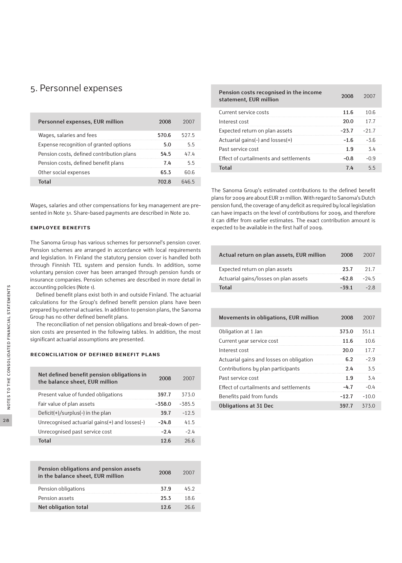### 5. Personnel expenses

| Personnel expenses, EUR million           | 2008  |      |
|-------------------------------------------|-------|------|
| Wages, salaries and fees                  | 570.6 | 5275 |
| Expense recognition of granted options    | 5 O   | 55   |
| Pension costs, defined contribution plans | 545   | 474  |
| Pension costs, defined benefit plans      | 7 L   | ካ ካ  |
| Other social expenses                     | 65 3  | 60 R |
| Total                                     | 702 R | 6465 |
|                                           |       |      |

Wages, salaries and other compensations for key management are presented in Note 31. Share-based payments are described in Note 20.

#### **Employee benefits**

The Sanoma Group has various schemes for personnel's pension cover. Pension schemes are arranged in accordance with local requirements and legislation. In Finland the statutory pension cover is handled both through Finnish TEL system and pension funds. In addition, some voluntary pension cover has been arranged through pension funds or insurance companies. Pension schemes are described in more detail in accounting policies (Note 1).

Defined benefit plans exist both in and outside Finland. The actuarial calculations for the Group's defined benefit pension plans have been prepared by external actuaries. In addition to pension plans, the Sanoma Group has no other defined benefit plans.

The reconciliation of net pension obligations and break-down of pension costs are presented in the following tables. In addition, the most significant actuarial assumptions are presented.

#### **Reconciliation of defined benefit plans**

| Net defined benefit pension obligations in<br>the balance sheet, EUR million | 2008     | 2007     |
|------------------------------------------------------------------------------|----------|----------|
| Present value of funded obligations                                          | 397.7    | 373.0    |
| Fair value of plan assets                                                    | $-558.0$ | $-385.5$ |
| Deficit(+)/surplus(-) in the plan                                            | 39.7     | $-12.5$  |
| Unrecognised actuarial gains(+) and losses(-)                                | -24.8    | 415      |
| Unrecognised past service cost                                               | -94      | $-24$    |
| Total                                                                        | 12 6     | 266      |

| Pension obligations and pension assets<br>in the balance sheet, EUR million | 2008 | 2007 |
|-----------------------------------------------------------------------------|------|------|
| Pension obligations                                                         | 37.9 | 45.2 |
| Pension assets                                                              | 253  | 18.6 |
| Net obligation total                                                        | 12 6 | 266  |

| Pension costs recognised in the income<br>statement, EUR million | 2008          |      |
|------------------------------------------------------------------|---------------|------|
| Current service costs                                            | 11.6          | 1()6 |
| Interest cost                                                    | 20.0          | 177  |
| Expected return on plan assets                                   | $-237 - -217$ |      |
| Actuarial gains(-) and $losses(+)$                               | -16           | -36  |
| Past service cost                                                | 1 9.          | ላ 4  |
| Effect of curtailments and settlements                           | nя            | n a  |
| ัก†อ                                                             |               |      |

The Sanoma Group's estimated contributions to the defined benefit plans for 2009 are about EUR 21 million. With regard to Sanoma's Dutch pension fund, the coverage of any deficit as required by local legislation can have impacts on the level of contributions for 2009, and therefore it can differ from earlier estimates. The exact contribution amount is expected to be available in the first half of 2009.

| Actual return on plan assets, EUR million | 2008  | 2007   |
|-------------------------------------------|-------|--------|
| Expected return on plan assets            | 23.7  | 21.7   |
| Actuarial gains/losses on plan assets     | -62 8 | $-245$ |
| Total                                     | -39.1 | -28    |

| Movements in obligations, EUR million    | 2008    | 2007    |
|------------------------------------------|---------|---------|
| Obligation at 1 Jan                      | 373.0   | 351.1   |
| Current year service cost                | 11.6    | 10.6    |
| Interest cost                            | 20.0    | 17.7    |
| Actuarial gains and losses on obligation | 6.2     | $-29$   |
| Contributions by plan participants       | 2.4     | 3.5     |
| Past service cost                        | 1 9     | 3.4     |
| Effect of curtailments and settlements   | -47     | $-0.4$  |
| Benefits paid from funds                 | $-12.7$ | $-10.0$ |
| <b>Obligations at 31 Dec</b>             | 397.7   | 373.0   |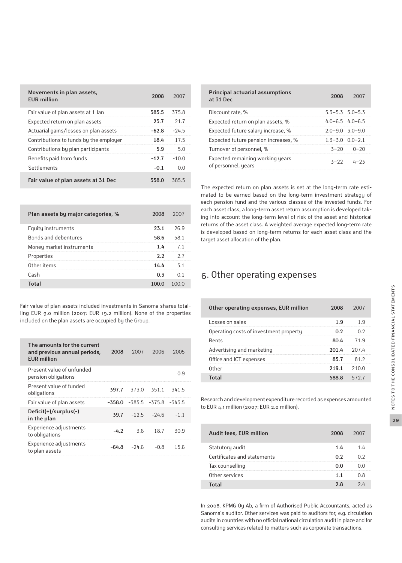| Movements in plan assets,<br><b>FUR million</b> | 2008    | 2007    |
|-------------------------------------------------|---------|---------|
| Fair value of plan assets at 1 Jan              | 385.5   | 375.8   |
| Expected return on plan assets                  | 23.7    | 21.7    |
| Actuarial gains/losses on plan assets           | $-62.8$ | $-24.5$ |
| Contributions to funds by the employer          | 18.4    | 17.5    |
| Contributions by plan participants              | 5.9     | 5.0     |
| Benefits paid from funds                        | $-12.7$ | $-10.0$ |
| Settlements                                     | $-0.1$  | 0 Q     |
| Fair value of plan assets at 31 Dec             | 358.0   | 385.5   |

| Plan assets by major categories, % | 2008 | 2007 |
|------------------------------------|------|------|
| Equity instruments                 | 23.1 | 26.9 |
| Bonds and debentures               | 58.6 | 581  |
| Money market instruments           | 14   | 71   |
| Properties                         | 2.2  | 27   |
| Other items                        | 14.4 | 51   |
| Cash                               | በ ኝ  |      |
| Total                              |      |      |

Fair value of plan assets included investments in Sanoma shares totalling EUR 9.0 million (2007: EUR 19.2 million). None of the properties included on the plan assets are occupied by the Group.

| The amounts for the current<br>and previous annual periods,<br><b>EUR</b> million | 2008     | 2007    | 2006             | 2005     |
|-----------------------------------------------------------------------------------|----------|---------|------------------|----------|
| Present value of unfunded<br>pension obligations                                  |          |         |                  | 0.9      |
| Present value of funded<br>obligations                                            | 397.7    | 373.0   | 351.1            | 341.5    |
| Fair value of plan assets                                                         | $-558.0$ |         | $-385.5 - 375.8$ | $-343.5$ |
| Deficit(+)/surplus(-)<br>in the plan                                              | 39.7     | $-12.5$ | $-24.6$          | $-1.1$   |
| Experience adjustments<br>to obligations                                          | $-4.2$   | 3.6     | 18.7             | 30.9     |
| Experience adjustments<br>to plan assets                                          | -64.8    | $-24.6$ | $-0.8$           | 15.6     |

| Principal actuarial assumptions<br>at 31 Dec            | 2008                    | 2007              |
|---------------------------------------------------------|-------------------------|-------------------|
| Discount rate, %                                        | $5.3 - 5.3$ $5.0 - 5.3$ |                   |
| Expected return on plan assets, %                       | $4.0 - 6.5$ $4.0 - 6.5$ |                   |
| Expected future salary increase, %                      | $2.0 - 9.030 - 9.0$     |                   |
| Expected future pension increases, %                    | $1.3 - 3.0$ $0.0 - 2.1$ |                   |
| Turnover of personnel, %                                | $3 - 20$                | $0 - 20$          |
| Expected remaining working years<br>of personnel, years |                         | $3 - 22$ $4 - 23$ |

The expected return on plan assets is set at the long-term rate estimated to be earned based on the long-term investment strategy of each pension fund and the various classes of the invested funds. For each asset class, a long-term asset return assumption is developed taking into account the long-term level of risk of the asset and historical returns of the asset class. A weighted average expected long-term rate is developed based on long-term returns for each asset class and the target asset allocation of the plan.

### 6. Other operating expenses

| Other operating expenses, EUR million  | 2008  | 2007  |
|----------------------------------------|-------|-------|
| Losses on sales                        | 1.9   | 1 Q   |
| Operating costs of investment property | በ ን   |       |
| Rents                                  | 80 L  | 71 9  |
| Advertising and marketing              | 201.4 | ንበ7 4 |
| Office and ICT expenses                | 857   | 812   |
| Other                                  | 2191  | 210.0 |
| Total                                  | 588 R | 5727  |

Research and development expenditure recorded as expenses amounted to EUR 4.1 million (2007: EUR 2.0 million).

| Audit fees, EUR million     | 2008 |  |
|-----------------------------|------|--|
| Statutory audit             | 1 Lı |  |
| Certificates and statements | በ ን  |  |
| Tax counselling             |      |  |
| Other services              | 11   |  |
|                             |      |  |

In 2008, KPMG Oy Ab, a firm of Authorised Public Accountants, acted as Sanoma's auditor. Other services was paid to auditors for, e.g. circulation audits in countries with no official national circulation audit in place and for consulting services related to matters such as corporate transactions.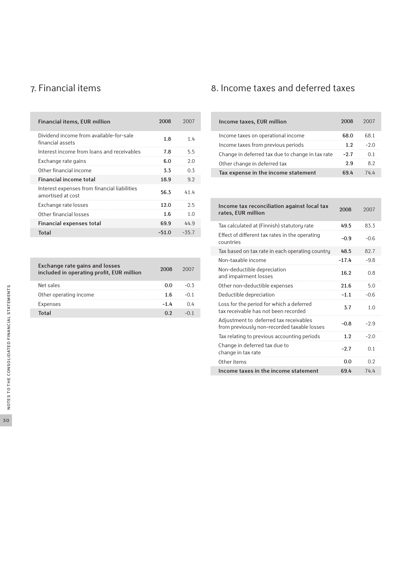| <b>Financial items, EUR million</b>                               | 2008    | 2007    |
|-------------------------------------------------------------------|---------|---------|
| Dividend income from available-for-sale<br>financial assets       | 1.8     | 1.4     |
| Interest income from loans and receivables                        | 7.8     | 5.5     |
| Exchange rate gains                                               | 6.0     | 2.0     |
| Other financial income                                            | 3.3     | 0.3     |
| <b>Financial income total</b>                                     | 18.9    | 9.2     |
| Interest expenses from financial liabilities<br>amortised at cost | 56.3    | 41.4    |
| Exchange rate losses                                              | 12.0    | 2.5     |
| Other financial losses                                            | 1.6     | 1.0     |
| <b>Financial expenses total</b>                                   | 69.9    | 44.9    |
| Total                                                             | $-51.0$ | $-35.7$ |

| <b>Exchange rate gains and losses</b><br>included in operating profit, EUR million | 2008 |  |
|------------------------------------------------------------------------------------|------|--|
| Net sales                                                                          |      |  |
| Other operating income                                                             |      |  |
| Expenses                                                                           |      |  |
| Total                                                                              |      |  |

### 7. Financial items 8. Income taxes and deferred taxes

| Income taxes, EUR million                        |      | 2001 |
|--------------------------------------------------|------|------|
| Income taxes on operational income               | 68 N |      |
| Income taxes from previous periods               |      |      |
| Change in deferred tax due to change in tax rate | -77  |      |
| Other change in deferred tax                     |      |      |
| Tax expense in the income statement              |      |      |

| Income tax reconciliation against local tax<br>rates, EUR million                     | 2008    | 2007   |
|---------------------------------------------------------------------------------------|---------|--------|
| Tax calculated at (Finnish) statutory rate                                            | 49.5    | 83.3   |
| Effect of different tax rates in the operating<br>countries                           | $-0.9$  | $-0.6$ |
| Tax based on tax rate in each operating country                                       | 48.5    | 82.7   |
| Non-taxable income                                                                    | $-17.4$ | $-9.8$ |
| Non-deductible depreciation<br>and impairment losses                                  | 16.2    | 0.8    |
| Other non-deductible expenses                                                         | 21.6    | 5.0    |
| Deductible depreciation                                                               | $-1.1$  | $-0.6$ |
| Loss for the period for which a deferred<br>tax receivable has not been recorded      | 3.7     | 1.0    |
| Adjustment to deferred tax receivables<br>from previously non-recorded taxable losses | $-0.8$  | $-2.9$ |
| Tax relating to previous accounting periods                                           | 1.2     | $-2.0$ |
| Change in deferred tax due to<br>change in tax rate                                   | $-2.7$  | 0.1    |
| Other items                                                                           | 0.0     | 0.2    |
| Income taxes in the income statement                                                  | 69.4    | 74.4   |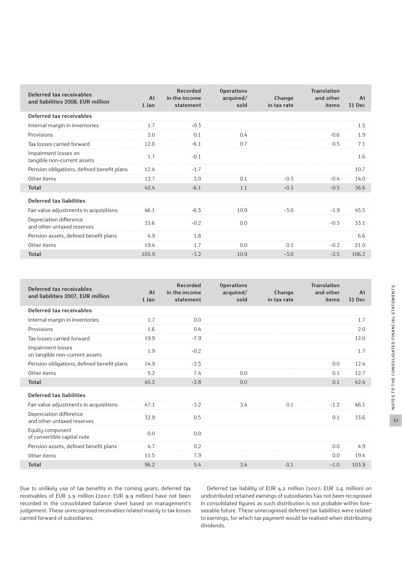| Deferred tax receivables<br>and liabilities 2008, EUR million | At<br>1 Jan | Recorded<br>in the income<br>statement | <b>Operations</b><br>acquired/<br>sold | Change<br>in tax rate | <b>Translation</b><br>and other<br>items | At<br>31 Dec |
|---------------------------------------------------------------|-------------|----------------------------------------|----------------------------------------|-----------------------|------------------------------------------|--------------|
| Deferred tax receivables                                      |             |                                        |                                        |                       |                                          |              |
| Internal margin in inventories                                | 1.7         | $-0.3$                                 |                                        |                       |                                          | 1.5          |
| Provisions                                                    | 2.0         | 0.1                                    | 0.4                                    |                       | $-0.6$                                   | 1.9          |
| Tax losses carried forward                                    | 12.0        | $-6.1$                                 | 0.7                                    |                       | 0.5                                      | 7.1          |
| Impairment losses on<br>tangible non-current assets           | 1.7         | $-0.1$                                 |                                        |                       |                                          | 1.6          |
| Pension obligations, defined benefit plans                    | 12.4        | $-1.7$                                 |                                        |                       |                                          | 10.7         |
| Other items                                                   | 12.7        | 2.0                                    | 0.1                                    | $-0.3$                | $-0.4$                                   | 14.0         |
| <b>Total</b>                                                  | 42.4        | $-6.1$                                 | 1.1                                    | $-0.3$                | $-0.5$                                   | 36.6         |
| Deferred tax liabilities                                      |             |                                        |                                        |                       |                                          |              |
| Fair value adjustments in acquisitions                        | 46.1        | $-6.5$                                 | 10.9                                   | $-3.0$                | $-1.9$                                   | 45.5         |
| Depreciation difference<br>and other untaxed reserves         | 33.6        | $-0.2$                                 | 0.0                                    |                       | $-0.3$                                   | 33.1         |
| Pension assets, defined benefit plans                         | 4.9         | 1.8                                    |                                        |                       |                                          | 6.6          |
| Other items                                                   | 19.4        | 1.7                                    | 0.0                                    | 0.1                   | $-0.2$                                   | 21.0         |
| <b>Total</b>                                                  | 103.9       | $-3.2$                                 | 10.9                                   | $-3.0$                | $-2.5$                                   | 106.2        |

| Deferred tax receivables<br>and liabilities 2007, EUR million | At<br>1 Jan | Recorded<br>in the income<br>statement | <b>Operations</b><br>acquired/<br>sold | Change<br>in tax rate | <b>Translation</b><br>and other<br>items | At<br>31 Dec |
|---------------------------------------------------------------|-------------|----------------------------------------|----------------------------------------|-----------------------|------------------------------------------|--------------|
| Deferred tax receivables                                      |             |                                        |                                        |                       |                                          |              |
| Internal margin in inventories                                | 1.7         | 0.0                                    |                                        |                       |                                          | 1.7          |
| Provisions                                                    | 1.6         | 0.4                                    |                                        |                       |                                          | 2.0          |
| Tax losses carried forward                                    | 19.9        | $-7.9$                                 |                                        |                       |                                          | 12.0         |
| Impairment losses<br>on tangible non-current assets           | 1.9         | $-0.2$                                 |                                        |                       |                                          | 1.7          |
| Pension obligations, defined benefit plans                    | 14.9        | $-2.5$                                 |                                        |                       | 0.0                                      | 12.4         |
| Other items                                                   | 5.2         | 7.4                                    | 0.0                                    |                       | 0.1                                      | 12.7         |
| <b>Total</b>                                                  | 45.2        | $-2.8$                                 | 0.0                                    |                       | 0.1                                      | 42.4         |
| Deferred tax liabilities                                      |             |                                        |                                        |                       |                                          |              |
| Fair value adjustments in acquisitions                        | 47.1        | $-3.2$                                 | 3.4                                    | 0.1                   | $-1.2$                                   | 46.1         |
| Depreciation difference<br>and other untaxed reserves         | 32.9        | 0.5                                    |                                        |                       | 0.1                                      | 33.6         |
| Equity component<br>of convertible capital note               | 0.0         | 0.0                                    |                                        |                       |                                          |              |
| Pension assets, defined benefit plans                         | 4.7         | 0.2                                    |                                        |                       | 0.0                                      | 4.9          |
| Other items                                                   | 11.5        | 7.9                                    |                                        |                       | 0.0                                      | 19.4         |
| <b>Total</b>                                                  | 96.2        | 5.4                                    | 3.4                                    | 0.1                   | $-1.0$                                   | 103.9        |

Due to unlikely use of tax benefits in the coming years, deferred tax receivables of EUR 3.9 million (2007: EUR 9.9 million) have not been recorded in the consolidated balance sheet based on management's judgement. These unrecognised receivables related mainly to tax losses carried forward of subsidiaries.

Г

Г

Deferred tax liability of EUR 4.2 million (2007: EUR 2.6 million) on undistributed retained earnings of subsidiaries has not been recognised in consolidated figures as such distribution is not probable within foreseeable future. These unrecognised deferred tax liabilities were related to earnings, for which tax payment would be realised when distributing dividends.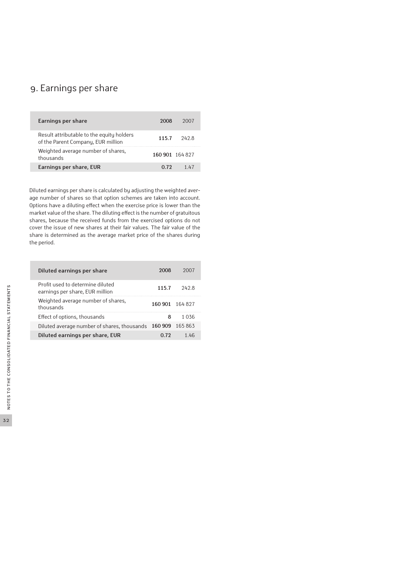### 9. Earnings per share

| Earnings per share                                                              | 2008            |            |
|---------------------------------------------------------------------------------|-----------------|------------|
| Result attributable to the equity holders<br>of the Parent Company, EUR million | 115.7           | 242 S      |
| Weighted average number of shares,<br>thousands                                 | 160 901 164 827 |            |
| Earnings per share, EUR                                                         | በ 72            | $1 \; \mu$ |

Diluted earnings per share is calculated by adjusting the weighted average number of shares so that option schemes are taken into account. Options have a diluting effect when the exercise price is lower than the market value of the share. The diluting effect is the number of gratuitous shares, because the received funds from the exercised options do not cover the issue of new shares at their fair values. The fair value of the share is determined as the average market price of the shares during the period.

| Diluted earnings per share                                          |                 |        |
|---------------------------------------------------------------------|-----------------|--------|
| Profit used to determine diluted<br>earnings per share, EUR million | 1157            | 2428   |
| Weighted average number of shares,<br>thousands                     | 160 901 164 827 |        |
| Effect of options, thousands                                        |                 | 1 በ36  |
| Diluted average number of shares, thousands 160 909                 |                 | 165863 |
| Diluted earnings per share, EUR                                     |                 |        |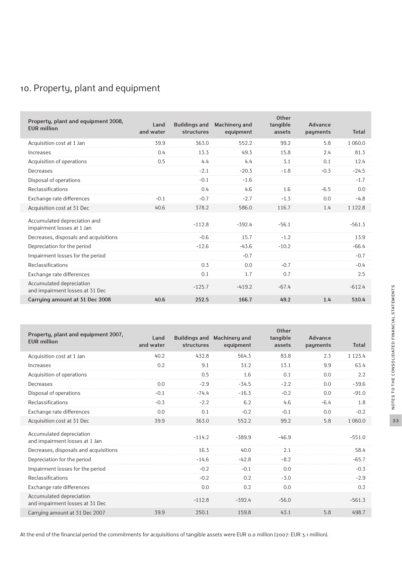### 10. Property, plant and equipment

| Property, plant and equipment 2008,<br><b>EUR</b> million   | Land<br>and water | <b>Buildings and</b><br>structures | Machinery and<br>equipment | <b>Other</b><br>tangible<br>assets | Advance<br>payments | <b>Total</b> |
|-------------------------------------------------------------|-------------------|------------------------------------|----------------------------|------------------------------------|---------------------|--------------|
| Acquisition cost at 1 Jan                                   | 39.9              | 363.0                              | 552.2                      | 99.2                               | 5.8                 | 1 0 6 0 .0   |
| Increases                                                   | 0.4               | 13.3                               | 49.3                       | 15.8                               | 2.4                 | 81.3         |
| Acquisition of operations                                   | 0.5               | 4.4                                | 4.4                        | 3.1                                | 0.1                 | 12.4         |
| Decreases                                                   |                   | $-2.1$                             | $-20.3$                    | $-1.8$                             | $-0.3$              | $-24.5$      |
| Disposal of operations                                      |                   | $-0.1$                             | $-1.6$                     |                                    |                     | $-1.7$       |
| Reclassifications                                           |                   | 0.4                                | 4.6                        | 1.6                                | $-6.5$              | 0.0          |
| Exchange rate differences                                   | $-0.1$            | $-0.7$                             | $-2.7$                     | $-1.3$                             | 0.0                 | $-4.8$       |
| Acquisition cost at 31 Dec                                  | 40.6              | 378.2                              | 586.0                      | 116.7                              | 1.4                 | 1 1 2 2.8    |
| Accumulated depreciation and<br>impairment losses at 1 Jan  |                   | $-112.8$                           | $-392.4$                   | $-56.1$                            |                     | $-561.3$     |
| Decreases, disposals and acquisitions                       |                   | $-0.6$                             | 15.7                       | $-1.2$                             |                     | 13.9         |
| Depreciation for the period                                 |                   | $-12.6$                            | $-43.6$                    | $-10.2$                            |                     | $-66.4$      |
| Impairment losses for the period                            |                   |                                    | $-0.7$                     |                                    |                     | $-0.7$       |
| Reclassifications                                           |                   | 0.3                                | 0.0                        | $-0.7$                             |                     | $-0.4$       |
| Exchange rate differences                                   |                   | 0.1                                | 1.7                        | 0.7                                |                     | 2.5          |
| Accumulated depreciation<br>and impairment losses at 31 Dec |                   | $-125.7$                           | $-419.2$                   | $-67.4$                            |                     | $-612.4$     |
| Carrying amount at 31 Dec 2008                              | 40.6              | 252.5                              | 166.7                      | 49.2                               | 1.4                 | 510.4        |

| Property, plant and equipment 2007,<br><b>EUR</b> million   | Land      |            | Buildings and Machinery and | <b>Other</b><br>tangible | Advance  |              |
|-------------------------------------------------------------|-----------|------------|-----------------------------|--------------------------|----------|--------------|
|                                                             | and water | structures | equipment                   | assets                   | payments | <b>Total</b> |
| Acquisition cost at 1 Jan                                   | 40.2      | 432.8      | 564.3                       | 83.8                     | 2.3      | 1 1 2 3 . 4  |
| Increases                                                   | 0.2       | 9.1        | 31.2                        | 13.1                     | 9.9      | 63.4         |
| Acquisition of operations                                   |           | 0.5        | 1.6                         | 0.1                      | 0.0      | 2.2          |
| Decreases                                                   | 0.0       | $-2.9$     | $-34.5$                     | $-2.2$                   | 0.0      | $-39.6$      |
| Disposal of operations                                      | $-0.1$    | $-74.4$    | $-16.3$                     | $-0.2$                   | 0.0      | $-91.0$      |
| Reclassifications                                           | $-0.3$    | $-2.2$     | 6.2                         | 4.6                      | $-6.4$   | 1.8          |
| Exchange rate differences                                   | 0.0       | 0.1        | $-0.2$                      | $-0.1$                   | 0.0      | $-0.2$       |
| Acquisition cost at 31 Dec                                  | 39.9      | 363.0      | 552.2                       | 99.2                     | 5.8      | 1 060.0      |
| Accumulated depreciation<br>and impairment losses at 1 Jan  |           | $-114.2$   | $-389.9$                    | $-46.9$                  |          | $-551.0$     |
| Decreases, disposals and acquisitions                       |           | 16.3       | 40.0                        | 2.1                      |          | 58.4         |
| Depreciation for the period                                 |           | $-14.6$    | $-42.8$                     | $-8.2$                   |          | $-65.7$      |
| Impairment losses for the period                            |           | $-0.2$     | $-0.1$                      | 0.0                      |          | $-0.3$       |
| Reclassifications                                           |           | $-0.2$     | 0.2                         | $-3.0$                   |          | $-2.9$       |
| Exchange rate differences                                   |           | 0.0        | 0.2                         | 0.0                      |          | 0.2          |
| Accumulated depreciation<br>and impairment losses at 31 Dec |           | $-112.8$   | $-392.4$                    | $-56.0$                  |          | $-561.3$     |
| Carrying amount at 31 Dec 2007                              | 39.9      | 250.1      | 159.8                       | 43.1                     | 5.8      | 498.7        |

33

At the end of the financial period the commitments for acquisitions of tangible assets were EUR 0.0 million (2007: EUR 3.1 million).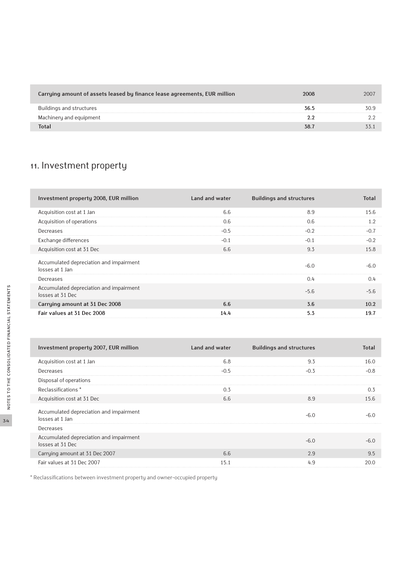| Carrying amount of assets leased by finance lease agreements, EUR million | 2008   | 2007 |
|---------------------------------------------------------------------------|--------|------|
| Buildings and structures                                                  | 36.5   | 30.S |
| Machinery and equipment                                                   |        |      |
|                                                                           | ־ אַ ז |      |

### 11. Investment property

| Investment property 2008, EUR million                       | Land and water | <b>Buildings and structures</b> | <b>Total</b> |
|-------------------------------------------------------------|----------------|---------------------------------|--------------|
| Acquisition cost at 1 Jan                                   | 6.6            | 8.9                             | 15.6         |
| Acquisition of operations                                   | 0.6            | 0.6                             | 1.2          |
| Decreases                                                   | $-0.5$         | $-0.2$                          | $-0.7$       |
| Exchange differences                                        | $-0.1$         | $-0.1$                          | $-0.2$       |
| Acquisition cost at 31 Dec                                  | 6.6            | 9.3                             | 15.8         |
| Accumulated depreciation and impairment<br>losses at 1 Jan  |                | $-6.0$                          | $-6.0$       |
| Decreases                                                   |                | 0.4                             | 0.4          |
| Accumulated depreciation and impairment<br>losses at 31 Dec |                | $-5.6$                          | $-5.6$       |
| Carrying amount at 31 Dec 2008                              | 6.6            | 3.6                             | 10.2         |
| Fair values at 31 Dec 2008                                  | 14.4           | 5.3                             | 19.7         |

| Investment property 2007, EUR million                       | Land and water | <b>Buildings and structures</b> | <b>Total</b> |
|-------------------------------------------------------------|----------------|---------------------------------|--------------|
| Acquisition cost at 1 Jan                                   | 6.8            | 9.3                             | 16.0         |
| Decreases                                                   | $-0.5$         | $-0.3$                          | $-0.8$       |
| Disposal of operations                                      |                |                                 |              |
| Reclassifications *                                         | 0.3            |                                 | 0.3          |
| Acquisition cost at 31 Dec                                  | 6.6            | 8.9                             | 15.6         |
| Accumulated depreciation and impairment<br>losses at 1 Jan  |                | $-6.0$                          | $-6.0$       |
| Decreases                                                   |                |                                 |              |
| Accumulated depreciation and impairment<br>losses at 31 Dec |                | $-6.0$                          | $-6.0$       |
| Carrying amount at 31 Dec 2007                              | 6.6            | 2.9                             | 9.5          |
| Fair values at 31 Dec 2007                                  | 15.1           | 4.9                             | 20.0         |

\* Reclassifications between investment property and owner-occupied property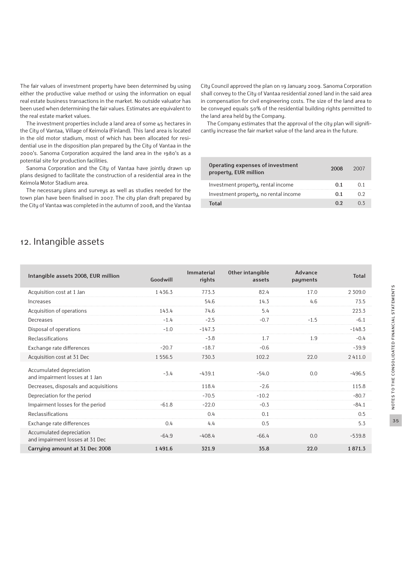The fair values of investment property have been determined by using either the productive value method or using the information on equal real estate business transactions in the market. No outside valuator has been used when determining the fair values. Estimates are equivalent to the real estate market values.

The investment properties include a land area of some 45 hectares in the City of Vantaa, Village of Keimola (Finland). This land area is located in the old motor stadium, most of which has been allocated for residential use in the disposition plan prepared by the City of Vantaa in the 2000's. Sanoma Corporation acquired the land area in the 1980's as a potential site for production facilities.

Sanoma Corporation and the City of Vantaa have jointly drawn up plans designed to facilitate the construction of a residential area in the Keimola Motor Stadium area.

The necessary plans and surveys as well as studies needed for the town plan have been finalised in 2007. The city plan draft prepared by the City of Vantaa was completed in the autumn of 2008, and the Vantaa City Council approved the plan on 19 January 2009. Sanoma Corporation shall convey to the City of Vantaa residential zoned land in the said area in compensation for civil engineering costs. The size of the land area to be conveyed equals 50% of the residential building rights permitted to the land area held by the Company.

The Company estimates that the approval of the city plan will significantly increase the fair market value of the land area in the future.

| Operating expenses of investment<br>property, EUR million | 2008 | 2007 |
|-----------------------------------------------------------|------|------|
| Investment property, rental income                        | O 1  |      |
| Investment property, no rental income                     | O 1  | ሰ ን  |
| Total                                                     | ሰ ን  |      |

### 12. Intangible assets

| Intangible assets 2008, EUR million                         | Goodwill    | <b>Immaterial</b><br>rights | Other intangible<br>assets | Advance<br>payments | <b>Total</b> |
|-------------------------------------------------------------|-------------|-----------------------------|----------------------------|---------------------|--------------|
| Acquisition cost at 1 Jan                                   | 1436.3      | 773.3                       | 82.4                       | 17.0                | 2 309.0      |
| Increases                                                   |             | 54.6                        | 14.3                       | 4.6                 | 73.5         |
| Acquisition of operations                                   | 143.4       | 74.6                        | 5.4                        |                     | 223.3        |
| Decreases                                                   | $-1.4$      | $-2.5$                      | $-0.7$                     | $-1.5$              | $-6.1$       |
| Disposal of operations                                      | $-1.0$      | $-147.3$                    |                            |                     | $-148.3$     |
| Reclassifications                                           |             | $-3.8$                      | 1.7                        | 1.9                 | $-0.4$       |
| Exchange rate differences                                   | $-20.7$     | $-18.7$                     | $-0.6$                     |                     | $-39.9$      |
| Acquisition cost at 31 Dec                                  | 1 5 5 6 . 5 | 730.3                       | 102.2                      | 22.0                | 2411.0       |
| Accumulated depreciation<br>and impairment losses at 1 Jan  | $-3.4$      | $-439.1$                    | $-54.0$                    | 0.0                 | $-496.5$     |
| Decreases, disposals and acquisitions                       |             | 118.4                       | $-2.6$                     |                     | 115.8        |
| Depreciation for the period                                 |             | $-70.5$                     | $-10.2$                    |                     | $-80.7$      |
| Impairment losses for the period                            | $-61.8$     | $-22.0$                     | $-0.3$                     |                     | $-84.1$      |
| Reclassifications                                           |             | 0.4                         | 0.1                        |                     | 0.5          |
| Exchange rate differences                                   | 0.4         | 4.4                         | 0.5                        |                     | 5.3          |
| Accumulated depreciation<br>and impairment losses at 31 Dec | $-64.9$     | $-408.4$                    | $-66.4$                    | 0.0                 | $-539.8$     |
| Carrying amount at 31 Dec 2008                              | 1491.6      | 321.9                       | 35.8                       | 22.0                | 1871.3       |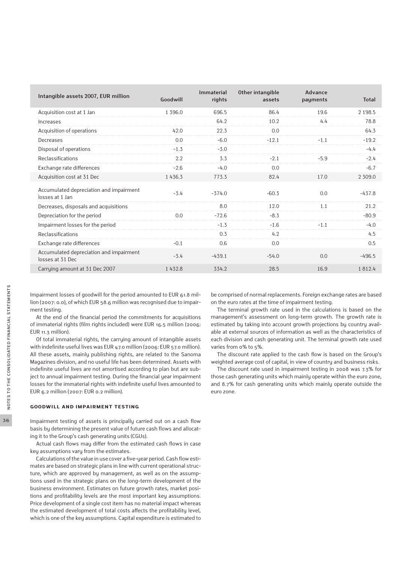| Intangible assets 2007, EUR million                         | Goodwill  | Immaterial<br>rights | Other intangible<br>assets | Advance<br>payments | <b>Total</b> |
|-------------------------------------------------------------|-----------|----------------------|----------------------------|---------------------|--------------|
| Acquisition cost at 1 Jan                                   | 1 3 9 6.0 | 696.5                | 86.4                       | 19.6                | 2 1 9 8.5    |
| Increases                                                   |           | 64.2                 | 10.2                       | 4.4                 | 78.8         |
| Acquisition of operations                                   | 42.0      | 22.3                 | 0.0                        |                     | 64.3         |
| Decreases                                                   | 0.0       | $-6.0$               | $-12.1$                    | $-1.1$              | $-19.2$      |
| Disposal of operations                                      | $-1.3$    | $-3.0$               |                            |                     | $-4.4$       |
| Reclassifications                                           | 2.2       | 3.3                  | $-2.1$                     | $-5.9$              | $-2.4$       |
| Exchange rate differences                                   | $-2.6$    | $-4.0$               | 0.0                        |                     | $-6.7$       |
| Acquisition cost at 31 Dec                                  | 1436.3    | 773.3                | 82.4                       | 17.0                | 2 309.0      |
| Accumulated depreciation and impairment<br>losses at 1 Jan  | $-3.4$    | $-374.0$             | $-60.3$                    | 0.0                 | $-437.8$     |
| Decreases, disposals and acquisitions                       |           | 8.0                  | 12.0                       | 1.1                 | 21.2         |
| Depreciation for the period                                 | 0.0       | $-72.6$              | $-8.3$                     |                     | $-80.9$      |
| Impairment losses for the period                            |           | $-1.3$               | $-1.6$                     | $-1.1$              | $-4.0$       |
| Reclassifications                                           |           | 0.3                  | 4.2                        |                     | 4.5          |
| Exchange rate differences                                   | $-0.1$    | 0.6                  | 0.0                        |                     | 0.5          |
| Accumulated depreciation and impairment<br>losses at 31 Dec | $-3.4$    | $-439.1$             | $-54.0$                    | 0.0                 | $-496.5$     |
| Carrying amount at 31 Dec 2007                              | 1432.8    | 334.2                | 28.5                       | 16.9                | 1812.4       |

Impairment losses of goodwill for the period amounted to EUR 61.8 million (2007: 0.0), of which EUR 58.6 million was recognised due to impairment testing.

At the end of the financial period the commitments for acquisitions of immaterial rights (film rights included) were EUR 16.5 million (2006: EUR 11.3 million).

Of total immaterial rights, the carrying amount of intangible assets with indefinite useful lives was EUR 47.0 million (2006: EUR 57.0 million). All these assets, mainly publishing rights, are related to the Sanoma Magazines division, and no useful life has been determined. Assets with indefinite useful lives are not amortised according to plan but are subject to annual impairment testing. During the financial year impairment losses for the immaterial rights with indefinite useful lives amounted to EUR 6.2 million (2007: EUR 0.2 million).

#### **Goodwill and impairment testing**

Impairment testing of assets is principally carried out on a cash flow basis by determining the present value of future cash flows and allocating it to the Group's cash generating units (CGUs).

Actual cash flows may differ from the estimated cash flows in case key assumptions vary from the estimates.

Calculations of the value in use cover a five-year period. Cash flow estimates are based on strategic plans in line with current operational structure, which are approved by management, as well as on the assumptions used in the strategic plans on the long-term development of the business environment. Estimates on future growth rates, market positions and profitability levels are the most important key assumptions. Price development of a single cost item has no material impact whereas the estimated development of total costs affects the profitability level, which is one of the key assumptions. Capital expenditure is estimated to be comprised of normal replacements. Foreign exchange rates are based on the euro rates at the time of impairment testing.

The terminal growth rate used in the calculations is based on the management's assessment on long-term growth. The growth rate is estimated by taking into account growth projections by country available at external sources of information as well as the characteristics of each division and cash generating unit. The terminal growth rate used varies from 0% to 5%.

The discount rate applied to the cash flow is based on the Group's weighted average cost of capital, in view of country and business risks.

The discount rate used in impairment testing in 2008 was 7.3% for those cash generating units which mainly operate within the euro zone, and 8.7% for cash generating units which mainly operate outside the euro zone.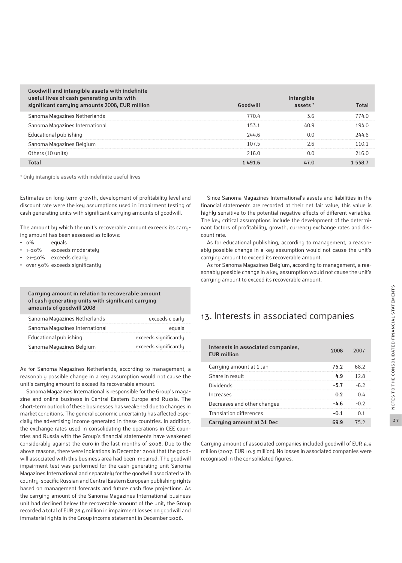| Goodwill and intangible assets with indefinite<br>useful lives of cash generating units with<br>significant carrying amounts 2008, EUR million | Goodwill | Intangible<br>assets <sup>*</sup> | <b>Total</b> |
|------------------------------------------------------------------------------------------------------------------------------------------------|----------|-----------------------------------|--------------|
| Sanoma Magazines Netherlands                                                                                                                   | 770.4    | 3.6                               | 774.0        |
| Sanoma Magazines International                                                                                                                 | 153.1    | 40.9                              | 194.0        |
| Educational publishing                                                                                                                         | 244.6    | O.O                               | 244.6        |
| Sanoma Magazines Belgium                                                                                                                       | 107.5    | 2.6                               | 110.1        |
| Others (10 units)                                                                                                                              | 216.0    | O.O                               | 216.0        |
| <b>Total</b>                                                                                                                                   | 1491.6   | 47.0                              | 15387        |

\* Only intangible assets with indefinite useful lives

Estimates on long-term growth, development of profitability level and discount rate were the key assumptions used in impairment testing of cash generating units with significant carrying amounts of goodwill.

The amount by which the unit's recoverable amount exceeds its carrying amount has been assessed as follows:

- **•** 0% equals
- **•** 1–20% exceeds moderately
- **•** 21–50% exceeds clearly
- **•** over 50% exceeds significantly

#### **Carrying amount in relation to recoverable amount of cash generating units with significant carrying amounts of goodwill 2008**

| Sanoma Magazines Netherlands   | exceeds clearly       |
|--------------------------------|-----------------------|
| Sanoma Magazines International | equals                |
| Educational publishing         | exceeds significantly |
| Sanoma Magazines Belgium       | exceeds significantly |

As for Sanoma Magazines Netherlands, according to management, a reasonably possible change in a key assumption would not cause the unit's carrying amount to exceed its recoverable amount.

Sanoma Magazines International is responsible for the Group's magazine and online business in Central Eastern Europe and Russia. The short-term outlook of these businesses has weakened due to changes in market conditions. The general economic uncertainty has affected especially the advertising income generated in these countries. In addition, the exchange rates used in consolidating the operations in CEE countries and Russia with the Group's financial statements have weakened considerably against the euro in the last months of 2008. Due to the above reasons, there were indications in December 2008 that the goodwill associated with this business area had been impaired. The goodwill impairment test was performed for the cash-generating unit Sanoma Magazines International and separately for the goodwill associated with country-specific Russian and Central Eastern European publishing rights based on management forecasts and future cash flow projections. As the carrying amount of the Sanoma Magazines International business unit had declined below the recoverable amount of the unit, the Group recorded a total of EUR 78.6 million in impairment losses on goodwill and immaterial rights in the Group income statement in December 2008.

Since Sanoma Magazines International's assets and liabilities in the financial statements are recorded at their net fair value, this value is highly sensitive to the potential negative effects of different variables. The key critical assumptions include the development of the determinant factors of profitability, growth, currency exchange rates and discount rate.

As for educational publishing, according to management, a reasonably possible change in a key assumption would not cause the unit's carrying amount to exceed its recoverable amount.

As for Sanoma Magazines Belgium, according to management, a reasonably possible change in a key assumption would not cause the unit's carrying amount to exceed its recoverable amount.

## 13. Interests in associated companies

| Interests in associated companies,<br><b>EUR</b> million | 2008 | 2007   |
|----------------------------------------------------------|------|--------|
| Carrying amount at 1 Jan                                 | 75.2 | 68.2   |
| Share in result                                          | Δq   | 1 2 .R |
| <b>Dividends</b>                                         | -57  |        |
| Increases                                                | በ ን  | ( ) 41 |
| Decreases and other changes                              | -և հ |        |
| Translation differences                                  | -0.1 | () 1   |
| Carrying amount at 31 Dec                                |      |        |

Carrying amount of associated companies included goodwill of EUR 6.6 million (2007: EUR 10.3 million). No losses in associated companies were recognised in the consolidated figures.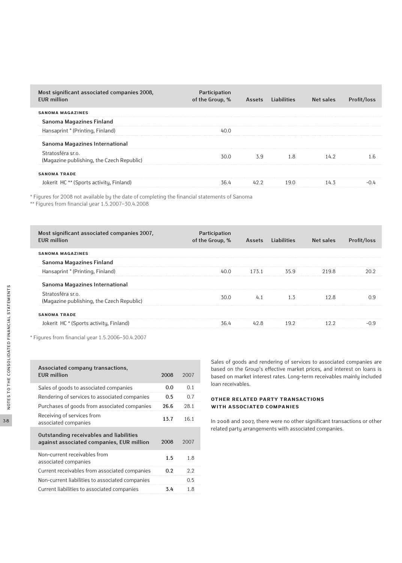| Most significant associated companies 2008,<br><b>EUR</b> million | Participation<br>of the Group, % | <b>Assets</b> | Liabilities | Net sales | Profit/loss |
|-------------------------------------------------------------------|----------------------------------|---------------|-------------|-----------|-------------|
| <b>SANOMA MAGAZINES</b>                                           |                                  |               |             |           |             |
| Sanoma Magazines Finland                                          |                                  |               |             |           |             |
| Hansaprint * (Printing, Finland)                                  | 40.O                             |               |             |           |             |
| Sanoma Magazines International                                    |                                  |               |             |           |             |
| Stratosféra sr.o.<br>(Magazine publishing, the Czech Republic)    | 30.0                             | 3.9           | 1.8         | 14.2      | 1.6         |
| <b>SANOMA TRADE</b>                                               |                                  |               |             |           |             |
| Jokerit HC ** (Sports activity, Finland)                          | 36.4                             | 42.2          | 19.0        | 14.3      | $-04$       |

\* Figures for 2008 not available by the date of completing the financial statements of Sanoma

\*\* Figures from financial year 1.5.2007–30.4.2008

| Most significant associated companies 2007,<br><b>FUR million</b> | Participation<br>of the Group, % | <b>Assets</b> | <b>Liabilities</b> | Net sales | Profit/loss |
|-------------------------------------------------------------------|----------------------------------|---------------|--------------------|-----------|-------------|
| <b>SANOMA MAGAZINES</b>                                           |                                  |               |                    |           |             |
| Sanoma Magazines Finland                                          |                                  |               |                    |           |             |
| Hansaprint * (Printing, Finland)                                  | 40.0                             | 173.1         | 35.9               | 219.8     | 20.2        |
| Sanoma Magazines International                                    |                                  |               |                    |           |             |
| Stratosféra sr.o.<br>(Magazine publishing, the Czech Republic)    | 30.0                             | 4.1           | 1.3                | 12.8      | 0.9         |
| <b>SANOMA TRADE</b>                                               |                                  |               |                    |           |             |
| Jokerit HC * (Sports activity, Finland)                           | 36.4                             | 42.8          | 19.2               | 12.2      | $-0.9$      |

\* Figures from financial year 1.5.2006–30.4.2007

| Associated company transactions,<br><b>FUR million</b>                               | 2008 | 2007 |
|--------------------------------------------------------------------------------------|------|------|
| Sales of goods to associated companies                                               | 0.0  | 0.1  |
| Rendering of services to associated companies                                        | 0.5  | 0.7  |
| Purchases of goods from associated companies                                         | 26.6 | 28.1 |
| Receiving of services from<br>associated companies                                   | 13.7 | 16.1 |
| Outstanding receivables and liabilities<br>against associated companies, EUR million | 2008 | 2007 |
| Non-current receivables from<br>associated companies                                 | 1.5  | 1.8  |
| Current receivables from associated companies                                        | 0.2  | 2.2  |
| Non-current liabilities to associated companies                                      |      | 0.5  |
| Current liabilities to associated companies                                          | 3.4  | 1.8  |

Sales of goods and rendering of services to associated companies are based on the Group's effective market prices, and interest on loans is based on market interest rates. Long-term receivables mainly included loan receivables.

### **Other related party transactions with associated companies**

In 2008 and 2007, there were no other significant transactions or other related party arrangements with associated companies.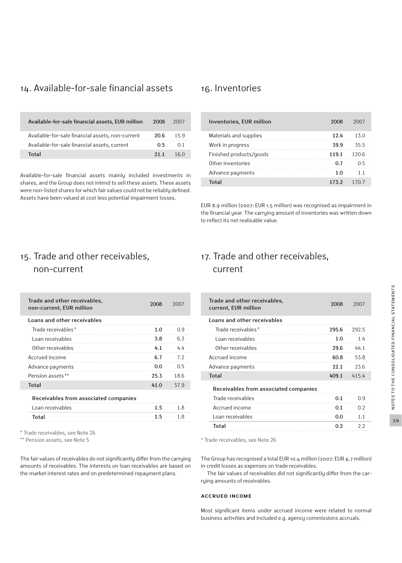## 14. Available-for-sale financial assets 16. Inventories

| Available-for-sale financial assets, EUR million | 2008       | 2007 |
|--------------------------------------------------|------------|------|
| Available-for-sale financial assets, non-current | 20 R       | 15.9 |
| Available-for-sale financial assets, current     | O 5        | O 1  |
| Total                                            | <b>211</b> | 160  |

Available-for-sale financial assets mainly included investments in shares, and the Group does not intend to sell these assets. These assets were non-listed shares for which fair values could not be reliably defined. Assets have been valued at cost less potential impairment losses.

| Inventories, EUR million | 2008  | 2007   |
|--------------------------|-------|--------|
| Materials and supplies   | 12.4  | 13 O   |
| Work in progress         | 39.9  | 355    |
| Finished products/goods  | 119.1 | 1 20 6 |
| Other inventories        |       | ()5    |
| Advance payments         |       |        |
| Total                    | 1732  |        |

EUR 8.9 million (2007: EUR 1.5 million) was recognised as impairment in the financial year. The carrying amount of inventories was written down to reflect its net realisable value.

## 15. Trade and other receivables, non-current

| Trade and other receivables,<br>non-current, EUR million | 2008 | 2007 |
|----------------------------------------------------------|------|------|
| Loans and other receivables                              |      |      |
| Trade receivables *                                      | 1.0  | 0.9  |
| Loan receivables                                         | 3.8  | 6.3  |
| Other receivables                                        | 4.1  | 4.4  |
| Accrued income                                           | 6.7  | 7.2  |
| Advance payments                                         | 0.0  | 0.5  |
| Pension assets **                                        | 25.3 | 18.6 |
| <b>Total</b>                                             | 41.0 | 37.9 |
| Receivables from associated companies                    |      |      |
| Loan receivables                                         | 1.5  | 1.8  |
| Total                                                    | 15   | 18   |

\* Trade receivables, see Note 26

\*\* Pension assets, see Note 5

The fair values of receivables do not significantly differ from the carrying amounts of receivables. The interests on loan receivables are based on the market interest rates and on predetermined repayment plans.

## 17. Trade and other receivables, current

| Trade and other receivables,<br>current, EUR million | 2008  | 2007  |
|------------------------------------------------------|-------|-------|
| Loans and other receivables                          |       |       |
| Trade receivables*                                   | 295.6 | 292.5 |
| Loan receivables                                     | 1.0   | 1.4   |
| Other receivables                                    | 29.6  | 44 1  |
| Accrued income                                       | 60.8  | 53.8  |
| Advance payments                                     | 22.1  | 23.6  |
| Total                                                | 409.1 | 415.4 |
| Receivables from associated companies                |       |       |
| Trade receivables                                    | 0.1   | 0.9   |
| Accrued income                                       | 0.1   | 0.2   |
| Loan receivables                                     | 0.0   | 11    |
| <b>Total</b>                                         | 0.2   | 2.2   |

\* Trade receivables, see Note 26

The Group has recognised a total EUR 10.4 million (2007: EUR 6.7 million) in credit losses as expenses on trade receivables.

The fair values of receivables did not significantly differ from the carrying amounts of receivables.

#### **Accrued income**

Most significant items under accrued income were related to normal business activities and included e.g. agency commissions accruals.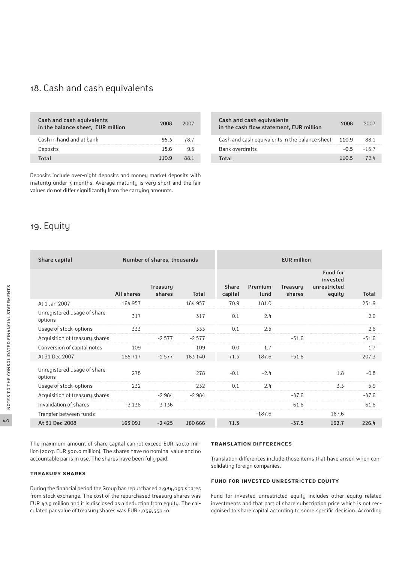## 18. Cash and cash equivalents

| Cash and cash equivalents<br>in the balance sheet, EUR million | 2008 | 2007 |
|----------------------------------------------------------------|------|------|
| Cash in hand and at bank                                       | 953  | 78 7 |
| Deposits                                                       | 15 6 | 95   |
| Total                                                          | 1109 | RR 1 |

Deposits include over-night deposits and money market deposits with maturity under 3 months. Average maturity is very short and the fair values do not differ significantly from the carrying amounts.

## 19. Equity

| Cash and cash equivalents<br>in the cash flow statement, EUR million | 2008  | 2007    |
|----------------------------------------------------------------------|-------|---------|
| Cash and cash equivalents in the balance sheet                       | 110.9 | 88 1    |
| Bank overdrafts                                                      | -0.5  | $-15.7$ |
| Total                                                                | 1105  | 79 L    |

| Share capital                          |            | Number of shares, thousands |              | <b>EUR</b> million |                 |                           |                                                       |              |
|----------------------------------------|------------|-----------------------------|--------------|--------------------|-----------------|---------------------------|-------------------------------------------------------|--------------|
|                                        | All shares | Treasury<br>shares          | <b>Total</b> | Share<br>capital   | Premium<br>fund | <b>Treasury</b><br>shares | <b>Fund for</b><br>invested<br>unrestricted<br>equity | <b>Total</b> |
| At 1 Jan 2007                          | 164 957    |                             | 164 957      | 70.9               | 181.0           |                           |                                                       | 251.9        |
| Unregistered usage of share<br>options | 317        |                             | 317          | 0.1                | 2.4             |                           |                                                       | 2.6          |
| Usage of stock-options                 | 333        |                             | 333          | 0.1                | 2.5             |                           |                                                       | 2.6          |
| Acquisition of treasury shares         |            | $-2577$                     | $-2577$      |                    |                 | $-51.6$                   |                                                       | $-51.6$      |
| Conversion of capital notes            | 109        |                             | 109          | 0.0                | 1.7             |                           |                                                       | 1.7          |
| At 31 Dec 2007                         | 165 717    | $-2577$                     | 163 140      | 71.3               | 187.6           | $-51.6$                   |                                                       | 207.3        |
| Unregistered usage of share<br>options | 278        |                             | 278          | $-0.1$             | $-2.4$          |                           | 1.8                                                   | $-0.8$       |
| Usage of stock-options                 | 232        |                             | 232          | 0.1                | 2.4             |                           | 3.3                                                   | 5.9          |
| Acquisition of treasury shares         |            | $-2984$                     | $-2984$      |                    |                 | $-47.6$                   |                                                       | $-47.6$      |
| Invalidation of shares                 | $-3136$    | 3 1 3 6                     |              |                    |                 | 61.6                      |                                                       | 61.6         |
| Transfer between funds                 |            |                             |              |                    | $-187.6$        |                           | 187.6                                                 |              |
| At 31 Dec 2008                         | 163 091    | $-2425$                     | 160 666      | 71.3               |                 | $-37.5$                   | 192.7                                                 | 226.4        |
|                                        |            |                             |              |                    |                 |                           |                                                       |              |

The maximum amount of share capital cannot exceed EUR 300.0 million (2007: EUR 300.0 million). The shares have no nominal value and no accountable par is in use. The shares have been fully paid.

#### **Treasury shares**

During the financial period the Group has repurchased 2,984,097 shares from stock exchange. The cost of the repurchased treasury shares was EUR 47.6 million and it is disclosed as a deduction from equity. The calculated par value of treasury shares was EUR 1,059,552.10.

#### **Translation differences**

Translation differences include those items that have arisen when consolidating foreign companies.

#### **Fund for invested unrestricted equity**

Fund for invested unrestricted equity includes other equity related investments and that part of share subscription price which is not recognised to share capital according to some specific decision. According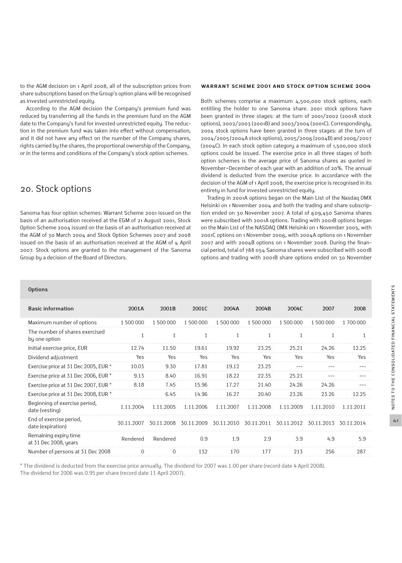to the AGM decision on 1 April 2008, all of the subscription prices from share subscriptions based on the Group's option plans will be recognised as invested unrestricted equity.

According to the AGM decision the Company's premium fund was reduced by transferring all the funds in the premium fund on the AGM date to the Company's fund for invested unrestricted equity. The reduction in the premium fund was taken into effect without compensation, and it did not have any effect on the number of the Company shares, rights carried by the shares, the proportional ownership of the Company, or in the terms and conditions of the Company's stock option schemes.

## 20. Stock options

Sanoma has four option schemes: Warrant Scheme 2001 issued on the basis of an authorisation received at the EGM of 21 August 2001, Stock Option Scheme 2004 issued on the basis of an authorisation received at the AGM of 30 March 2004 and Stock Option Schemes 2007 and 2008 issued on the basis of an authorisation received at the AGM of 4 April 2007. Stock options are granted to the management of the Sanoma Group by a decision of the Board of Directors.

#### **Warrant Scheme 2001 and Stock Option Scheme 2004**

Both schemes comprise a maximum 4,500,000 stock options, each entitling the holder to one Sanoma share. 2001 stock options have been granted in three stages: at the turn of 2001/2002 (2001A stock options), 2002/2003 (2001B) and 2003/2004 (2001C). Correspondingly, 2004 stock options have been granted in three stages: at the turn of 2004/2005 (2004A stock options), 2005/2006 (2004B) and 2006/2007 (2004C). In each stock option category a maximum of 1,500,000 stock options could be issued. The exercise price in all three stages of both option schemes is the average price of Sanoma shares as quoted in November−December of each year with an addition of 20%. The annual dividend is deducted from the exercise price. In accordance with the decision of the AGM of 1 April 2008, the exercise price is recognised in its entirety in fund for invested unrestricted equity.

Trading in 2001A options began on the Main List of the Nasdaq OMX Helsinki on 1 November 2004 and both the trading and share subscription ended on 30 November 2007. A total of 609,450 Sanoma shares were subscribed with 2001A options. Trading with 2001B options began on the Main List of the NASDAQ OMX Helsinki on 1 November 2005, with 2001C options on 1 November 2006, with 2004A options on 1 November 2007 and with 2004B options on 1 November 2008. During the financial period, total of 788 054 Sanoma shares were subscribed with 2001B options and trading with 2001B share options ended on 30 November

#### **Options**

| <b>Basic information</b>                        | 2001A      | 2001B        | 2001C        | 2004A      | 2004B      | 2004C      | 2007       | 2008       |
|-------------------------------------------------|------------|--------------|--------------|------------|------------|------------|------------|------------|
| Maximum number of options                       | 1 500 000  | 1 500 000    | 1 500 000    | 1 500 000  | 1 500 000  | 1 500 000  | 1 500 000  | 1700000    |
| The number of shares exercised<br>by one option |            | $\mathbf{1}$ | $\mathbf{1}$ | 1          | 1          |            |            | 1          |
| Initial exercise price, EUR                     | 12.74      | 11.50        | 19.61        | 19.92      | 23.25      | 25.21      | 24.26      | 12.25      |
| Dividend adjustment                             | Yes        | Yes          | Yes          | Yes        | Yes        | Yes        | Yes        | Yes        |
| Exercise price at 31 Dec 2005, EUR *            | 10.03      | 9.30         | 17.81        | 19.12      | 23.25      |            |            | $- - -$    |
| Exercise price at 31 Dec 2006, EUR *            | 9.13       | 8.40         | 16.91        | 18.22      | 22.35      | 25.21      | $- - -$    | ---        |
| Exercise price at 31 Dec 2007, EUR *            | 8.18       | 7.45         | 15.96        | 17.27      | 21.40      | 24.26      | 24.26      | $---$      |
| Exercise price at 31 Dec 2008, EUR *            |            | 6.45         | 14.96        | 16.27      | 20.40      | 23.26      | 23.26      | 12.25      |
| Beginning of exercise period,<br>date (vesting) | 1.11.2004  | 1.11.2005    | 1.11.2006    | 1.11.2007  | 1.11.2008  | 1.11.2009  | 1.11.2010  | 1.11.2011  |
| End of exercise period,<br>date (expiration)    | 30.11.2007 | 30.11.2008   | 30.11.2009   | 30.11.2010 | 30.11.2011 | 30.11.2012 | 30.11.2013 | 30.11.2014 |
| Remaining expiry time<br>at 31 Dec 2008, years  | Rendered   | Rendered     | 0.9          | 1.9        | 2.9        | 3.9        | 4.9        | 5.9        |
| Number of persons at 31 Dec 2008                | $\Omega$   | $\mathbf{0}$ | 132          | 170        | 177        | 213        | 256        | 287        |

\* The dividend is deducted from the exercise price annually. The dividend for 2007 was 1.00 per share (record date 4 April 2008). The dividend for 2006 was 0.95 per share (record date 11 April 2007).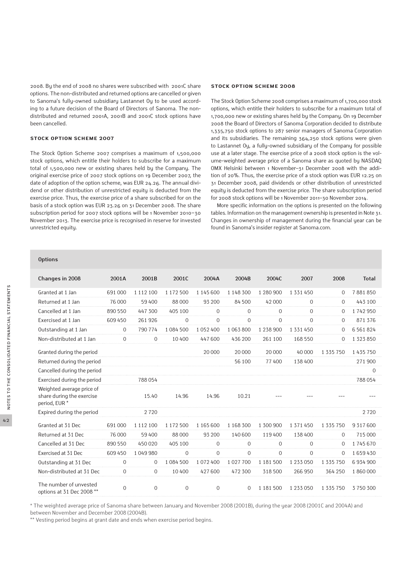2008. By the end of 2008 no shares were subscribed with 2001C share options. The non-distributed and returned options are cancelled or given to Sanoma's fully-owned subsidiary Lastannet Oy to be used according to a future decision of the Board of Directors of Sanoma. The nondistributed and returned 2001A, 2001B and 2001C stock options have been cancelled.

#### **Stock Option Scheme 2007**

The Stock Option Scheme 2007 comprises a maximum of 1,500,000 stock options, which entitle their holders to subscribe for a maximum total of 1,500,000 new or existing shares held by the Company. The original exercise price of 2007 stock options on 19 December 2007, the date of adoption of the option scheme, was EUR 24.26. The annual dividend or other distribution of unrestricted equity is deducted from the exercise price. Thus, the exercise price of a share subscribed for on the basis of a stock option was EUR 23.26 on 31 December 2008. The share subscription period for 2007 stock options will be 1 November 2010−30 November 2013. The exercise price is recognised in reserve for invested unrestricted equity.

#### **Stock Option Scheme 2008**

The Stock Option Scheme 2008 comprises a maximum of 1,700,000 stock options, which entitle their holders to subscribe for a maximum total of 1,700,000 new or existing shares held by the Company. On 19 December 2008 the Board of Directors of Sanoma Corporation decided to distribute 1,335,750 stock options to 287 senior managers of Sanoma Corporation and its subsidiaries. The remaining 364,250 stock options were given to Lastannet Oy, a fully-owned subsidiary of the Company for possible use at a later stage. The exercise price of a 2008 stock option is the volume-weighted average price of a Sanoma share as quoted by NASDAQ OMX Helsinki between 1 November–31 December 2008 with the addition of 20%. Thus, the exercise price of a stock option was EUR 12.25 on 31 December 2008, paid dividends or other distribution of unrestricted equity is deducted from the exercise price. The share subscription period for 2008 stock options will be 1 November 2011–30 November 2014.

More specific information on the options is presented on the following tables. Information on the management ownership is presented in Note 31. Changes in ownership of management during the financial year can be found in Sanoma's insider register at Sanoma.com.

#### **Options**

| Changes in 2008                                                         | 2001A          | 2001B         | 2001C       | 2004A         | 2004B         | 2004C        | 2007          | 2008          | <b>Total</b>  |
|-------------------------------------------------------------------------|----------------|---------------|-------------|---------------|---------------|--------------|---------------|---------------|---------------|
| Granted at 1 Jan                                                        | 691 000        | 1 1 1 2 1 0 0 | 1 172 500   | 1 1 4 5 6 0 0 | 1 1 4 8 3 0 0 | 1 280 900    | 1 3 3 1 4 5 0 | $\Omega$      | 7881850       |
| Returned at 1 Jan                                                       | 76 000         | 59 400        | 88 000      | 93 200        | 84500         | 42 000       | $\Omega$      | $\mathbf{0}$  | 443 100       |
| Cancelled at 1 Jan                                                      | 890 550        | 447 300       | 405 100     | $\mathbf{0}$  | $\mathbf{O}$  | $\mathbf{0}$ | $\Omega$      | 0             | 1742950       |
| Exercised at 1 Jan                                                      | 609 450        | 261926        | $\Omega$    | $\Omega$      | $\Omega$      | $\Omega$     | $\Omega$      | $\Omega$      | 871 376       |
| Outstanding at 1 Jan                                                    | $\Omega$       | 790 774       | 1084500     | 1052400       | 1063800       | 1 238 900    | 1 3 3 1 4 5 0 | $\Omega$      | 6561824       |
| Non-distributed at 1 Jan                                                | $\Omega$       | $\mathbf{0}$  | 10 400      | 447600        | 436 200       | 261 100      | 168 550       | 0             | 1 3 2 3 8 5 0 |
| Granted during the period                                               |                |               |             | 20 000        | 20 000        | 20 000       | 40 000        | 1 3 3 5 7 5 0 | 1 435 750     |
| Returned during the period                                              |                |               |             |               | 56 100        | 77 400       | 138 400       |               | 271900        |
| Cancelled during the period                                             |                |               |             |               |               |              |               |               | $\mathbf{0}$  |
| Exercised during the period                                             |                | 788054        |             |               |               |              |               |               | 788054        |
| Weighted average price of<br>share during the exercise<br>period, EUR * |                | 15.40         | 14.96       | 14.96         | 10.21         |              |               |               |               |
| Expired during the period                                               |                | 2720          |             |               |               |              |               |               | 2720          |
| Granted at 31 Dec                                                       | 691 000        | 1 1 1 2 1 0 0 | 1 172 500   | 1 165 600     | 1 1 68 3 00   | 1 300 900    | 1 3 7 1 4 5 0 | 1 3 3 5 7 5 0 | 9 3 1 7 6 0 0 |
| Returned at 31 Dec                                                      | 76 000         | 59 400        | 88 000      | 93 200        | 140 600       | 119 400      | 138 400       | $\mathbf{0}$  | 715 000       |
| Cancelled at 31 Dec                                                     | 890 550        | 450020        | 405 100     | $\Omega$      | $\mathbf{O}$  | $\Omega$     | $\Omega$      | $\Omega$      | 1745670       |
| Exercised at 31 Dec                                                     | 609 450        | 1049980       | $\mathbf 0$ | $\mathbf 0$   | $\mathbf 0$   | $\Omega$     | $\mathbf{0}$  | $\Omega$      | 1659430       |
| Outstanding at 31 Dec                                                   | $\mathbf{O}$   | $\mathbf{0}$  | 1084500     | 1072400       | 1027700       | 1 181 500    | 1 233 050     | 1 3 3 5 7 5 0 | 6934900       |
| Non-distributed at 31 Dec                                               | $\Omega$       | $\Omega$      | 10 400      | 427 600       | 472 300       | 318 500      | 266 950       | 364 250       | 1860000       |
| The number of unvested<br>options at 31 Dec 2008 **                     | $\overline{0}$ | $\mathbf{0}$  | $\mathbf 0$ | $\mathbf 0$   | $\Omega$      | 1 181 500    | 1 2 3 3 0 5 0 | 1 3 3 5 7 5 0 | 3750300       |

\* The weighted average price of Sanoma share between January and November 2008 (2001B), during the year 2008 (2001C and 2004A) and between November and December 2008 (2004B).

\*\* Vesting period begins at grant date and ends when exercise period begins.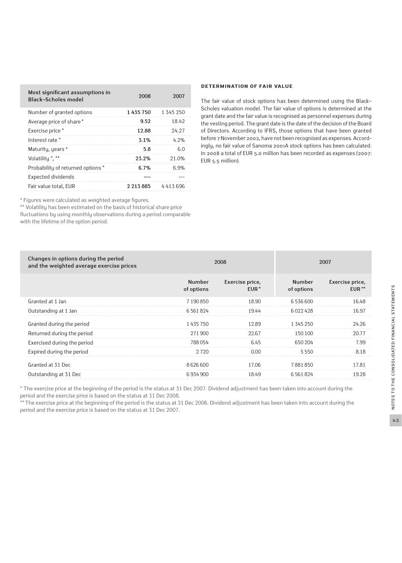| Most significant assumptions in<br><b>Black-Scholes model</b> | 2008      | 2007         |
|---------------------------------------------------------------|-----------|--------------|
| Number of granted options                                     | 1435750   | 1 345 250    |
| Average price of share*                                       | 9.52      | 18.42        |
| Exercise price *                                              | 12.88     | 24.27        |
| Interest rate *                                               | 3.1%      | 4.2%         |
| Maturity, years *                                             | 5.8       | 6.0          |
| Volatilitu *. **                                              | 23.2%     | 21.0%        |
| Probability of returned options *                             | 6.7%      | <u> በ ዓ%</u> |
| Expected dividends                                            |           |              |
| Fair value total, EUR                                         | 2 213 885 | 4413696      |

\* Figures were calculated as weighted average figures.

\*\* Volatility has been estimated on the basis of historical share price fluctuations by using monthly observations during a period comparable with the lifetime of the option period.

#### **Determination of fair value**

The fair value of stock options has been determined using the Black– Scholes valuation model. The fair value of options is determined at the grant date and the fair value is recognised as personnel expenses during the vesting period. The grant date is the date of the decision of the Board of Directors. According to IFRS, those options that have been granted before 7 November 2002, have not been recognised as expenses. Accordingly, no fair value of Sanoma 2001A stock options has been calculated. In 2008 a total of EUR 5.0 million has been recorded as expenses (2007: EUR 5.5 million).

| Changes in options during the period<br>and the weighted average exercise prices |                             | 2008                                |                             | 2007                       |
|----------------------------------------------------------------------------------|-----------------------------|-------------------------------------|-----------------------------|----------------------------|
|                                                                                  | <b>Number</b><br>of options | Exercise price,<br>EUR <sup>*</sup> | <b>Number</b><br>of options | Exercise price,<br>$EUR**$ |
| Granted at 1 Jan                                                                 | 7190850                     | 18.90                               | 6536600                     | 16.48                      |
| Outstanding at 1 Jan                                                             | 6561824                     | 19.44                               | 6022428                     | 16.97                      |
| Granted during the period                                                        | 1435750                     | 12.89                               | 1 345 250                   | 24.26                      |
| Returned during the period                                                       | 271900                      | 22.67                               | 150 100                     | 20.77                      |
| Exercised during the period                                                      | 788054                      | 6.45                                | 650 204                     | 7.99                       |
| Expired during the period                                                        | 2720                        | 0.00                                | 5550                        | 8.18                       |
| Granted at 31 Dec                                                                | 8626600                     | 17.06                               | 7881850                     | 17.81                      |
| Outstanding at 31 Dec                                                            | 6934900                     | 18.49                               | 6561824                     | 19.28                      |

\* The exercise price at the beginning of the period is the status at 31 Dec 2007. Dividend adjustment has been taken into account during the period and the exercise price is based on the status at 31 Dec 2008.

\*\* The exercise price at the beginning of the period is the status at 31 Dec 2006. Dividend adjustment has been taken into account during the period and the exercise price is based on the status at 31 Dec 2007.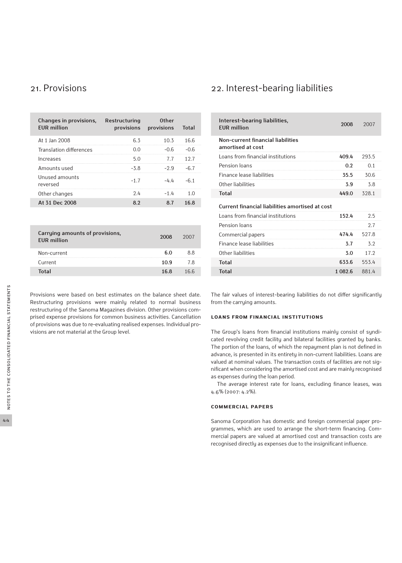| Changes in provisions,<br><b>EUR million</b> | Restructuring<br>provisions provisions | <b>Other</b> | <b>Total</b> |
|----------------------------------------------|----------------------------------------|--------------|--------------|
| At 1 Jan 2008                                | 6.3                                    | 10.3         | 16.6         |
| Translation differences                      | ი ი                                    | $-0.6$       | -0.6         |
| Increases                                    | 5.0                                    | 77           | 127          |
| Amounts used                                 | $-5.8$                                 | $-2.9$       |              |
| Unused amounts<br>reversed                   | $-1.7$                                 | $-4.4$       | -61          |
| Other changes                                | 2.4                                    | -14          | 1 ∩          |
| At 31 Dec 2008                               | 89                                     | 8.7          | 16.8         |

| 2008        | 2007 |
|-------------|------|
| 6 በ         | 88   |
| 10.9        | 7 8  |
| 16 <b>8</b> | 166  |
|             |      |

Provisions were based on best estimates on the balance sheet date. Restructuring provisions were mainly related to normal business restructuring of the Sanoma Magazines division. Other provisions comprised expense provisions for common business activities. Cancellation of provisions was due to re-evaluating realised expenses. Individual provisions are not material at the Group level.

### 21. Provisions 22. Interest-bearing liabilities

| Interest-bearing liabilities,<br><b>FUR million</b>    | 2008    | 2007  |
|--------------------------------------------------------|---------|-------|
| Non-current financial liabilities<br>amortised at cost |         |       |
| Loans from financial institutions                      | 409.4   | 293.5 |
| Pension loans                                          | 0.2     | 0.1   |
| Finance lease liabilities                              | 35.5    | 30.6  |
| Other liabilities                                      | 3.9     | 3.8   |
| <b>Total</b>                                           | 449.0   | 328.1 |
| Current financial liabilities amortised at cost        |         |       |
| Loans from financial institutions                      | 152.4   | 2.5   |
| Pension loans                                          |         | 2.7   |
| Commercial papers                                      | 4744    | 527.8 |
| Finance lease liabilities                              | 3.7     | 3.2   |
| Other liabilities                                      | 3.0     | 17.2  |
| Total                                                  | 633.6   | 553.4 |
| <b>Total</b>                                           | 1.082.6 | 881.4 |

The fair values of interest-bearing liabilities do not differ significantly from the carrying amounts.

#### **Loans from financial institutions**

The Group's loans from financial institutions mainly consist of syndicated revolving credit facility and bilateral facilities granted by banks. The portion of the loans, of which the repayment plan is not defined in advance, is presented in its entirety in non-current liabilities. Loans are valued at nominal values. The transaction costs of facilities are not significant when considering the amortised cost and are mainly recognised as expenses during the loan period.

The average interest rate for loans, excluding finance leases, was 4.6% (2007: 4.2%).

#### **Commercial papers**

Sanoma Corporation has domestic and foreign commercial paper programmes, which are used to arrange the short-term financing. Commercial papers are valued at amortised cost and transaction costs are recognised directly as expenses due to the insignificant influence.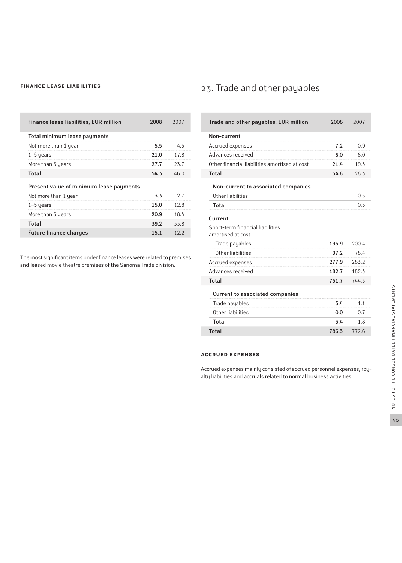#### **Finance lease liabilities**

| Finance lease liabilities, EUR million  | 2008 | 2007 |
|-----------------------------------------|------|------|
| Total minimum lease payments            |      |      |
| Not more than 1 year                    | 5.5  | 45   |
| $1-5$ years                             | 21.0 | 17.8 |
| More than 5 years                       | 27.7 | 23.7 |
| <b>Total</b>                            | 54.3 | 46.0 |
| Present value of minimum lease payments |      |      |
| Not more than 1 year                    | 3.3  | 2.7  |
| $1-5$ years                             | 15.0 | 12.8 |
| More than 5 years                       | 20.9 | 18.4 |
| Total                                   | 39.2 | 33.8 |
| <b>Future finance charges</b>           | 15.1 | 12.2 |

The most significant items under finance leases were related to premises and leased movie theatre premises of the Sanoma Trade division.

## 23. Trade and other payables

| Trade and other payables, EUR million                 | 2008  | 2007  |
|-------------------------------------------------------|-------|-------|
| Non-current                                           |       |       |
| Accrued expenses                                      | 7.2   | 0.9   |
| Advances received                                     | 6.0   | 8.0   |
| Other financial liabilities amortised at cost         | 21.4  | 19.3  |
| <b>Total</b>                                          | 34.6  | 28.3  |
| Non-current to associated companies                   |       |       |
| Other liabilities                                     |       | 0.5   |
| <b>Total</b>                                          |       | 0.5   |
| Current                                               |       |       |
| Short-term financial liabilities<br>amortised at cost |       |       |
| Trade payables                                        | 193.9 | 200.4 |
| Other liabilities                                     | 97.2  | 78.4  |
| Accrued expenses                                      | 277.9 | 283.2 |
| Advances received                                     | 182.7 | 182.3 |
| <b>Total</b>                                          | 751.7 | 744.3 |
| <b>Current to associated companies</b>                |       |       |
| Trade payables                                        | 3.4   | 1.1   |
| Other liabilities                                     | 0.0   | 0.7   |
| <b>Total</b>                                          | 3.4   | 1.8   |
| <b>Total</b>                                          | 786.3 | 772.6 |

### **Accrued expenses**

Г

Accrued expenses mainly consisted of accrued personnel expenses, royalty liabilities and accruals related to normal business activities.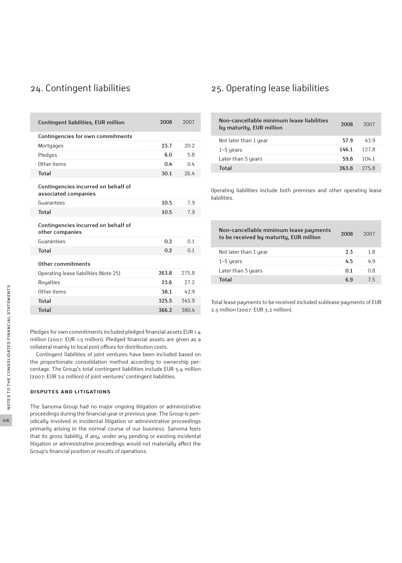| <b>Contingent liabilities, EUR million</b>                  | 2008  | 2007  |
|-------------------------------------------------------------|-------|-------|
| Contingencies for own commitments                           |       |       |
| Mortgages                                                   | 23.7  | 20.2  |
| Pledges                                                     | 6.0   | 5.8   |
| Other items                                                 | 0.4   | 0.4   |
| <b>Total</b>                                                | 30.1  | 26.4  |
| Contingencies incurred on behalf of<br>associated companies |       |       |
| Guarantees                                                  | 10.5  | 7.9   |
| <b>Total</b>                                                | 10.5  | 7.9   |
| Contingencies incurred on behalf of<br>other companies      |       |       |
| Guarantees                                                  | 0.2   | 0.1   |
| <b>Total</b>                                                | 0.2   | 0.1   |
| Other commitments                                           |       |       |
| Operating lease liabilities (Note 25)                       | 263.8 | 275.8 |
| Royalties                                                   | 23.6  | 27.2  |
| Other items                                                 | 38.1  | 42.9  |
| <b>Total</b>                                                | 325.5 | 345.9 |
| <b>Total</b>                                                | 366.2 | 380.4 |

Pledges for own commitments included pledged financial assets EUR 1.4 million (2007: EUR 1.5 million). Pledged financial assets are given as a collateral mainly to local post offices for distribution costs.

Contingent liabilities of joint ventures have been included based on the proportionate consolidation method according to ownership percentage. The Group's total contingent liabilities include EUR 5.4 million (2007: EUR 7.0 million) of joint ventures' contingent liabilities.

#### **Disputes and litigations**

The Sanoma Group had no major ongoing litigation or administrative proceedings during the financial year or previous year. The Group is periodically involved in incidental litigation or administrative proceedings primarily arising in the normal course of our business. Sanoma feels that its gross liability, if any, under any pending or existing incidental litigation or administrative proceedings would not materially affect the Group's financial position or results of operations.

### 24. Contingent liabilities 25. Operating lease liabilities

| Non-cancellable minimum lease liabilities<br>by maturity, EUR million | 2008            | 2007  |
|-----------------------------------------------------------------------|-----------------|-------|
| Not later than 1 year                                                 | 57.9            | 439   |
| $1-5$ years                                                           | $146.1$ $127.8$ |       |
| Later than 5 years                                                    | 59.8            | 1041  |
| <b>Total</b>                                                          | 263 8           | 275 R |

Operating liabilities include both premises and other operating lease liabilities.

| Non-cancellable minimum lease payments<br>to be received by maturity, EUR million | 2008 | 2007 |
|-----------------------------------------------------------------------------------|------|------|
| Not later than 1 year                                                             | つる   | 18   |
| $1-5$ years                                                                       | 45   | 4 q  |
| Later than 5 years                                                                |      | በ ጸ  |
| Total                                                                             | ն Գ  | 7 5  |

Total lease payments to be received included sublease payments of EUR 2.5 million (2007: EUR 3.2 million).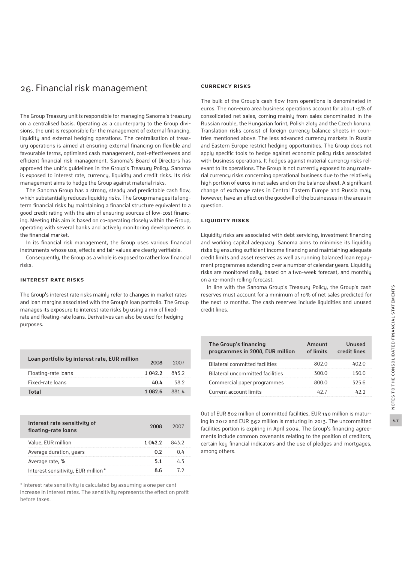### 26. Financial risk management

The Group Treasury unit is responsible for managing Sanoma's treasury on a centralised basis. Operating as a counterparty to the Group divisions, the unit is responsible for the management of external financing, liquidity and external hedging operations. The centralisation of treasury operations is aimed at ensuring external financing on flexible and favourable terms, optimised cash management, cost-effectiveness and efficient financial risk management. Sanoma's Board of Directors has approved the unit's guidelines in the Group's Treasury Policy. Sanoma is exposed to interest rate, currency, liquidity and credit risks. Its risk management aims to hedge the Group against material risks.

The Sanoma Group has a strong, steady and predictable cash flow, which substantially reduces liquidity risks. The Group manages its longterm financial risks by maintaining a financial structure equivalent to a good credit rating with the aim of ensuring sources of low-cost financing. Meeting this aim is based on co-operating closely within the Group, operating with several banks and actively monitoring developments in the financial market.

In its financial risk management, the Group uses various financial instruments whose use, effects and fair values are clearly verifiable.

Consequently, the Group as a whole is exposed to rather low financial risks.

#### **Interest rate risks**

The Group's interest rate risks mainly refer to changes in market rates and loan margins associated with the Group's loan portfolio. The Group manages its exposure to interest rate risks by using a mix of fixedrate and floating-rate loans. Derivatives can also be used for hedging purposes.

| Loan portfolio by interest rate, EUR million | 2008           | 2007 |
|----------------------------------------------|----------------|------|
| Floating-rate loans                          | $10422$ $8432$ |      |
| Fixed-rate loans                             | 40 A           | 38 2 |
| Total                                        | 1 በጸን 6        | 8814 |

| Interest rate sensitivity of<br>floating-rate loans | 2008    | 2007 |
|-----------------------------------------------------|---------|------|
| Value, EUR million                                  | 1 042.2 | 8432 |
| Average duration, years                             | በ ን     | () 4 |
| Average rate, %                                     |         |      |
| Interest sensitivity, EUR million*                  | ጸ հ     |      |

\* Interest rate sensitivity is calculated by assuming a one per cent increase in interest rates. The sensitivity represents the effect on profit before taxes.

#### **Currency risks**

The bulk of the Group's cash flow from operations is denominated in euros. The non-euro area business operations account for about 15% of consolidated net sales, coming mainly from sales denominated in the Russian rouble, the Hungarian forint, Polish zloty and the Czech koruna. Translation risks consist of foreign currency balance sheets in countries mentioned above. The less advanced currency markets in Russia and Eastern Europe restrict hedging opportunities. The Group does not apply specific tools to hedge against economic policy risks associated with business operations. It hedges against material currency risks relevant to its operations. The Group is not currently exposed to any material currency risks concerning operational business due to the relatively high portion of euros in net sales and on the balance sheet. A significant change of exchange rates in Central Eastern Europe and Russia may, however, have an effect on the goodwill of the businesses in the areas in question.

#### **Liquidity risks**

Liquidity risks are associated with debt servicing, investment financing and working capital adequacy. Sanoma aims to minimise its liquidity risks by ensuring sufficient income financing and maintaining adequate credit limits and asset reserves as well as running balanced loan repayment programmes extending over a number of calendar years. Liquidity risks are monitored daily, based on a two-week forecast, and monthly on a 12-month rolling forecast.

In line with the Sanoma Group's Treasury Policy, the Group's cash reserves must account for a minimum of 10% of net sales predicted for the next 12 months. The cash reserves include liquidities and unused credit lines.

| The Group's financing<br>programmes in 2008, EUR million | Amount<br>of limits | <b>Unused</b><br>credit lines |
|----------------------------------------------------------|---------------------|-------------------------------|
| <b>Bilateral committed facilities</b>                    | 802 O               | 402 O                         |
| Bilateral uncommitted facilities                         | 300.0               | 150 Q                         |
| Commercial paper programmes                              | 800 O               | 325 R                         |
| Current account limits                                   | 1177                | ムクク                           |

Out of EUR 802 million of committed facilities, EUR 140 million is maturing in 2012 and EUR 662 million is maturing in 2013. The uncommitted facilities portion is expiring in April 2009. The Group's financing agreements include common covenants relating to the position of creditors, certain key financial indicators and the use of pledges and mortgages, among others.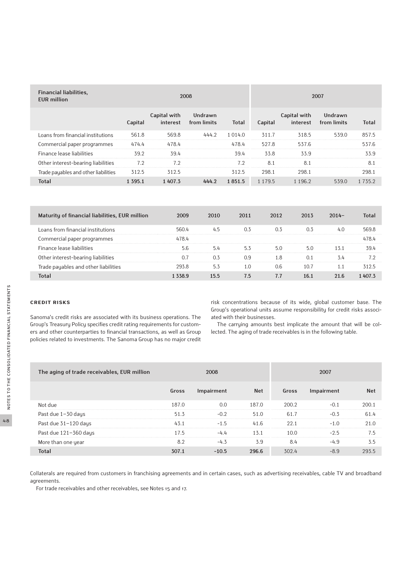| <b>Financial liabilities,</b><br><b>EUR million</b> | 2008       |                          |                        |              |            | 2007                     |                        |              |
|-----------------------------------------------------|------------|--------------------------|------------------------|--------------|------------|--------------------------|------------------------|--------------|
|                                                     | Capital    | Capital with<br>interest | Undrawn<br>from limits | <b>Total</b> | Capital    | Capital with<br>interest | Undrawn<br>from limits | <b>Total</b> |
| Loans from financial institutions                   | 561.8      | 569.8                    | 444.2                  | 1 0 1 4 .0   | 311.7      | 318.5                    | 539.0                  | 857.5        |
| Commercial paper programmes                         | 474.4      | 478.4                    |                        | 478.4        | 527.8      | 537.6                    |                        | 537.6        |
| Finance lease liabilities                           | 39.2       | 39.4                     |                        | 39.4         | 33.8       | 33.9                     |                        | 33.9         |
| Other interest-bearing liabilities                  | 7.2        | 7.2                      |                        | 7.2          | 8.1        | 8.1                      |                        | 8.1          |
| Trade payables and other liabilities                | 312.5      | 312.5                    |                        | 312.5        | 298.1      | 298.1                    |                        | 298.1        |
| <b>Total</b>                                        | 1 3 9 5 .1 | 1 407.3                  | 444.2                  | 1851.5       | 1 1 7 9 .5 | 1 1 9 6 . 2              | 539.0                  | 1 7 3 5 . 2  |

| Maturity of financial liabilities, EUR million | 2009  | 2010 | 2011 | 2012 | 2013 | $2014 -$ | Total |
|------------------------------------------------|-------|------|------|------|------|----------|-------|
| Loans from financial institutions              | 560.4 | 4.5  |      |      | 0.3  | 4.C      | 569.8 |
| Commercial paper programmes                    | 4784  |      |      |      |      |          | 4784  |
| Finance lease liabilities                      | 5.6   | 5.4  | 5.3  |      | 5.0  | 131      | 39.4  |
| Other interest-bearing liabilities             |       | 0.3  | 0.9  | 1.8  | 0.1  | 5.4      |       |
| Trade payables and other liabilities           | 2938  | 5.3  |      | 0.6  | 10.7 |          | 312.5 |
|                                                |       |      | 7.5  |      |      | 21.6     |       |

Sanoma's credit risks are associated with its business operations. The Group's Treasury Policy specifies credit rating requirements for customers and other counterparties to financial transactions, as well as Group policies related to investments. The Sanoma Group has no major credit

risk concentrations because of its wide, global customer base. The Group's operational units assume responsibility for credit risks associated with their businesses.

The carrying amounts best implicate the amount that will be collected. The aging of trade receivables is in the following table.

| The aging of trade receivables, EUR million |       | 2008       |            |       | 2007       |            |
|---------------------------------------------|-------|------------|------------|-------|------------|------------|
|                                             | Gross | Impairment | <b>Net</b> | Gross | Impairment | <b>Net</b> |
| Not due                                     | 187.0 | 0.0        | 187.0      | 200.2 | $-0.1$     | 200.1      |
| Past due 1-30 days                          | 51.3  | $-0.2$     | 51.0       | 61.7  | $-0.3$     | 61.4       |
| Past due 31-120 days                        | 43.1  | $-1.5$     | 41.6       | 22.1  | $-1.0$     | 21.0       |
| Past due 121-360 days                       | 17.5  | $-4.4$     | 13.1       | 10.0  | $-2.5$     | 7.5        |
| More than one year                          | 8.2   | $-4.3$     | 3.9        | 8.4   | $-4.9$     | 3.5        |
| <b>Total</b>                                | 307.1 | $-10.5$    | 296.6      | 302.4 | $-8.9$     | 293.5      |

Collaterals are required from customers in franchising agreements and in certain cases, such as advertising receivables, cable TV and broadband agreements.

For trade receivables and other receivables, see Notes 15 and 17.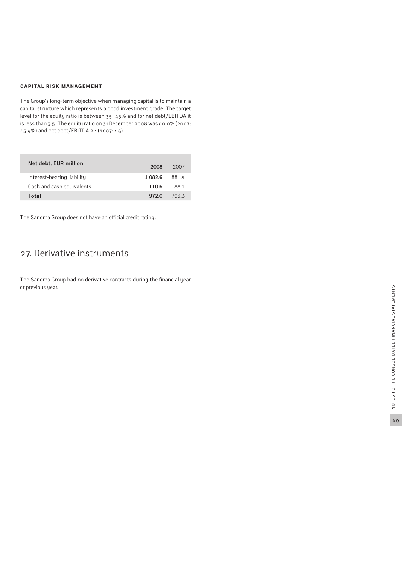#### **Capital risk mana gement**

The Group's long-term objective when managing capital is to maintain a capital structure which represents a good investment grade. The target level for the equity ratio is between 35−45% and for net debt/EBITDA it is less than 3.5. The equity ratio on 31 December 2008 was 40.0% (2007: 45.4%) and net debt/EBITDA 2.1 (2007: 1.6).

| Net debt, EUR million      | 2008    | 2007 |
|----------------------------|---------|------|
| Interest-bearing liability | 1.082.6 | 8814 |
| Cash and cash equivalents  | 110.6   | 88 1 |
| Total                      | 972 O   | 7933 |

The Sanoma Group does not have an official credit rating.

## 27. Derivative instruments

The Sanoma Group had no derivative contracts during the financial year or previous year.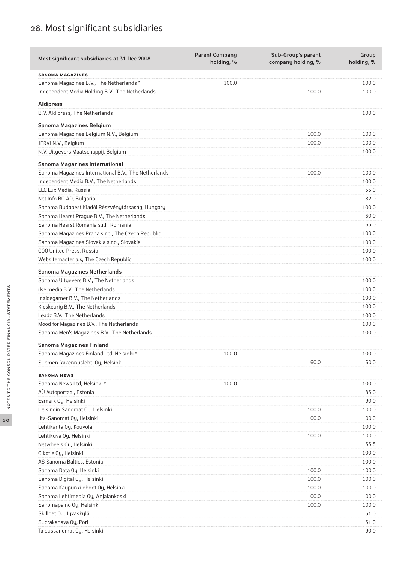## 28. Most significant subsidiaries

| Most significant subsidiaries at 31 Dec 2008         | <b>Parent Company</b><br>holding, % | Sub-Group's parent<br>company holding, % | Group<br>holding, % |
|------------------------------------------------------|-------------------------------------|------------------------------------------|---------------------|
| <b>SANOMA MAGAZINES</b>                              |                                     |                                          |                     |
| Sanoma Magazines B.V., The Netherlands *             | 100.0                               |                                          | 100.0               |
| Independent Media Holding B.V., The Netherlands      |                                     | 100.0                                    | 100.0               |
| <b>Aldipress</b>                                     |                                     |                                          |                     |
| B.V. Aldipress, The Netherlands                      |                                     |                                          | 100.0               |
|                                                      |                                     |                                          |                     |
| Sanoma Magazines Belgium                             |                                     |                                          |                     |
| Sanoma Magazines Belgium N.V., Belgium               |                                     | 100.0                                    | 100.0               |
| JERVI N.V., Belgium                                  |                                     | 100.0                                    | 100.0               |
| N.V. Uitgevers Maatschappij, Belgium                 |                                     |                                          | 100.0               |
| Sanoma Magazines International                       |                                     |                                          |                     |
| Sanoma Magazines International B.V., The Netherlands |                                     | 100.0                                    | 100.0               |
| Independent Media B.V., The Netherlands              |                                     |                                          | 100.0               |
| LLC Lux Media, Russia                                |                                     |                                          | 55.0                |
| Net Info.BG AD, Bulgaria                             |                                     |                                          | 82.0                |
| Sanoma Budapest Kiadói Részvénytársaság, Hungary     |                                     |                                          | 100.0               |
| Sanoma Hearst Prague B.V., The Netherlands           |                                     |                                          | 60.0                |
| Sanoma Hearst Romania s.r.l., Romania                |                                     |                                          | 65.0                |
| Sanoma Magazines Praha s.r.o., The Czech Republic    |                                     |                                          | 100.0               |
| Sanoma Magazines Slovakia s.r.o., Slovakia           |                                     |                                          | 100.0               |
| 000 United Press, Russia                             |                                     |                                          | 100.0               |
| Websitemaster a.s, The Czech Republic                |                                     |                                          | 100.0               |
| Sanoma Magazines Netherlands                         |                                     |                                          |                     |
| Sanoma Uitgevers B.V., The Netherlands               |                                     |                                          | 100.0               |
| ilse media B.V., The Netherlands                     |                                     |                                          | 100.0               |
| Insidegamer B.V., The Netherlands                    |                                     |                                          | 100.0               |
| Kieskeurig B.V., The Netherlands                     |                                     |                                          | 100.0               |
| Leadz B.V., The Netherlands                          |                                     |                                          | 100.0               |
| Mood for Magazines B.V., The Netherlands             |                                     |                                          | 100.0               |
| Sanoma Men's Magazines B.V., The Netherlands         |                                     |                                          | 100.0               |
| Sanoma Magazines Finland                             |                                     |                                          |                     |
| Sanoma Magazines Finland Ltd, Helsinki*              | 100.0                               |                                          | 100.0               |
| Suomen Rakennuslehti Oy, Helsinki                    |                                     | 60.0                                     | 60.0                |
|                                                      |                                     |                                          |                     |
| <b>SANOMA NEWS</b>                                   | 100.0                               |                                          | 100.0               |
| Sanoma News Ltd, Helsinki*                           |                                     |                                          | 85.0                |
| AÜ Autoportaal, Estonia<br>Esmerk Oy, Helsinki       |                                     |                                          | 90.0                |
| Helsingin Sanomat Oy, Helsinki                       |                                     | 100.0                                    | 100.0               |
| Ilta-Sanomat Oy, Helsinki                            |                                     | 100.0                                    | 100.0               |
| Lehtikanta Oy, Kouvola                               |                                     |                                          | 100.0               |
| Lehtikuva Oy, Helsinki                               |                                     | 100.0                                    | 100.0               |
| Netwheels Oy, Helsinki                               |                                     |                                          | 55.8                |
| Oikotie Oy, Helsinki                                 |                                     |                                          | 100.0               |
| AS Sanoma Baltics, Estonia                           |                                     |                                          | 100.0               |
| Sanoma Data Oy, Helsinki                             |                                     | 100.0                                    | 100.0               |
| Sanoma Digital Oy, Helsinki                          |                                     | 100.0                                    | 100.0               |
| Sanoma Kaupunkilehdet Oy, Helsinki                   |                                     | 100.0                                    | 100.0               |
| Sanoma Lehtimedia Oy, Anjalankoski                   |                                     | 100.0                                    | 100.0               |
| Sanomapaino Oy, Helsinki                             |                                     | 100.0                                    | 100.0               |
| Skillnet Oy, Jyväskylä                               |                                     |                                          | 51.0                |
| Suorakanava Oy, Pori                                 |                                     |                                          | 51.0                |
| Taloussanomat Oy, Helsinki                           |                                     |                                          | 90.0                |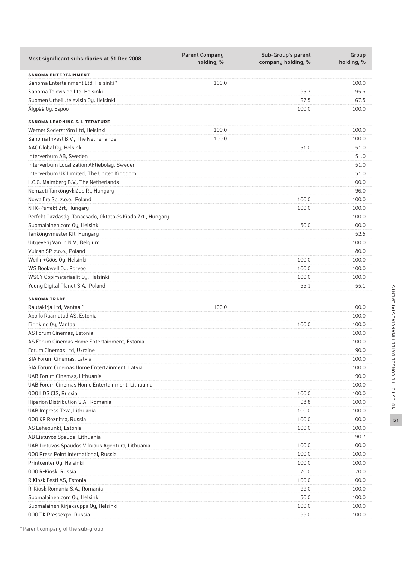| Most significant subsidiaries at 31 Dec 2008               | <b>Parent Company</b><br>holding, % | Sub-Group's parent<br>company holding, % | Group<br>holding, % |
|------------------------------------------------------------|-------------------------------------|------------------------------------------|---------------------|
| <b>SANOMA ENTERTAINMENT</b>                                |                                     |                                          |                     |
| Sanoma Entertainment Ltd, Helsinki *                       | 100.0                               |                                          | 100.0               |
| Sanoma Television Ltd, Helsinki                            |                                     | 95.3                                     | 95.3                |
| Suomen Urheilutelevisio Oy, Helsinki                       |                                     | 67.5                                     | 67.5                |
| Älypää Oy, Espoo                                           |                                     | 100.0                                    | 100.0               |
| <b>SANOMA LEARNING &amp; LITERATURE</b>                    |                                     |                                          |                     |
| Werner Söderström Ltd, Helsinki                            | 100.0                               |                                          | 100.0               |
| Sanoma Invest B.V., The Netherlands                        | 100.0                               |                                          | 100.0               |
| AAC Global Oy, Helsinki                                    |                                     | 51.0                                     | 51.0                |
| Interverbum AB, Sweden                                     |                                     |                                          | 51.0                |
| Interverbum Localization Aktiebolag, Sweden                |                                     |                                          | 51.0                |
| Interverbum UK Limited, The United Kingdom                 |                                     |                                          | 51.0                |
| L.C.G. Malmberg B.V., The Netherlands                      |                                     |                                          | 100.0               |
| Nemzeti Tankönyvkiádo Rt, Hungary                          |                                     |                                          | 96.0                |
| Nowa Era Sp. z.o.o., Poland                                |                                     | 100.0                                    | 100.0               |
| NTK-Perfekt Zrt, Hungary                                   |                                     | 100.0                                    | 100.0               |
| Perfekt Gazdasági Tanácsadó, Oktató és Kiadó Zrt., Hungary |                                     |                                          | 100.0               |
| Suomalainen.com Oy, Helsinki                               |                                     | 50.0                                     | 100.0               |
| Tankönyvmester Kft, Hungary                                |                                     |                                          | 52.5                |
| Uitgeverij Van In N.V., Belgium                            |                                     |                                          | 100.0               |
| Vulcan SP. z.o.o., Poland                                  |                                     |                                          | 80.0                |
| Weilin+Göös Oy, Helsinki                                   |                                     | 100.0                                    | 100.0               |
| WS Bookwell Oy, Porvoo                                     |                                     | 100.0                                    | 100.0               |
| WSOY Oppimateriaalit Oy, Helsinki                          |                                     | 100.0                                    | 100.0               |
| Young Digital Planet S.A., Poland                          |                                     | 55.1                                     | 55.1                |
| <b>SANOMA TRADE</b>                                        |                                     |                                          |                     |
| Rautakirja Ltd, Vantaa*                                    | 100.0                               |                                          | 100.0               |
| Apollo Raamatud AS, Estonia                                |                                     |                                          | 100.0               |
| Finnkino Oy, Vantaa                                        |                                     | 100.0                                    | 100.0               |
| AS Forum Cinemas, Estonia                                  |                                     |                                          | 100.0               |
| AS Forum Cinemas Home Entertainment, Estonia               |                                     |                                          | 100.0               |
| Forum Cinemas Ltd, Ukraine                                 |                                     |                                          | 90.0                |
| SIA Forum Cinemas, Latvia                                  |                                     |                                          | 100.0               |
| SIA Forum Cinemas Home Entertainment, Latvia               |                                     |                                          | 100.0               |
| UAB Forum Cinemas, Lithuania                               |                                     |                                          | 90.0                |
| UAB Forum Cinemas Home Entertainment, Lithuania            |                                     |                                          | 100.0               |
| 000 HDS CIS, Russia                                        |                                     | 100.0                                    | 100.0               |
| Hiparion Distribution S.A., Romania                        |                                     | 98.8                                     | 100.0               |
| UAB Impress Teva, Lithuania                                |                                     | 100.0                                    | 100.0               |
| 000 KP Roznitsa, Russia                                    |                                     | 100.0                                    | 100.0               |
| AS Lehepunkt, Estonia                                      |                                     | 100.0                                    | 100.0               |
| AB Lietuvos Spauda, Lithuania                              |                                     |                                          | 90.7                |
| UAB Lietuvos Spaudos Vilniaus Agentura, Lithuania          |                                     | 100.0                                    | 100.0               |
| 000 Press Point International, Russia                      |                                     | 100.0                                    | 100.0               |
| Printcenter Oy, Helsinki                                   |                                     | 100.0                                    | 100.0               |
| 000 R-Kiosk, Russia                                        |                                     | 70.0                                     | 70.0                |
| R Kiosk Eesti AS, Estonia                                  |                                     | 100.0                                    | 100.0               |
| R-Kiosk Romania S.A., Romania                              |                                     | 99.0                                     | 100.0               |
| Suomalainen.com Oy, Helsinki                               |                                     | 50.0                                     | 100.0               |
| Suomalainen Kirjakauppa Oy, Helsinki                       |                                     | 100.0                                    | 100.0               |
| 000 TK Pressexpo, Russia                                   |                                     | 99.0                                     | 100.0               |
|                                                            |                                     |                                          |                     |

NOTES TO THE CONSOLIDATED FINANCIAL STATEMENTS Notes to the consolidated financial statements 51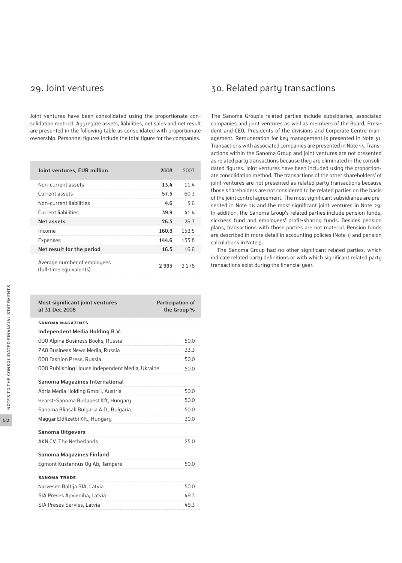Joint ventures have been consolidated using the proportionate consolidation method. Aggregate assets, liabilities, net sales and net result are presented in the following table as consolidated with proportionate ownership. Personnel figures include the total figure for the companies.

| Joint ventures, EUR million                            | 2008  | 2007    |
|--------------------------------------------------------|-------|---------|
| Non-current assets                                     | 13.4  | 11.4    |
| Current assets                                         | 57.5  | 60.3    |
| Non-current liabilities                                | 4.6   | 3.6     |
| Current liabilities                                    | 39.9  | 41.4    |
| Net assets                                             | 26.5  | 26.7    |
| Income                                                 | 160.9 | 152.5   |
| <b>Expenses</b>                                        | 144.6 | 135.8   |
| Net result for the period                              | 16.3  | 16.6    |
| Average number of employees<br>(full-time equivalents) | 2.993 | 2 2 7 8 |

| Most significant joint ventures<br>at 31 Dec 2008 | Participation of<br>the Group % |
|---------------------------------------------------|---------------------------------|
| <b>SANOMA MAGAZINES</b>                           |                                 |
| Independent Media Holding B.V.                    |                                 |
| 000 Alpina Business Books, Russia                 | 50.0                            |
| ZAO Business News Media, Russia                   | 33.3                            |
| 000 Fashion Press, Russia                         | 50.0                            |
| 000 Publishing House Independent Media, Ukraine   | 50.0                            |
| Sanoma Magazines International                    |                                 |
| Adria Media Holding GmbH, Austria                 | 50.0                            |
| Hearst-Sanoma Budapest Kft, Hungary               | 50.0                            |
| Sanoma Bliasak Bulgaria A.D., Bulgaria            | 50.0                            |
| Magyar Elöfizetöi Kft., Hungary                   | 30.0                            |
| <b>Sanoma Uitgevers</b>                           |                                 |
| AKN CV, The Netherlands                           | 25.0                            |
| Sanoma Magazines Finland                          |                                 |
| Egmont Kustannus Oy Ab, Tampere                   | 50.0                            |
| <b>SANOMA TRADE</b>                               |                                 |
| Narvesen Baltija SIA, Latvia                      | 50.0                            |
| SIA Preses Apvieniba, Latvia                      | 49.3                            |
| SIA Preses Serviss, Latvia                        | 49.3                            |

## 29. Joint ventures and the 30. Related party transactions

The Sanoma Group's related parties include subsidiaries, associated companies and joint ventures as well as members of the Board, President and CEO, Presidents of the divisions and Corporate Centre management. Remuneration for key management is presented in Note 31. Transactions with associated companies are presented in Note 13. Transactions within the Sanoma Group and joint ventures are not presented as related party transactions because they are eliminated in the consolidated figures. Joint ventures have been included using the proportionate consolidation method. The transactions of the other shareholders' of joint ventures are not presented as related party transactions because those shareholders are not considered to be related parties on the basis of the joint control agreement. The most significant subsidiaries are presented in Note 28 and the most significant joint ventures in Note 29. In addition, the Sanoma Group's related parties include pension funds, sickness fund and employees' profit-sharing funds. Besides pension plans, transactions with those parties are not material. Pension funds are described in more detail in accounting policies (Note 1) and pension calculations in Note 5.

The Sanoma Group had no other significant related parties, which indicate related party definitions or with which significant related party transactions exist during the financial year.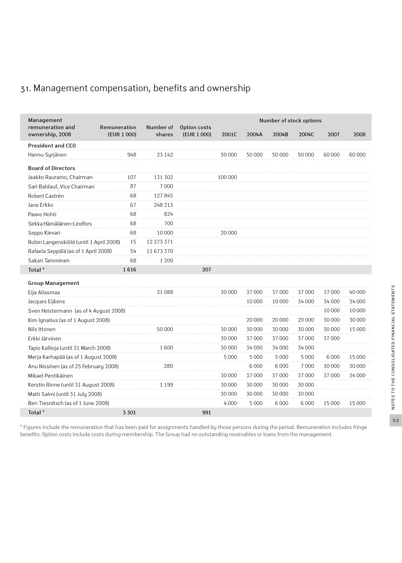## 31. Management compensation, benefits and ownership

| Management<br>remuneration and          | Remuneration | Number of  |                             |         |         |         | Number of stock options |         |        |
|-----------------------------------------|--------------|------------|-----------------------------|---------|---------|---------|-------------------------|---------|--------|
| ownership, 2008                         | (EUR 1 000)  | shares     | Option costs<br>(EUR 1 000) | 2001C   | 2004A   | 2004B   | 2004C                   | 2007    | 2008   |
| <b>President and CEO</b>                |              |            |                             |         |         |         |                         |         |        |
| Hannu Syrjänen                          | 948          | 23 142     |                             | 50 000  | 50 000  | 50 000  | 50 000                  | 60 000  | 60 000 |
| <b>Board of Directors</b>               |              |            |                             |         |         |         |                         |         |        |
| Jaakko Rauramo, Chairman                | 107          | 131 302    |                             | 100 000 |         |         |                         |         |        |
| Sari Baldauf, Vice Chairman             | 87           | 7000       |                             |         |         |         |                         |         |        |
| Robert Castrén                          | 68           | 127845     |                             |         |         |         |                         |         |        |
| Jane Erkko                              | 67           | 248 213    |                             |         |         |         |                         |         |        |
| Paavo Hohti                             | 68           | 824        |                             |         |         |         |                         |         |        |
| Sirkka Hämäläinen-Lindfors              | 68           | 700        |                             |         |         |         |                         |         |        |
| Seppo Kievari                           | 68           | 10000      |                             | 20 000  |         |         |                         |         |        |
| Robin Langenskiöld (until 1 April 2008) | 15           | 12 273 371 |                             |         |         |         |                         |         |        |
| Rafaela Seppälä (as of 1 April 2008)    | 54           | 11673370   |                             |         |         |         |                         |         |        |
| Sakari Tamminen                         | 68           | 1 200      |                             |         |         |         |                         |         |        |
| Total <sup>*</sup>                      | 1616         |            | 207                         |         |         |         |                         |         |        |
| <b>Group Management</b>                 |              |            |                             |         |         |         |                         |         |        |
| Eija Ailasmaa                           |              | 21 088     |                             | 30 000  | 37 000  | 37 000  | 37 000                  | 37 000  | 40 000 |
| Jacques Eijkens                         |              |            |                             |         | 10 000  | 10 000  | 34 000                  | 34 000  | 34 000 |
| Sven Heistermann (as of 4 August 2008)  |              |            |                             |         |         |         |                         | 10 000  | 10 000 |
| Kim Ignatius (as of 1 August 2008)      |              |            |                             |         | 20 000  | 20 000  | 20 000                  | 30 000  | 30 000 |
| Nils Ittonen                            |              | 50 000     |                             | 30 000  | 30 000  | 30 000  | 30 000                  | 30 000  | 15 000 |
| Erkki Järvinen                          |              |            |                             | 30 000  | 37 000  | 37 000  | 37 000                  | 37 000  |        |
| Tapio Kallioja (until 31 March 2008)    |              | 1600       |                             | 30 000  | 34 000  | 34 000  | 34 000                  |         |        |
| Merja Karhapää (as of 1 August 2008)    |              |            |                             | 5 0 0 0 | 5 0 0 0 | 5 0 0 0 | 5 0 0 0                 | 6 0 0 0 | 15 000 |
| Anu Nissinen (as of 25 February 2008)   |              | 280        |                             |         | 6 0 0 0 | 6 0 0 0 | 7000                    | 30 000  | 30 000 |
| Mikael Pentikäinen                      |              |            |                             | 30 000  | 37 000  | 37 000  | 37000                   | 37 000  | 34 000 |
| Kerstin Rinne (until 31 August 2008)    |              | 1 1 9 9    |                             | 30 000  | 30 000  | 30 000  | 30 000                  |         |        |
| Matti Salmi (until 31 July 2008)        |              |            |                             | 30 000  | 30 000  | 30 000  | 30 000                  |         |        |
| Ben Tiesnitsch (as of 1 June 2008)      |              |            |                             | 4 0 0 0 | 5 0 0 0 | 6 0 0 0 | 6 0 0 0                 | 15 000  | 15 000 |
| Total*                                  | 3 3 0 1      |            | 991                         |         |         |         |                         |         |        |

\* Figures include the remuneration that has been paid for assignments handled by those persons during the period. Remuneration includes fringe benefits. Option costs include costs during membership. The Group had no outstanding receivables or loans from the management.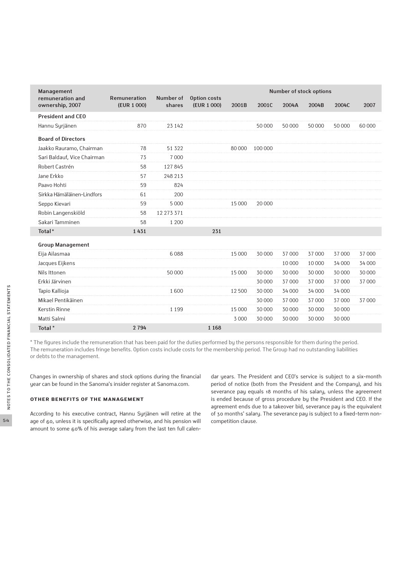| Management<br>remuneration and | Remuneration | Number of  | <b>Option costs</b> |         |         |        | Number of stock options |        |        |
|--------------------------------|--------------|------------|---------------------|---------|---------|--------|-------------------------|--------|--------|
| ownership, 2007                | (EUR 1 000)  | shares     | (EUR 1 000)         | 2001B   | 2001C   | 2004A  | 2004B                   | 2004C  | 2007   |
| <b>President and CEO</b>       |              |            |                     |         |         |        |                         |        |        |
| Hannu Syrjänen                 | 870          | 23 142     |                     |         | 50 000  | 50 000 | 50 000                  | 50 000 | 60 000 |
| <b>Board of Directors</b>      |              |            |                     |         |         |        |                         |        |        |
| Jaakko Rauramo, Chairman       | 78           | 51 3 22    |                     | 80 000  | 100 000 |        |                         |        |        |
| Sari Baldauf, Vice Chairman    | 73           | 7000       |                     |         |         |        |                         |        |        |
| Robert Castrén                 | 58           | 127845     |                     |         |         |        |                         |        |        |
| Jane Erkko                     | 57           | 248 213    |                     |         |         |        |                         |        |        |
| Paavo Hohti                    | 59           | 824        |                     |         |         |        |                         |        |        |
| Sirkka Hämäläinen-Lindfors     | 61           | 200        |                     |         |         |        |                         |        |        |
| Seppo Kievari                  | 59           | 5 0 0 0    |                     | 15 000  | 20 000  |        |                         |        |        |
| Robin Langenskiöld             | 58           | 12 273 371 |                     |         |         |        |                         |        |        |
| Sakari Tamminen                | 58           | 1 200      |                     |         |         |        |                         |        |        |
| Total*                         | 1431         |            | 231                 |         |         |        |                         |        |        |
| <b>Group Management</b>        |              |            |                     |         |         |        |                         |        |        |
| Eija Ailasmaa                  |              | 6088       |                     | 15 000  | 30 000  | 37 000 | 37 000                  | 37 000 | 37 000 |
| Jacques Eijkens                |              |            |                     |         |         | 10 000 | 10 000                  | 34 000 | 34 000 |
| Nils Ittonen                   |              | 50 000     |                     | 15 000  | 30 000  | 30 000 | 30 000                  | 30 000 | 30 000 |
| Erkki Järvinen                 |              |            |                     |         | 30 000  | 37 000 | 37 000                  | 37000  | 37 000 |
| Tapio Kallioja                 |              | 1600       |                     | 12500   | 30 000  | 34 000 | 34 000                  | 34 000 |        |
| Mikael Pentikäinen             |              |            |                     |         | 30 000  | 37 000 | 37 000                  | 37000  | 37 000 |
| <b>Kerstin Rinne</b>           |              | 1 1 9 9    |                     | 15 000  | 30 000  | 30 000 | 30 000                  | 30 000 |        |
| Matti Salmi                    |              |            |                     | 3 0 0 0 | 30 000  | 30 000 | 30 000                  | 30 000 |        |
| Total*                         | 2 7 9 4      |            | 1 1 6 8             |         |         |        |                         |        |        |

\* The figures include the remuneration that has been paid for the duties performed by the persons responsible for them during the period. The remuneration includes fringe benefits. Option costs include costs for the membership period. The Group had no outstanding liabilities or debts to the management.

Changes in ownership of shares and stock options during the financial year can be found in the Sanoma's insider register at Sanoma.com.

### **Other benefits of the management**

According to his executive contract, Hannu Syrjänen will retire at the age of 60, unless it is specifically agreed otherwise, and his pension will amount to some 60% of his average salary from the last ten full calendar years. The President and CEO's service is subject to a six-month period of notice (both from the President and the Company), and his severance pay equals 18 months of his salary, unless the agreement is ended because of gross procedure by the President and CEO. If the agreement ends due to a takeover bid, severance pay is the equivalent of 30 months' salary. The severance pay is subject to a fixed-term noncompetition clause.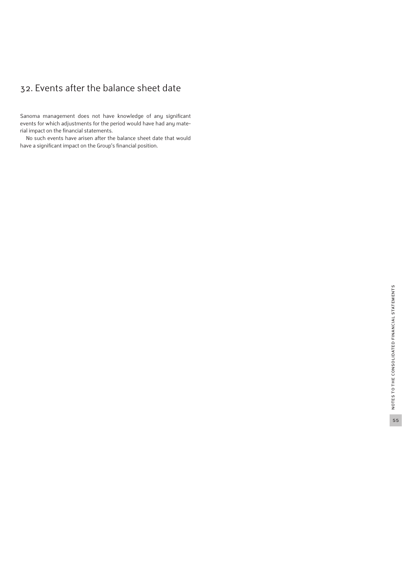## 32. Events after the balance sheet date

Sanoma management does not have knowledge of any significant events for which adjustments for the period would have had any material impact on the financial statements.

No such events have arisen after the balance sheet date that would have a significant impact on the Group's financial position.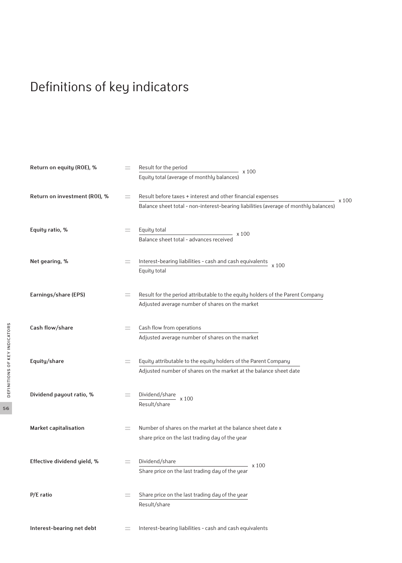# Definitions of key indicators

| Return on equity (ROE), %     |     | Result for the period<br>- x 100<br>Equity total (average of monthly balances)                                                                              |
|-------------------------------|-----|-------------------------------------------------------------------------------------------------------------------------------------------------------------|
| Return on investment (ROI), % | $=$ | Result before taxes + interest and other financial expenses<br>x100<br>Balance sheet total - non-interest-bearing liabilities (average of monthly balances) |
| Equity ratio, %               | =   | Equity total<br>- x 100<br>Balance sheet total - advances received                                                                                          |
| Net gearing, %                | $=$ | Interest-bearing liabilities - cash and cash equivalents<br>x 100<br>Equity total                                                                           |
| Earnings/share (EPS)          | $=$ | Result for the period attributable to the equity holders of the Parent Company<br>Adjusted average number of shares on the market                           |
| Cash flow/share               | =   | Cash flow from operations<br>Adjusted average number of shares on the market                                                                                |
| Equity/share                  | $=$ | Equity attributable to the equity holders of the Parent Company<br>Adjusted number of shares on the market at the balance sheet date                        |
| Dividend payout ratio, %      | $=$ | Dividend/share $\times 100$<br>Result/share                                                                                                                 |
| Market capitalisation         | $=$ | Number of shares on the market at the balance sheet date x<br>share price on the last trading day of the year                                               |
| Effective dividend yield, %   | $=$ | Dividend/share<br>$- x 100$<br>Share price on the last trading day of the year                                                                              |
| $P/E$ ratio                   |     | Share price on the last trading day of the year<br>Result/share                                                                                             |
| Interest-bearing net debt     |     | Interest-bearing liabilities - cash and cash equivalents                                                                                                    |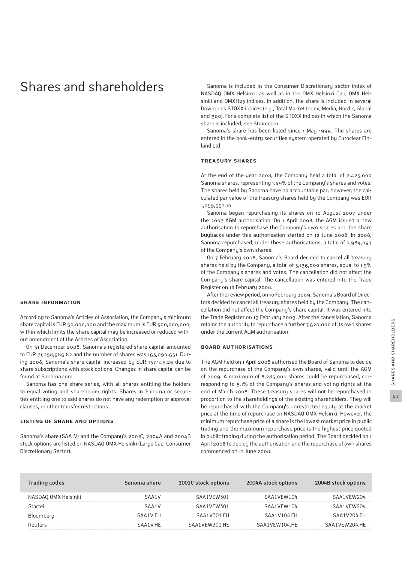## Shares and shareholders

#### **Share information**

According to Sanoma's Articles of Association, the Company's minimum share capital is EUR 50,000,000 and the maximum is EUR 300,000,000, within which limits the share capital may be increased or reduced without amendment of the Articles of Association.

On 31 December 2008, Sanoma's registered share capital amounted to EUR 71,258,986.82 and the number of shares was 163,090,651. During 2008, Sanoma's share capital increased by EUR 137,146.26 due to share subscriptions with stock options. Changes in share capital can be found at Sanoma.com.

Sanoma has one share series, with all shares entitling the holders to equal voting and shareholder rights. Shares in Sanoma or securities entitling one to said shares do not have any redemption or approval clauses, or other transfer restrictions.

#### **Listing of share and options**

Sanoma's share (SAA1V) and the Company's 2001C, 2004A and 2004B stock options are listed on NASDAQ OMX Helsinki (Large Cap, Consumer Discretionary Sector).

Sanoma is included in the Consumer Discretionary sector index of NASDAQ OMX Helsinki, as well as in the OMX Helsinki Cap, OMX Helsinki and OMXH25 indices. In addition, the share is included in several Dow Jones STOXX indices (e.g., Total Market Index, Media, Nordic, Global and 600). For a complete list of the STOXX indices in which the Sanoma share is included, see Stoxx.com.

Sanoma's share has been listed since 1 May 1999. The shares are entered in the book-entry securities system operated by Euroclear Finland Ltd.

#### **Treasury shares**

At the end of the year 2008, the Company held a total of 2,425,000 Sanoma shares, representing 1.49% of the Company's shares and votes. The shares held by Sanoma have no accountable par; however, the calculated par value of the treasury shares held by the Company was EUR 1,059,552.10.

Sanoma began repurchasing its shares on 10 August 2007 under the 2007 AGM authorisation. On 1 April 2008, the AGM issued a new authorisation to repurchase the Company's own shares and the share buybacks under this authorisation started on 12 June 2008. In 2008, Sanoma repurchased, under these authorisations, a total of 2,984,097 of the Company's own shares.

On 7 February 2008, Sanoma's Board decided to cancel all treasury shares held by the Company, a total of 3,136,000 shares, equal to 1.9% of the Company's shares and votes. The cancellation did not affect the Company's share capital. The cancellation was entered into the Trade Register on 18 February 2008.

After the review period, on 10 February 2009, Sanoma's Board of Directors decided to cancel all treasury shares held by the Company. The cancellation did not affect the Company's share capital. It was entered into the Trade Register on 19 February 2009. After the cancellation, Sanoma retains the authority to repurchase a further 7,620,000 of its own shares under the current AGM authorisation.

#### **Board authorisations**

The AGM held on 1 April 2008 authorised the Board of Sanoma to decide on the repurchase of the Company's own shares, valid until the AGM of 2009. A maximum of 8,285,000 shares could be repurchased, corresponding to 5.1% of the Company's shares and voting rights at the end of March 2008. These treasury shares will not be repurchased in proportion to the shareholdings of the existing shareholders. They will be repurchased with the Company's unrestricted equity at the market price at the time of repurchase on NASDAQ OMX Helsinki. However, the minimum repurchase price of a share is the lowest market price in public trading and the maximum repurchase price is the highest price quoted in public trading during the authorisation period. The Board decided on 1 April 2008 to deploy the authorisation and the repurchase of own shares commenced on 12 June 2008.

| <b>Trading codes</b> | Sanoma share | 2001C stock options | 2004A stock options | 2004B stock options |
|----------------------|--------------|---------------------|---------------------|---------------------|
| NASDAQ OMX Helsinki  | SAA1V        | SAA1VEW301          | SAA1VFW104          | SAA1VEW204          |
| Startel              | SAA1V        | SAA1VFW301          | SAA1VFW104          | SAA1VFW204          |
| Bloomberg            | SAA1V FH     | SAA1V301 FH         | SAA1V104 FH         | SAA1V204 FH         |
| Reuters              | SAA1V.HF     | SAA1VFW301.HF       | SAA1VFW104 HF       | SAA1VFW204 HF       |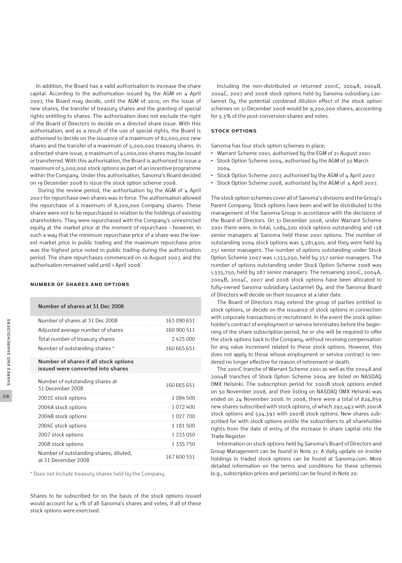In addition, the Board has a valid authorisation to increase the share capital. According to the authorisation issued by the AGM on 4 April 2007, the Board may decide, until the AGM of 2010, on the issue of new shares, the transfer of treasury shares and the granting of special rights entitling to shares. The authorisation does not exclude the right of the Board of Directors to decide on a directed share issue. With this authorisation, and as a result of the use of special rights, the Board is authorised to decide on the issuance of a maximum of 82,000,000 new shares and the transfer of a maximum of 5,000,000 treasury shares. In a directed share issue, a maximum of 41,000,000 shares may be issued or transferred. With this authorisation, the Board is authorised to issue a maximum of 5,000,000 stock options as part of an incentive programme within the Company. Under this authorisation, Sanoma's Board decided on 19 December 2008 to issue the stock option scheme 2008.

 During the review period, the authorisation by the AGM of 4 April 2007 for repurchase own shares was in force. The authorisation allowed the repurchase of a maximum of 8,200,000 Company shares. These shares were not to be repurchased in relation to the holdings of existing shareholders. They were repurchased with the Company's unrestricted equity at the market price at the moment of repurchase - however, in such a way that the minimum repurchase price of a share was the lowest market price in public trading and the maximum repurchase price was the highest price noted in public trading during the authorisation period. The share repurchases commenced on 10 August 2007, and the authorisation remained valid until 1 April 2008.

#### **Number of shares and options**

| Number of shares at 31 Dec 2008   |             |
|-----------------------------------|-------------|
| Number of shares at 31 Dec 2008   | 163 090 651 |
| Adjusted average number of shares | 160 900 511 |
| Total number of treasury shares   | 2425000     |
| Number of outstanding shares*     | 160 665 651 |

**Number of shares if all stock options issued were converted into shares**

| Number of outstanding shares at<br>31 December 2008           | 160 665 651 |
|---------------------------------------------------------------|-------------|
| 2001C stock options                                           | 1084500     |
| 2004A stock options                                           | 1 072 400   |
| 2004B stock options                                           | 1 027 700   |
| 2004C stock options                                           | 1 181 500   |
| 2007 stock options                                            | 1 233 050   |
| 2008 stock options                                            | 1 335 750   |
| Number of outstanding shares, diluted,<br>at 31 December 2008 | 167 600 551 |

\* Does not include treasury shares held by the Company.

Shares to be subscribed for on the basis of the stock options issued would account for 4.1% of all Sanoma's shares and votes, if all of these stock options were exercised.

Including the non-distributed or returned 2001C, 2004A, 2004B, 2004C, 2007 and 2008 stock options held by Sanoma subsidiary Lastannet Oy, the potential combined dilution effect of the stock option schemes on 31 December 2008 would be 9,200,000 shares, accounting for 5.3% of the post-conversion shares and votes.

#### **Stock options**

Sanoma has four stock option schemes in place:

- **•** Warrant Scheme 2001, authorised by the EGM of 21 August 2001.
- **•** Stock Option Scheme 2004, authorised by the AGM of 30 March 2004.
- **•** Stock Option Scheme 2007, authorised by the AGM of 4 April 2007.
- **•** Stock Option Scheme 2008, authorised by the AGM of 4 April 2007.

The stock option schemes cover all of Sanoma's divisions and the Group's Parent Company. Stock options have been and will be distributed to the management of the Sanoma Group in accordance with the decisions of the Board of Directors. On 31 December 2008, under Warrant Scheme 2001 there were, in total, 1,084,500 stock options outstanding and 138 senior managers at Sanoma held these 2001 options. The number of outstanding 2004 stock options was 3,281,600, and they were held by 251 senior managers. The number of options outstanding under Stock Option Scheme 2007 was 1,233,050, held by 257 senior managers. The number of options outstanding under Stock Option Scheme 2008 was 1,335,750, held by 287 senior managers. The remaining 2001C, 2004A, 2004B, 2004C, 2007 and 2008 stock options have been allocated to fully-owned Sanoma subsidiary Lastannet Oy, and the Sanoma Board of Directors will decide on their issuance at a later date.

The Board of Directors may extend the group of parties entitled to stock options, or decide on the issuance of stock options in connection with corporate transactions or recruitment. In the event the stock option holder's contract of employment or service terminates before the beginning of the share subscription period, he or she will be required to offer the stock options back to the Company, without receiving compensation for any value increment related to these stock options. However, this does not apply to those whose employment or service contract is rendered no longer effective for reason of retirement or death.

The 2001C tranche of Warrant Scheme 2001 as well as the 2004A and 2004B tranches of Stock Option Scheme 2004 are listed on NASDAQ OMX Helsinki. The subscription period for 2001B stock options ended on 30 November 2008, and their listing on NASDAQ OMX Helsinki was ended on 24 November 2008. In 2008, there were a total of 826,859 new shares subscribed with stock options, of which 292,462 with 2001A stock options and 534,397 with 2001B stock options. New shares subscribed for with stock options entitle the subscribers to all shareholder rights from the date of entry of the increase in share capital into the Trade Register.

Information on stock options held by Sanoma's Board of Directors and Group Management can be found in Note 31. A daily update on insider holdings in traded stock options can be found at Sanoma.com. More detailed information on the terms and conditions for these schemes (e.g., subscription prices and periods) can be found in Note 20.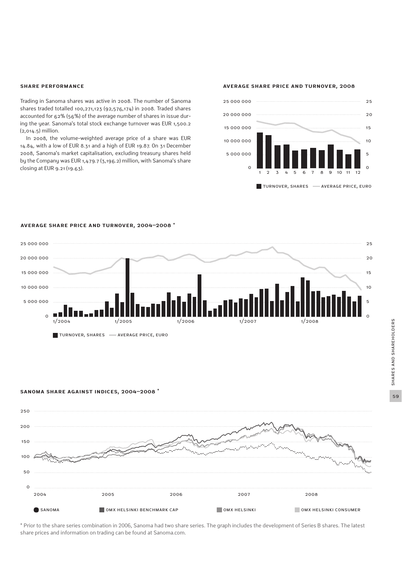#### **Share performance**

Trading in Sanoma shares was active in 2008. The number of Sanoma shares traded totalled 100,271,123 (92,576,174) in 2008. Traded shares accounted for 62% (56%) of the average number of shares in issue during the year. Sanoma's total stock exchange turnover was EUR 1,500.2 (2,014.5) million.

In 2008, the volume-weighted average price of a share was EUR 14.84, with a low of EUR 8.31 and a high of EUR 19.87. On 31 December 2008, Sanoma's market capitalisation, excluding treasury shares held by the Company was EUR 1,479.7 (3,196.2) million, with Sanoma's share closing at EUR 9.21 (19.63).

**AVERAGE SHARE PRICE AND TURNOVER, 2008**



#### **AVERAGE SHARE PRICE AND TURNOVER, 2004–2008 \***



#### **SANOMA SHARE AGAINST INDICES, 2004–2008 \***



\* Prior to the share series combination in 2006, Sanoma had two share series. The graph includes the development of Series B shares. The latest share prices and information on trading can be found at Sanoma.com.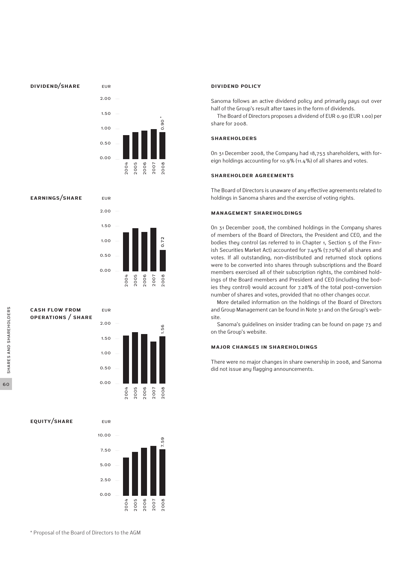#### **DIVIDEND/SHARE**



eur

eur

#### **EARNINGS/SHARE**



#### **CASH FLOW FROM OPERATIONS / SHARE**



**EQUITY/SHARE**



#### **Dividend policy**

Sanoma follows an active dividend policy and primarily pays out over half of the Group's result after taxes in the form of dividends.

The Board of Directors proposes a dividend of EUR 0.90 (EUR 1.00) per share for 2008.

#### **Shareholders**

On 31 December 2008, the Company had 18,753 shareholders, with foreign holdings accounting for 10.9% (11.4%) of all shares and votes.

#### **Shareholder agreements**

The Board of Directors is unaware of any effective agreements related to holdings in Sanoma shares and the exercise of voting rights.

#### **Management shareholdings**

On 31 December 2008, the combined holdings in the Company shares of members of the Board of Directors, the President and CEO, and the bodies they control (as referred to in Chapter 1, Section 5 of the Finnish Securities Market Act) accounted for 7.49% (7.70%) of all shares and votes. If all outstanding, non-distributed and returned stock options were to be converted into shares through subscriptions and the Board members exercised all of their subscription rights, the combined holdings of the Board members and President and CEO (including the bodies they control) would account for 7.28% of the total post-conversion number of shares and votes, provided that no other changes occur.

More detailed information on the holdings of the Board of Directors and Group Management can be found in Note 31 and on the Group's website.

Sanoma's guidelines on insider trading can be found on page 73 and on the Group's website.

#### **Major changes in shareholdings**

There were no major changes in share ownership in 2008, and Sanoma did not issue any flagging announcements.

60

\* Proposal of the Board of Directors to the AGM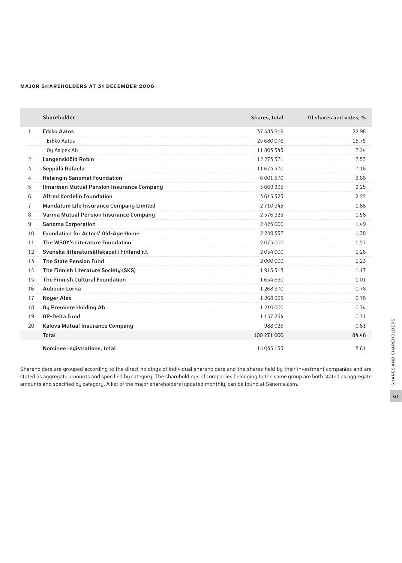#### **Major shareholders at 31 December 2008**

|                | Shareholder                                 | Shares, total | Of shares and votes, % |
|----------------|---------------------------------------------|---------------|------------------------|
| $\mathbf{1}$   | <b>Erkko Aatos</b>                          | 37 483 619    | 22.98                  |
|                | Erkko Aatos                                 | 25 680 076    | 15.75                  |
|                | Oy Asipex Ab                                | 11803543      | 7.24                   |
| $\overline{2}$ | Langenskiöld Robin                          | 12 273 371    | 7.53                   |
| 3              | Seppälä Rafaela                             | 11673370      | 7.16                   |
| 4              | <b>Helsingin Sanomat Foundation</b>         | 6 0 0 1 5 7 0 | 3.68                   |
| 5              | Ilmarinen Mutual Pension Insurance Company  | 3669295       | 2.25                   |
| 6              | <b>Alfred Kordelin Foundation</b>           | 3615325       | 2.22                   |
| $\overline{7}$ | Mandatum Life Insurance Company Limited     | 2710945       | 1.66                   |
| 8              | Varma Mutual Pension Insurance Company      | 2576925       | 1.58                   |
| 9              | <b>Sanoma Corporation</b>                   | 2425000       | 1.49                   |
| 10             | Foundation for Actors' Old-Age Home         | 2 2 4 9 3 5 7 | 1.38                   |
| 11             | The WSOY's Literature Foundation            | 2075000       | 1.27                   |
| 12             | Svenska litteratursällskapet i Finland r.f. | 2054000       | 1.26                   |
| 13             | <b>The State Pension Fund</b>               | 2 000 000     | 1.23                   |
| 14             | The Finnish Literature Society (SKS)        | 1915318       | 1.17                   |
| 15             | The Finnish Cultural Foundation             | 1654690       | 1.01                   |
| 16             | Aubouin Lorna                               | 1 268 970     | 0.78                   |
| 17             | <b>Noyer Alex</b>                           | 1 268 965     | 0.78                   |
| 18             | Oy Premiere Holding Ab                      | 1 210 000     | 0.74                   |
| 19             | <b>OP-Delta Fund</b>                        | 1 157 254     | 0.71                   |
| 20             | Kaleva Mutual Insurance Company             | 988026        | 0.61                   |
|                | <b>Total</b>                                | 100 271 000   | 84.48                  |
|                | Nominee registrations, total                | 14 035 153    | 8.61                   |

Shareholders are grouped according to the direct holdings of individual shareholders and the shares held by their investment companies and are stated as aggregate amounts and specified by category. The shareholdings of companies belonging to the same group are both stated as aggregate amounts and specified by category. A list of the major shareholders (updated monthly) can be found at Sanoma.com.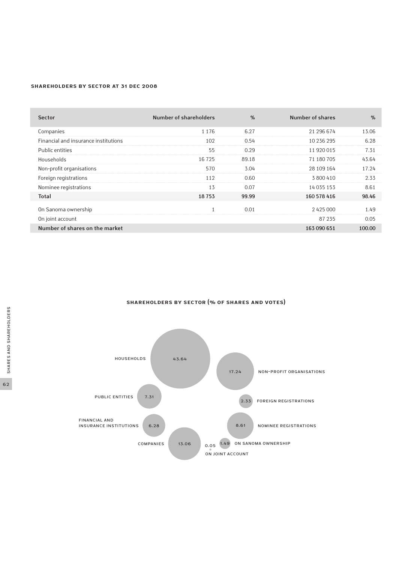#### **Shareholders by sector at 31 Dec 2008**

| <b>Sector</b>                        | Number of shareholders | $\%$  | Number of shares | $\frac{9}{6}$ |
|--------------------------------------|------------------------|-------|------------------|---------------|
| Companies                            | 1 1 7 6                | 6.27  | 21 296 674       | 13.06         |
| Financial and insurance institutions | 102                    | 0.54  | 10 236 295       | 6.28          |
| Public entities                      | 55                     | 0.29  | 11 920 015       | 7.31          |
| Households                           | 16725                  | 89.18 | 71 180 705       | 43.64         |
| Non-profit organisations             | 570                    | 3.04  | 28 109 164       | 17.24         |
| Foreign registrations                | 112                    | 0.60  | 3800410          | 2.33          |
| Nominee registrations                | 13                     | 0.07  | 14 035 153       | 8.61          |
| <b>Total</b>                         | 18753                  | 99.99 | 160 578 416      | 98.46         |
| On Sanoma ownership                  |                        | 0.01  | 2425000          | 1.49          |
| On joint account                     |                        |       | 87 235           | 0.05          |
| Number of shares on the market       |                        |       | 163 090 651      | 100.00        |

**Shareholders by sector (% of shares and votes)**

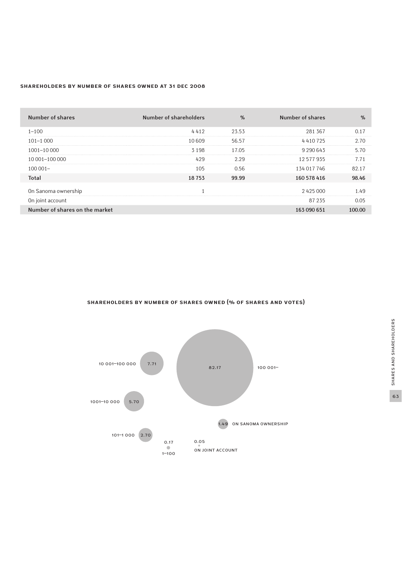#### **Shareholders by number of shares owned at 31 Dec 2008**

| Number of shares               | Number of shareholders | $\%$  | Number of shares | $\%$   |
|--------------------------------|------------------------|-------|------------------|--------|
| $1 - 100$                      | 4412                   | 23.53 | 281 367          | 0.17   |
| $101 - 1000$                   | 10609                  | 56.57 | 4410725          | 2.70   |
| $1001 - 10000$                 | 3 1 9 8                | 17.05 | 9 2 9 0 6 4 3    | 5.70   |
| 10 001-100 000                 | 429                    | 2.29  | 12577935         | 7.71   |
| $100001 -$                     | 105                    | 0.56  | 134 017 746      | 82.17  |
| Total                          | 18753                  | 99.99 | 160 578 416      | 98.46  |
| On Sanoma ownership            |                        |       | 2425000          | 1.49   |
| On joint account               |                        |       | 87 235           | 0.05   |
| Number of shares on the market |                        |       | 163 090 651      | 100.00 |

### **Shareholders by number of shares owned (% of shares and votes)**

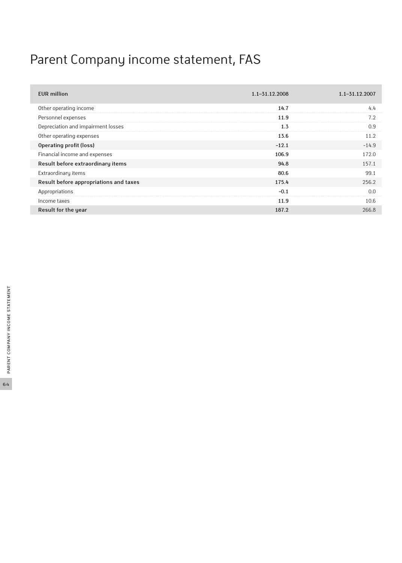# Parent Company income statement, FAS

| <b>EUR million</b>                     | $1.1 - 31.12.2008$ | $1.1 - 31.12.2007$ |
|----------------------------------------|--------------------|--------------------|
| Other operating income                 | 14.7               | 4.4                |
| Personnel expenses                     | 11.9               | 7.2                |
| Depreciation and impairment losses     | 1.3                | 0.9                |
| Other operating expenses               | 13.6               | 11.2               |
| Operating profit (loss)                | $-12.1$            | $-14.9$            |
| Financial income and expenses          | 106.9              | 172.0              |
| Result before extraordinary items      | 94.8               | 157.1              |
| Extraordinary items                    | 80.6               | 99.1               |
| Result before appropriations and taxes | 175.4              | 256.2              |
| Appropriations                         | $-0.1$             | 0.0                |
| Income taxes                           | 11.9               | 10.6               |
| Result for the year                    | 187.2              | 266.8              |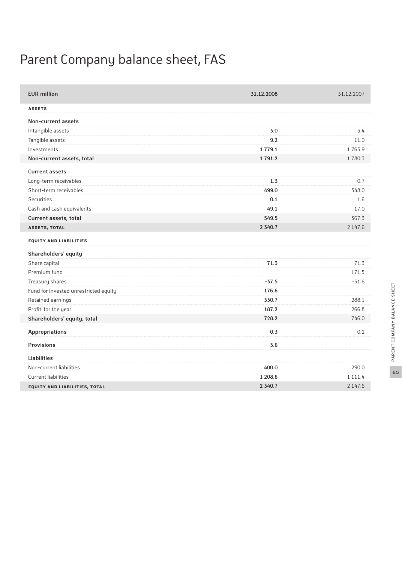# Parent Company balance sheet, fas

| <b>EUR million</b>                    | 31.12.2008  | 31.12.2007  |
|---------------------------------------|-------------|-------------|
| <b>ASSETS</b>                         |             |             |
| Non-current assets                    |             |             |
| Intangible assets                     | 3.0         | 3.4         |
| Tangible assets                       | 9.2         | 11.0        |
| Investments                           | 1 7 7 9 . 1 | 1765.9      |
| Non-current assets, total             | 1791.2      | 1780.3      |
| <b>Current assets</b>                 |             |             |
| Long-term receivables                 | 1.3         | 0.7         |
| Short-term receivables                | 499.0       | 348.0       |
| <b>Securities</b>                     | 0.1         | 1.6         |
| Cash and cash equivalents             | 49.1        | 17.0        |
| Current assets, total                 | 549.5       | 367.3       |
| <b>ASSETS, TOTAL</b>                  | 2 3 4 0.7   | 2 147.6     |
| <b>EQUITY AND LIABILITIES</b>         |             |             |
| Shareholders' equity                  |             |             |
| Share capital                         | 71.3        | 71.3        |
| Premium fund                          |             | 171.5       |
| Treasury shares                       | $-37.5$     | $-51.6$     |
| Fund for invested unrestricted equity | 176.6       |             |
| Retained earnings                     | 330.7       | 288.1       |
| Profit for the year                   | 187.2       | 266.8       |
| Shareholders' equity, total           | 728.2       | 746.0       |
| <b>Appropriations</b>                 | 0.3         | 0.2         |
| <b>Provisions</b>                     | 3.6         |             |
| <b>Liabilities</b>                    |             |             |
| Non-current liabilities               | 400.0       | 290.0       |
| <b>Current liabilities</b>            | 1 208.6     | 1 1 1 1 . 4 |
| EQUITY AND LIABILITIES, TOTAL         | 2 3 4 0.7   | 2 147.6     |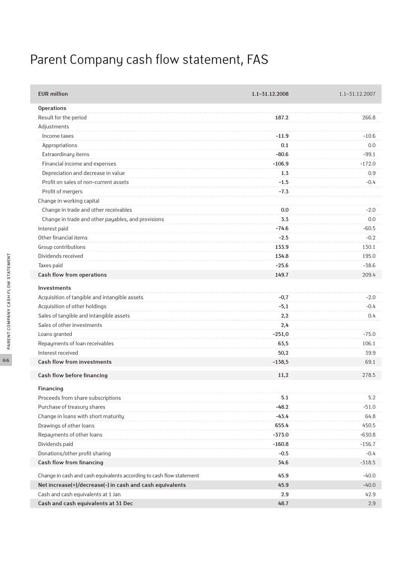# Parent Company cash flow statement, FAS

| <b>EUR million</b>                                                   | $1.1 - 31.12.2008$ | $1.1 - 31.12.2007$ |
|----------------------------------------------------------------------|--------------------|--------------------|
| <b>Operations</b>                                                    |                    |                    |
| Result for the period                                                | 187.2              | 266.8              |
| Adjustments                                                          |                    |                    |
| Income taxes                                                         | $-11.9$            | $-10.6$            |
| Appropriations                                                       | 0.1                | 0.0                |
| Extraordinary items                                                  | $-80.6$            | $-99.1$            |
| Financial income and expenses                                        | $-106.9$           | $-172.0$           |
| Depreciation and decrease in value                                   | 1.3                | 0.9                |
| Profit on sales of non-current assets                                | $-1.5$             | $-0.4$             |
| Profit of mergers                                                    | $-7.3$             |                    |
| Change in working capital                                            |                    |                    |
| Change in trade and other receivables                                | 0.0                | $-2.0$             |
| Change in trade and other payables, and provisions                   | 3.3                | 0.0                |
| Interest paid                                                        | $-74.6$            | $-60.5$            |
| Other financial items                                                | $-2.5$             | $-0.2$             |
| Group contributions                                                  | 133.9              | 130.1              |
| Dividends received                                                   | 134.8              | 195.0              |
| Taxes paid                                                           | $-25.6$            | $-38.6$            |
| Cash flow from operations                                            | 149.7              | 209.4              |
| Investments                                                          |                    |                    |
| Acquisition of tangible and intangible assets                        | $-0,7$             | $-2.0$             |
| Acquisition of other holdings                                        | $-5,1$             | $-0.4$             |
| Sales of tangible and intangible assets                              | 2,2                | 0.4                |
| Sales of other investments                                           | 2,4                |                    |
| Loans granted                                                        | $-251,0$           | $-75.0$            |
| Repayments of loan receivables                                       | 63,5               | 106.1              |
| Interest received                                                    | 50,2               | 39.9               |
| <b>Cash flow from investments</b>                                    | $-138,5$           | 69.1               |
| Cash flow before financing                                           | 11,2               | 278.5              |
| Financing                                                            |                    |                    |
| Proceeds from share subscriptions                                    | 5.1                | 5.2                |
| Purchase of treasury shares                                          | $-48.2$            | $-51.0$            |
| Change in loans with short maturity                                  | $-43.4$            | 64.8               |
| Drawings of other loans                                              | 655.4              | 450.5              |
| Repayments of other loans                                            | $-373.0$           | $-630.8$           |
| Dividends paid                                                       | $-160.8$           | $-156.7$           |
| Donations/other profit sharing                                       | $-0.5$             | $-0.4$             |
| Cash flow from financing                                             | 34.6               | $-318.5$           |
| Change in cash and cash equivalents according to cash flow statement | 45.9               | $-40.0$            |
| Net increase(+)/decrease(-) in cash and cash equivalents             | 45.9               | $-40.0$            |
| Cash and cash equivalents at 1 Jan                                   | 2.9                | 42.9               |
| Cash and cash equivalents at 31 Dec                                  | 48.7               | 2.9                |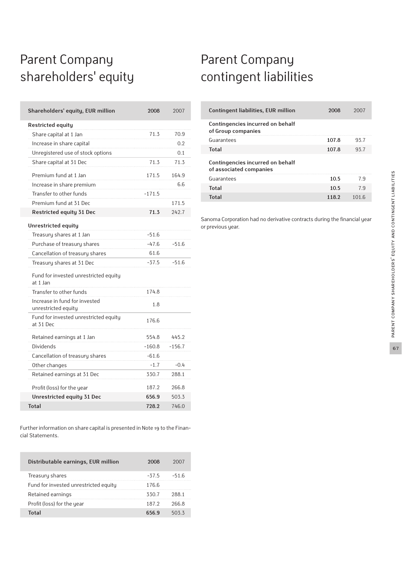## Parent Company shareholders' equity

| Shareholders' equity, EUR million                    | 2008     | 2007     |
|------------------------------------------------------|----------|----------|
| <b>Restricted equity</b>                             |          |          |
| Share capital at 1 Jan                               | 71.3     | 70.9     |
| Increase in share capital                            |          | 0.2      |
| Unregistered use of stock options                    |          | 0.1      |
| Share capital at 31 Dec                              | 71.3     | 71.3     |
| Premium fund at 1 Jan                                | 171.5    | 164.9    |
| Increase in share premium                            |          | 6.6      |
| Transfer to other funds                              | $-171.5$ |          |
| Premium fund at 31 Dec                               |          | 171.5    |
| <b>Restricted equity 31 Dec</b>                      | 71.3     | 242.7    |
| Unrestricted equity                                  |          |          |
| Treasury shares at 1 Jan                             | $-51.6$  |          |
| Purchase of treasury shares                          | $-47.6$  | $-51.6$  |
| Cancellation of treasury shares                      | 61.6     |          |
| Treasury shares at 31 Dec                            | $-37.5$  | $-51.6$  |
| Fund for invested unrestricted equity<br>at 1 Jan    |          |          |
| Transfer to other funds                              | 174.8    |          |
| Increase in fund for invested<br>unrestricted equity | 1.8      |          |
| Fund for invested unrestricted equity<br>at 31 Dec   | 176.6    |          |
| Retained earnings at 1 Jan                           | 554.8    | 445.2    |
| <b>Dividends</b>                                     | $-160.8$ | $-156.7$ |
| Cancellation of treasury shares                      | $-61.6$  |          |
| Other changes                                        | $-1.7$   | $-0.4$   |
| Retained earnings at 31 Dec                          | 330.7    | 288.1    |
| Profit (loss) for the year                           | 187.2    | 266.8    |
| Unrestricted equity 31 Dec                           | 656.9    | 503.3    |
| Total                                                | 728.2    | 746.0    |

Further information on share capital is presented in Note 19 to the Financial Statements.

| Distributable earnings, EUR million   | 2008         | 2007  |
|---------------------------------------|--------------|-------|
| Treasury shares                       | $-37.5$      | -51.6 |
| Fund for invested unrestricted equity | 176.6        |       |
| Retained earnings                     | 330.7        | 288.1 |
| Profit (loss) for the year            | 187.2        | 266.8 |
| Total                                 | <b>656 ዓ</b> | 503.3 |

## Parent Company contingent liabilities

| <b>Contingent liabilities, EUR million</b>                  | 2008  | 2007  |
|-------------------------------------------------------------|-------|-------|
| Contingencies incurred on behalf<br>of Group companies      |       |       |
| Guarantees                                                  | 107.8 | 93.7  |
| Total                                                       | 107.8 | 93.7  |
| Contingencies incurred on behalf<br>of associated companies |       |       |
| Guarantees                                                  | 10.5  | 7.9   |
| Total                                                       | 10.5  | 7 9   |
| Total                                                       | 118.2 | 1()16 |

Sanoma Corporation had no derivative contracts during the financial year or previous year.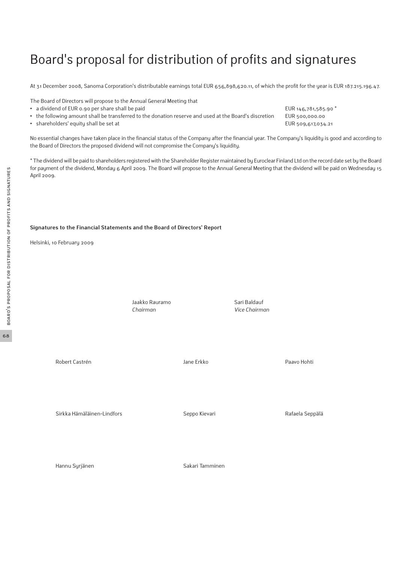## Board's proposal for distribution of profits and signatures

At 31 December 2008, Sanoma Corporation's distributable earnings total EUR 656,898,620.11, of which the profit for the year is EUR 187.215.196.47.

The Board of Directors will propose to the Annual General Meeting that

- a dividend of EUR 0.90 per share shall be paid **EUR 146,781,585.90** \*
- **•** the following amount shall be transferred to the donation reserve and used at the Board's discretion EUR 500,000.00
- shareholders' equity shall be set at EUR 509,617,034.21

No essential changes have taken place in the financial status of the Company after the financial year. The Company's liquidity is good and according to the Board of Directors the proposed dividend will not compromise the Company's liquidity.

\* The dividend will be paid to shareholders registered with the Shareholder Register maintained by Euroclear Finland Ltd on the record date set by the Board for payment of the dividend, Monday 6 April 2009. The Board will propose to the Annual General Meeting that the dividend will be paid on Wednesday 15 April 2009.

#### **Signatures to the Financial Statements and the Board of Directors' Report**

Helsinki, 10 February 2009

Jaakko Rauramo Sari Baldauf *Chairman Vice Chairman*

Robert Castrén Jane Erkko Paavo Hohti

Sirkka Hämäläinen-Lindfors Seppo Kievari Rafaela Seppälä

Hannu Syrjänen Sakari Tamminen

BOARD'S PROPOSAL FOR DISTRIBUTION OF PROFITS AND SIGNATURES Board's proposal for distribution of profits and signatures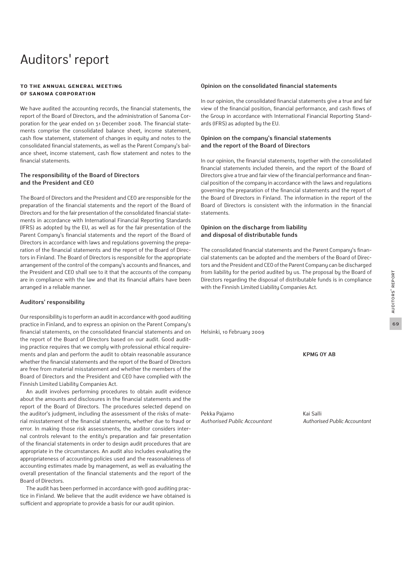## Auditors' report

#### **To the Annual General Meeting of Sanoma Corporation**

We have audited the accounting records, the financial statements, the report of the Board of Directors, and the administration of Sanoma Corporation for the year ended on 31 December 2008. The financial statements comprise the consolidated balance sheet, income statement, cash flow statement, statement of changes in equity and notes to the consolidated financial statements, as well as the Parent Company's balance sheet, income statement, cash flow statement and notes to the financial statements.

### **The responsibility of the Board of Directors and the President and CEO**

The Board of Directors and the President and CEO are responsible for the preparation of the financial statements and the report of the Board of Directors and for the fair presentation of the consolidated financial statements in accordance with International Financial Reporting Standards (IFRS) as adopted by the EU, as well as for the fair presentation of the Parent Company's financial statements and the report of the Board of Directors in accordance with laws and regulations governing the preparation of the financial statements and the report of the Board of Directors in Finland. The Board of Directors is responsible for the appropriate arrangement of the control of the company's accounts and finances, and the President and CEO shall see to it that the accounts of the company are in compliance with the law and that its financial affairs have been arranged in a reliable manner.

#### **Auditors' responsibility**

Our responsibility is to perform an audit in accordance with good auditing practice in Finland, and to express an opinion on the Parent Company's financial statements, on the consolidated financial statements and on the report of the Board of Directors based on our audit. Good auditing practice requires that we comply with professional ethical requirements and plan and perform the audit to obtain reasonable assurance whether the financial statements and the report of the Board of Directors are free from material misstatement and whether the members of the Board of Directors and the President and CEO have complied with the Finnish Limited Liability Companies Act.

An audit involves performing procedures to obtain audit evidence about the amounts and disclosures in the financial statements and the report of the Board of Directors. The procedures selected depend on the auditor's judgment, including the assessment of the risks of material misstatement of the financial statements, whether due to fraud or error. In making those risk assessments, the auditor considers internal controls relevant to the entity's preparation and fair presentation of the financial statements in order to design audit procedures that are appropriate in the circumstances. An audit also includes evaluating the appropriateness of accounting policies used and the reasonableness of accounting estimates made by management, as well as evaluating the overall presentation of the financial statements and the report of the Board of Directors.

The audit has been performed in accordance with good auditing practice in Finland. We believe that the audit evidence we have obtained is sufficient and appropriate to provide a basis for our audit opinion.

#### **Opinion on the consolidated financial statements**

In our opinion, the consolidated financial statements give a true and fair view of the financial position, financial performance, and cash flows of the Group in accordance with International Financial Reporting Standards (IFRS) as adopted by the EU.

#### **Opinion on the company's financial statements and the report of the Board of Directors**

In our opinion, the financial statements, together with the consolidated financial statements included therein, and the report of the Board of Directors give a true and fair view of the financial performance and financial position of the company in accordance with the laws and regulations governing the preparation of the financial statements and the report of the Board of Directors in Finland. The information in the report of the Board of Directors is consistent with the information in the financial statements.

#### **Opinion on the discharge from liability and disposal of distributable funds**

The consolidated financial statements and the Parent Company's financial statements can be adopted and the members of the Board of Directors and the President and CEO of the Parent Company can be discharged from liability for the period audited by us. The proposal by the Board of Directors regarding the disposal of distributable funds is in compliance with the Finnish Limited Liability Companies Act.

Helsinki, 10 February 2009

**KPMG OY AB**

Pekka Pajamo Kai Salli

*Authorised Public Accountant Authorised Public Accountant*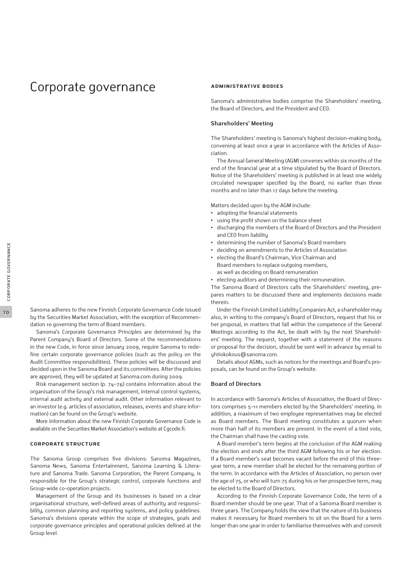## Corporate governance

Sanoma adheres to the new Finnish Corporate Governance Code issued by the Securities Market Association, with the exception of Recommendation 10 governing the term of Board members.

Sanoma's Corporate Governance Principles are determined by the Parent Company's Board of Directors. Some of the recommendations in the new Code, in force since January 2009, require Sanoma to redefine certain corporate governance policies (such as the policy on the Audit Committee responsibilities). These policies will be discussed and decided upon in the Sanoma Board and its committees. After the policies are approved, they will be updated at Sanoma.com during 2009.

Risk management section (p. 74–76) contains information about the organisation of the Group's risk management, internal control systems, internal audit activity and external audit. Other information relevant to an investor (e.g. articles of association, releases, events and share information) can be found on the Group's website.

More information about the new Finnish Corporate Governance Code is available on the Securities Market Association's website at Cgcode.fi.

#### **Corporate structure**

The Sanoma Group comprises five divisions: Sanoma Magazines, Sanoma News, Sanoma Entertainment, Sanoma Learning & Literature and Sanoma Trade. Sanoma Corporation, the Parent Company, is responsible for the Group's strategic control, corporate functions and Group-wide co-operation projects.

Management of the Group and its businesses is based on a clear organisational structure, well-defined areas of authority and responsibility, common planning and reporting systems, and policy guidelines. Sanoma's divisions operate within the scope of strategies, goals and corporate governance principles and operational policies defined at the Group level.

#### **Administrative bodies**

Sanoma's administrative bodies comprise the Shareholders' meeting, the Board of Directors, and the President and CEO.

#### **Shareholders' Meeting**

The Shareholders' meeting is Sanoma's highest decision-making body, convening at least once a year in accordance with the Articles of Association.

The Annual General Meeting (AGM) convenes within six months of the end of the financial year at a time stipulated by the Board of Directors. Notice of the Shareholders' meeting is published in at least one widely circulated newspaper specified by the Board, no earlier than three months and no later than 17 days before the meeting.

Matters decided upon by the AGM include:

- **•** adopting the financial statements
- **•** using the profit shown on the balance sheet
- **•** discharging the members of the Board of Directors and the President and CEO from liability
- **•** determining the number of Sanoma's Board members
- **•** deciding on amendments to the Articles of Association
- **•** electing the Board's Chairman, Vice Chairman and Board members to replace outgoing members, as well as deciding on Board remuneration
- **•** electing auditors and determining their remuneration.

The Sanoma Board of Directors calls the Shareholders' meeting, prepares matters to be discussed there and implements decisions made therein.

Under the Finnish Limited Liability Companies Act, a shareholder may also, in writing to the company's Board of Directors, request that his or her proposal, in matters that fall within the competence of the General Meetings according to the Act, be dealt with by the next Shareholders' meeting. The request, together with a statement of the reasons or proposal for the decision, should be sent well in advance by email to yhtiokokous@sanoma.com.

Details about AGMs, such as notices for the meetings and Board's proposals, can be found on the Group's website.

#### **Board of Directors**

In accordance with Sanoma's Articles of Association, the Board of Directors comprises 5–11 members elected by the Shareholders' meeting. In addition, a maximum of two employee representatives may be elected as Board members. The Board meeting constitutes a quorum when more than half of its members are present. In the event of a tied vote, the Chairman shall have the casting vote.

A Board member's term begins at the conclusion of the AGM making the election and ends after the third AGM following his or her election. If a Board member's seat becomes vacant before the end of this threeyear term, a new member shall be elected for the remaining portion of the term. In accordance with the Articles of Association, no person over the age of 75, or who will turn 75 during his or her prospective term, may be elected to the Board of Directors.

According to the Finnish Corporate Governance Code, the term of a Board member should be one year. That of a Sanoma Board member is three years. The Company holds the view that the nature of its business makes it necessary for Board members to sit on the Board for a term longer than one year in order to familiarise themselves with and commit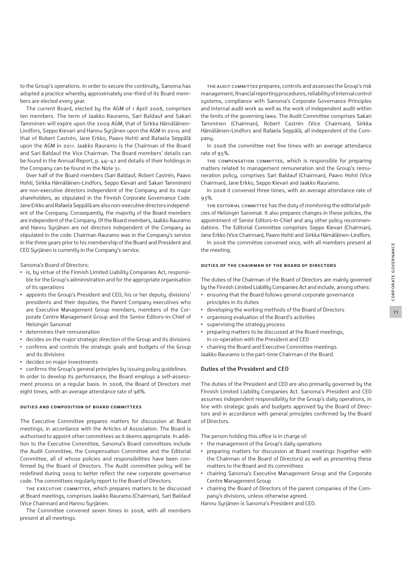to the Group's operations. In order to secure the continuity, Sanoma has adopted a practice whereby approximately one-third of its Board members are elected every year.

The current Board, elected by the AGM of 1 April 2008, comprises ten members. The term of Jaakko Rauramo, Sari Baldauf and Sakari Tamminen will expire upon the 2009 AGM; that of Sirkka Hämäläinen-Lindfors, Seppo Kievari and Hannu Syrjänen upon the AGM in 2010; and that of Robert Castrén, Jane Erkko, Paavo Hohti and Rafaela Seppälä upon the AGM in 2011. Jaakko Rauramo is the Chairman of the Board and Sari Baldauf the Vice Chairman. The Board members' details can be found in the Annual Report, p. 46–47 and details of their holdings in the Company can be found in the Note 31.

Over half of the Board members (Sari Baldauf, Robert Castrén, Paavo Hohti, Sirkka Hämäläinen-Lindfors, Seppo Kievari and Sakari Tamminen) are non-executive directors independent of the Company and its major shareholders, as stipulated in the Finnish Corporate Governance Code. Jane Erkko and Rafaela Seppälä are also non-executive directors independent of the Company. Consequently, the majority of the Board members are independent of the Company. Of the Board members, Jaakko Rauramo and Hannu Syrjänen are not directors independent of the Company as stipulated in the code: Chairman Rauramo was in the Company's service in the three years prior to his membership of the Board and President and CEO Syrjänen is currently in the Company's service.

Sanoma's Board of Directors:

- **•** is, by virtue of the Finnish Limited Liability Companies Act, responsible for the Group's administration and for the appropriate organisation of its operations
- **•** appoints the Group's President and CEO, his or her deputy, divisions' presidents and their deputies, the Parent Company executives who are Executive Management Group members, members of the Corporate Centre Management Group and the Senior Editors-in-Chief of Helsingin Sanomat
- **•** determines their remuneration
- **•** decides on the major strategic direction of the Group and its divisions
- **•** confirms and controls the strategic goals and budgets of the Group and its divisions
- **•** decides on major investments

**•** confirms the Group's general principles by issuing policy guidelines. In order to develop its performance, the Board employs a self-assessment process on a regular basis. In 2008, the Board of Directors met eight times, with an average attendance rate of 98%.

#### **Duties and composition of Board Committees**

The Executive Committee prepares matters for discussion at Board meetings, in accordance with the Articles of Association. The Board is authorised to appoint other committees as it deems appropriate. In addition to the Executive Committee, Sanoma's Board committees include the Audit Committee, the Compensation Committee and the Editorial Committee, all of whose policies and responsibilities have been confirmed by the Board of Directors. The Audit committee policy will be redefined during 2009 to better reflect the new corporate governance code. The committees regularly report to the Board of Directors.

The Executive Committee, which prepares matters to be discussed at Board meetings, comprises Jaakko Rauramo (Chairman), Sari Baldauf (Vice Chairman) and Hannu Syrjänen.

The Committee convened seven times in 2008, with all members present at all meetings.

THE AUDIT COMMITTEE prepares, controls and assesses the Group's risk management, financial reporting procedures, reliability of internal control systems, compliance with Sanoma's Corporate Governance Principles and internal audit work as well as the work of independent audit within the limits of the governing laws. The Audit Committee comprises Sakari Tamminen (Chairman), Robert Castrén (Vice Chairman), Sirkka Hämäläinen-Lindfors and Rafaela Seppälä, all independent of the Company.

In 2008 the committee met five times with an average attendance rate of 95%.

The Compensation Committee, which is responsible for preparing matters related to management remuneration and the Group's remuneration policy, comprises Sari Baldauf (Chairman), Paavo Hohti (Vice Chairman), Jane Erkko, Seppo Kievari and Jaakko Rauramo.

In 2008 it convened three times, with an average attendance rate of  $93%$ 

THE EDITORIAL COMMITTEE has the duty of monitoring the editorial policies of Helsingin Sanomat. It also prepares changes in these policies, the appointment of Senior Editors-in-Chief and any other policy recommendations. The Editorial Committee comprises Seppo Kievari (Chairman), Jane Erkko (Vice Chairman), Paavo Hohti and Sirkka Hämäläinen-Lindfors.

In 2008 the committee convened once, with all members present at the meeting.

#### **Duties of the Chairman of the Board of Directors**

The duties of the Chairman of the Board of Directors are mainly governed by the Finnish Limited Liability Companies Act and include, among others:

- **•** ensuring that the Board follows general corporate governance principles in its duties
- **•** developing the working methods of the Board of Directors
- **•** organising evaluation of the Board's activities
- **•** supervising the strategy process
- **•** preparing matters to be discussed at the Board meetings, in co-operation with the President and CEO

**•** chairing the Board and Executive Committee meetings. Jaakko Rauramo is the part-time Chairman of the Board.

#### **Duties of the President and CEO**

The duties of the President and CEO are also primarily governed by the Finnish Limited Liability Companies Act. Sanoma's President and CEO assumes independent responsibility for the Group's daily operations, in line with strategic goals and budgets approved by the Board of Directors and in accordance with general principles confirmed by the Board of Directors.

The person holding this office is in charge of:

- **•** the management of the Group's daily operations
- **•** preparing matters for discussion at Board meetings (together with the Chairman of the Board of Directors) as well as presenting these matters to the Board and its committees
- **•** chairing Sanoma's Executive Management Group and the Corporate Centre Management Group
- **•** chairing the Board of Directors of the parent companies of the Company's divisions, unless otherwise agreed.

Hannu Syrjänen is Sanoma's President and CEO.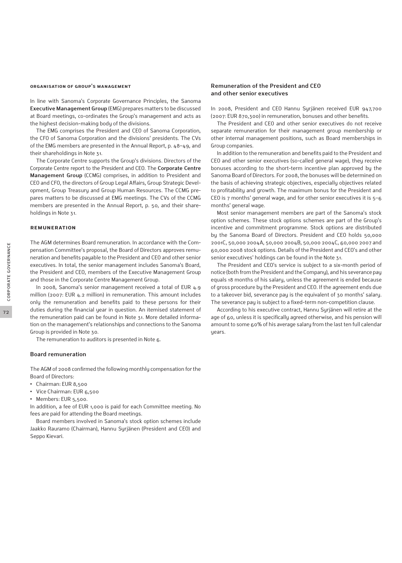#### **Organisation of Group's management**

In line with Sanoma's Corporate Governance Principles, the Sanoma **Executive Management Group** (EMG) prepares matters to be discussed at Board meetings, co-ordinates the Group's management and acts as the highest decision-making body of the divisions.

The EMG comprises the President and CEO of Sanoma Corporation, the CFO of Sanoma Corporation and the divisions' presidents. The CVs of the EMG members are presented in the Annual Report, p. 48–49, and their shareholdings in Note 31.

The Corporate Centre supports the Group's divisions. Directors of the Corporate Centre report to the President and CEO. The **Corporate Centre Management Group** (CCMG) comprises, in addition to President and CEO and CFO, the directors of Group Legal Affairs, Group Strategic Development, Group Treasury and Group Human Resources. The CCMG prepares matters to be discussed at EMG meetings. The CVs of the CCMG members are presented in the Annual Report, p. 50, and their shareholdings in Note 31.

#### **Remuneration**

The AGM determines Board remuneration. In accordance with the Compensation Committee's proposal, the Board of Directors approves remuneration and benefits payable to the President and CEO and other senior executives. In total, the senior management includes Sanoma's Board, the President and CEO, members of the Executive Management Group and those in the Corporate Centre Management Group.

In 2008, Sanoma's senior management received a total of EUR 4.9 million (2007: EUR 4.2 million) in remuneration. This amount includes only the remuneration and benefits paid to these persons for their duties during the financial year in question. An itemised statement of the remuneration paid can be found in Note 31. More detailed information on the management's relationships and connections to the Sanoma Group is provided in Note 30.

The remuneration to auditors is presented in Note 6.

#### **Board remuneration**

The AGM of 2008 confirmed the following monthly compensation for the Board of Directors:

- **•** Chairman: EUR 8,500
- **•** Vice Chairman: EUR 6,500
- **•** Members: EUR 5,500.

In addition, a fee of EUR 1,000 is paid for each Committee meeting. No fees are paid for attending the Board meetings.

Board members involved in Sanoma's stock option schemes include Jaakko Rauramo (Chairman), Hannu Syrjänen (President and CEO) and Seppo Kievari.

#### **Remuneration of the President and CEO and other senior executives**

In 2008, President and CEO Hannu Syrjänen received EUR 947,700 (2007: EUR 870,300) in remuneration, bonuses and other benefits.

The President and CEO and other senior executives do not receive separate remuneration for their management group membership or other internal management positions, such as Board memberships in Group companies.

In addition to the remuneration and benefits paid to the President and CEO and other senior executives (so-called general wage), they receive bonuses according to the short-term incentive plan approved by the Sanoma Board of Directors. For 2008, the bonuses will be determined on the basis of achieving strategic objectives, especially objectives related to profitability and growth. The maximum bonus for the President and CEO is 7 months' general wage, and for other senior executives it is 5–6 months' general wage.

Most senior management members are part of the Sanoma's stock option schemes. These stock options schemes are part of the Group's incentive and commitment programme. Stock options are distributed by the Sanoma Board of Directors. President and CEO holds 50,000 2001C, 50,000 2004A, 50,000 2004B, 50,000 2004C, 60,000 2007 and 60,000 2008 stock options. Details of the President and CEO's and other senior executives' holdings can be found in the Note 31.

The President and CEO's service is subject to a six-month period of notice (both from the President and the Company), and his severance pay equals 18 months of his salary, unless the agreement is ended because of gross procedure by the President and CEO. If the agreement ends due to a takeover bid, severance pay is the equivalent of 30 months' salary. The severance pay is subject to a fixed-term non-competition clause.

According to his executive contract, Hannu Syrjänen will retire at the age of 60, unless it is specifically agreed otherwise, and his pension will amount to some 60% of his average salary from the last ten full calendar years.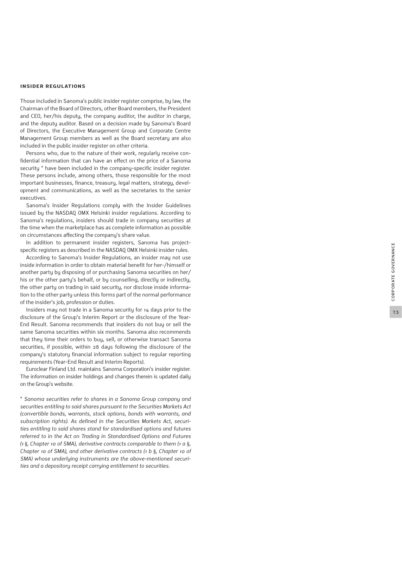#### **Insider regulations**

Those included in Sanoma's public insider register comprise, by law, the Chairman of the Board of Directors, other Board members, the President and CEO, her/his deputy, the company auditor, the auditor in charge, and the deputy auditor. Based on a decision made by Sanoma's Board of Directors, the Executive Management Group and Corporate Centre Management Group members as well as the Board secretary are also included in the public insider register on other criteria.

Persons who, due to the nature of their work, regularly receive con fidential information that can have an effect on the price of a Sanoma security \* have been included in the company-specific insider register. These persons include, among others, those responsible for the most important businesses, finance, treasury, legal matters, strategy, devel opment and communications, as well as the secretaries to the senior executives.

Sanoma's Insider Regulations comply with the Insider Guidelines issued by the NASDAQ OMX Helsinki insider regulations. According to Sanoma's regulations, insiders should trade in company securities at the time when the marketplace has as complete information as possible on circumstances affecting the company's share value.

In addition to permanent insider registers, Sanoma has projectspecific registers as described in the NASDAQ OMX Helsinki insider rules.

According to Sanoma's Insider Regulations, an insider may not use inside information in order to obtain material benefit for her-/himself or another party by disposing of or purchasing Sanoma securities on her/ his or the other party's behalf, or by counselling, directly or indirectly, the other party on trading in said security, nor disclose inside informa tion to the other party unless this forms part of the normal performance of the insider's job, profession or duties.

Insiders may not trade in a Sanoma security for 14 days prior to the disclosure of the Group's Interim Report or the disclosure of the Year-End Result. Sanoma recommends that insiders do not buy or sell the same Sanoma securities within six months. Sanoma also recommends that they time their orders to buy, sell, or otherwise transact Sanoma securities, if possible, within 28 days following the disclosure of the company's statutory financial information subject to regular reporting requirements (Year-End Result and Interim Reports).

Euroclear Finland Ltd. maintains Sanoma Corporation's insider register. The information on insider holdings and changes therein is updated daily

on the Group's website.<br>\* Sanoma securities refer to shares in a Sanoma Group company and *securities entitling to said shares pursuant to the Securities Markets Act (convertible bonds, warrants, stock options, bonds with warrants, and subscription rights). As defined in the Securities Markets Act, securi ties entitling to said shares stand for standardised options and futures referred to in the Act on Trading in Standardised Options and Futures (1 §, Chapter 10 of SMA), derivative contracts comparable to them (1 a §, Chapter 10 of SMA), and other derivative contracts (1 b §, Chapter 10 of SMA) whose underlying instruments are the above-mentioned securi ties and a depository receipt carrying entitlement to securities.*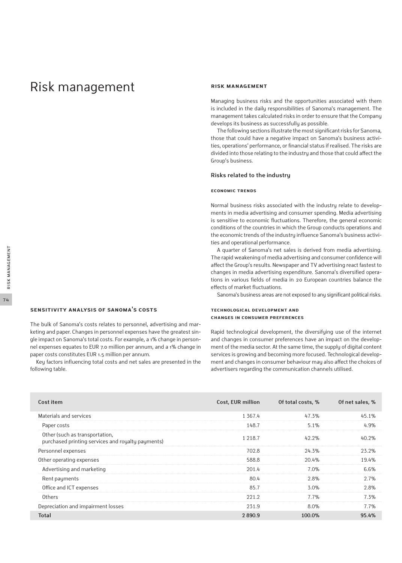# Risk management

#### **Risk management**

Managing business risks and the opportunities associated with them is included in the daily responsibilities of Sanoma's management. The management takes calculated risks in order to ensure that the Company develops its business as successfully as possible.

The following sections illustrate the most significant risks for Sanoma, those that could have a negative impact on Sanoma's business activities, operations' performance, or financial status if realised. The risks are divided into those relating to the industry and those that could affect the Group's business.

#### **Risks related to the industry**

#### **Economic trends**

Normal business risks associated with the industry relate to developments in media advertising and consumer spending. Media advertising is sensitive to economic fluctuations. Therefore, the general economic conditions of the countries in which the Group conducts operations and the economic trends of the industry influence Sanoma's business activities and operational performance.

A quarter of Sanoma's net sales is derived from media advertising. The rapid weakening of media advertising and consumer confidence will affect the Group's results. Newspaper and TV advertising react fastest to changes in media advertising expenditure. Sanoma's diversified operations in various fields of media in 20 European countries balance the effects of market fluctuations.

Sanoma's business areas are not exposed to any significant political risks.

#### **Technological development and changes in consumer preferences**

Rapid technological development, the diversifying use of the internet and changes in consumer preferences have an impact on the development of the media sector. At the same time, the supply of digital content services is growing and becoming more focused. Technological development and changes in consumer behaviour may also affect the choices of advertisers regarding the communication channels utilised.

| Cost item                                                                           | Cost, EUR million | Of total costs, % | Of net sales, % |
|-------------------------------------------------------------------------------------|-------------------|-------------------|-----------------|
| Materials and services                                                              | 1 3 6 7 . 4       | 47.3%             | 45.1%           |
| Paper costs                                                                         | 148.7             | 5.1%              | 4.9%            |
| Other (such as transportation,<br>purchased printing services and royalty payments) | 1 2 1 8 . 7       | 42.2%             | 40.2%           |
| Personnel expenses                                                                  | 702.8             | 24.3%             | 23.2%           |
| Other operating expenses                                                            | 588.8             | 20.4%             | 19.4%           |
| Advertising and marketing                                                           | 201.4             | 7.0%              | 6.6%            |
| Rent payments                                                                       | 80.4              | 2.8%              | 2.7%            |
| Office and ICT expenses                                                             | 85.7              | 3.0%              | 2.8%            |
| Others                                                                              | 221.2             | 7.7%              | 7.3%            |
| Depreciation and impairment losses                                                  | 231.9             | 8.0%              | 7.7%            |
| <b>Total</b>                                                                        | 2890.9            | 100.0%            | 95.4%           |

following table.

The bulk of Sanoma's costs relates to personnel, advertising and marketing and paper. Changes in personnel expenses have the greatest single impact on Sanoma's total costs. For example, a 1% change in personnel expenses equates to EUR 7.0 million per annum, and a 1% change in

Key factors influencing total costs and net sales are presented in the

paper costs constitutes EUR 1.5 million per annum.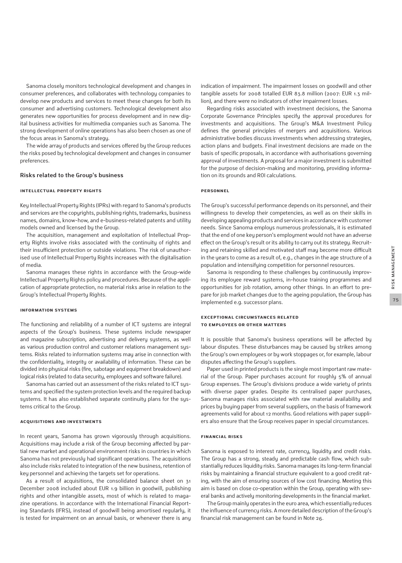Sanoma closely monitors technological development and changes in consumer preferences, and collaborates with technology companies to develop new products and services to meet these changes for both its consumer and advertising customers. Technological development also generates new opportunities for process development and in new digital business activities for multimedia companies such as Sanoma. The strong development of online operations has also been chosen as one of the focus areas in Sanoma's strategy.

The wide array of products and services offered by the Group reduces the risks posed by technological development and changes in consumer preferences.

#### **Risks related to the Group's business**

#### **Intellectual Property Rights**

Key Intellectual Property Rights (IPRs) with regard to Sanoma's products and services are the copyrights, publishing rights, trademarks, business names, domains, know-how, and e-business-related patents and utility models owned and licensed by the Group.

The acquisition, management and exploitation of Intellectual Property Rights involve risks associated with the continuity of rights and their insufficient protection or outside violations. The risk of unauthorised use of Intellectual Property Rights increases with the digitalisation of media.

Sanoma manages these rights in accordance with the Group-wide Intellectual Property Rights policy and procedures. Because of the application of appropriate protection, no material risks arise in relation to the Group's Intellectual Property Rights.

#### **Information systems**

The functioning and reliability of a number of ICT systems are integral aspects of the Group's business. These systems include newspaper and magazine subscription, advertising and delivery systems, as well as various production control and customer relations management systems. Risks related to information systems may arise in connection with the confidentiality, integrity or availability of information. These can be divided into physical risks (fire, sabotage and equipment breakdown) and logical risks (related to data security, employees and software failure).

Sanoma has carried out an assessment of the risks related to ICT systems and specified the system protection levels and the required backup systems. It has also established separate continuity plans for the systems critical to the Group.

#### **Acquisitions and investments**

In recent years, Sanoma has grown vigorously through acquisitions. Acquisitions may include a risk of the Group becoming affected by partial new market and operational environment risks in countries in which Sanoma has not previously had significant operations. The acquisitions also include risks related to integration of the new business, retention of key personnel and achieving the targets set for operations.

As a result of acquisitions, the consolidated balance sheet on 31 December 2008 included about EUR 1.9 billion in goodwill, publishing rights and other intangible assets, most of which is related to magazine operations. In accordance with the International Financial Reporting Standards (IFRS), instead of goodwill being amortised regularly, it is tested for impairment on an annual basis, or whenever there is any indication of impairment. The impairment losses on goodwill and other tangible assets for 2008 totalled EUR 83.8 million (2007: EUR 1.3 million), and there were no indicators of other impairment losses.

Regarding risks associated with investment decisions, the Sanoma Corporate Governance Principles specify the approval procedures for investments and acquisitions. The Group's M&A Investment Policy defines the general principles of mergers and acquisitions. Various administrative bodies discuss investments when addressing strategies, action plans and budgets. Final investment decisions are made on the basis of specific proposals, in accordance with authorisations governing approval of investments. A proposal for a major investment is submitted for the purpose of decision-making and monitoring, providing information on its grounds and ROI calculations.

#### **Personnel**

The Group's successful performance depends on its personnel, and their willingness to develop their competencies, as well as on their skills in developing appealing products and services in accordance with customer needs. Since Sanoma employs numerous professionals, it is estimated that the end of one key person's employment would not have an adverse effect on the Group's result or its ability to carry out its strategy. Recruiting and retaining skilled and motivated staff may become more difficult in the years to come as a result of, e.g., changes in the age structure of a population and intensifying competition for personnel resources.

Sanoma is responding to these challenges by continuously improving its employee reward systems, in-house training programmes and opportunities for job rotation, among other things. In an effort to prepare for job market changes due to the ageing population, the Group has implemented e.g. successor plans.

### **Exceptional circumstances related to employees or other matters**

It is possible that Sanoma's business operations will be affected by labour disputes. These disturbances may be caused by strikes among the Group's own employees or by work stoppages or, for example, labour disputes affecting the Group's suppliers.

Paper used in printed products is the single most important raw material of the Group. Paper purchases account for roughly 5% of annual Group expenses. The Group's divisions produce a wide variety of prints with diverse paper grades. Despite its centralised paper purchases, Sanoma manages risks associated with raw material availability and prices by buying paper from several suppliers, on the basis of framework agreements valid for about 12 months. Good relations with paper suppliers also ensure that the Group receives paper in special circumstances.

#### **Financial risks**

Sanoma is exposed to interest rate, currency, liquidity and credit risks. The Group has a strong, steady and predictable cash flow, which substantially reduces liquidity risks. Sanoma manages its long-term financial risks by maintaining a financial structure equivalent to a good credit rating, with the aim of ensuring sources of low cost financing. Meeting this aim is based on close co-operation within the Group, operating with several banks and actively monitoring developments in the financial market.

The Group mainly operates in the euro area, which essentially reduces the influence of currency risks. A more detailed description of the Group's financial risk management can be found in Note 26.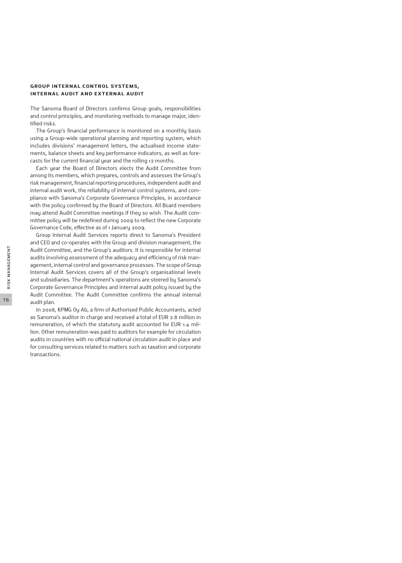#### **Group internal control systems, internal audit and external audit**

The Sanoma Board of Directors confirms Group goals, responsibilities and control principles, and monitoring methods to manage major, identified risks.

The Group's financial performance is monitored on a monthly basis using a Group-wide operational planning and reporting system, which includes divisions' management letters, the actualised income statements, balance sheets and key performance indicators, as well as forecasts for the current financial year and the rolling 12 months.

Each year the Board of Directors elects the Audit Committee from among its members, which prepares, controls and assesses the Group's risk management, financial reporting procedures, independent audit and internal audit work, the reliability of internal control systems, and compliance with Sanoma's Corporate Governance Principles, in accordance with the policy confirmed by the Board of Directors. All Board members may attend Audit Committee meetings if they so wish. The Audit committee policy will be redefined during 2009 to reflect the new Corporate Governance Code, effective as of 1 January 2009.

Group Internal Audit Services reports direct to Sanoma's President and CEO and co-operates with the Group and division management, the Audit Committee, and the Group's auditors. It is responsible for internal audits involving assessment of the adequacy and efficiency of risk management, internal control and governance processes. The scope of Group Internal Audit Services covers all of the Group's organisational levels and subsidiaries. The department's operations are steered by Sanoma's Corporate Governance Principles and internal audit policy issued by the Audit Committee. The Audit Committee confirms the annual internal audit plan.

In 2008, KPMG Oy Ab, a firm of Authorised Public Accountants, acted as Sanoma's auditor in charge and received a total of EUR 2.8 million in remuneration, of which the statutory audit accounted for EUR 1.4 million. Other remuneration was paid to auditors for example for circulation audits in countries with no official national circulation audit in place and for consulting services related to matters such as taxation and corporate transactions.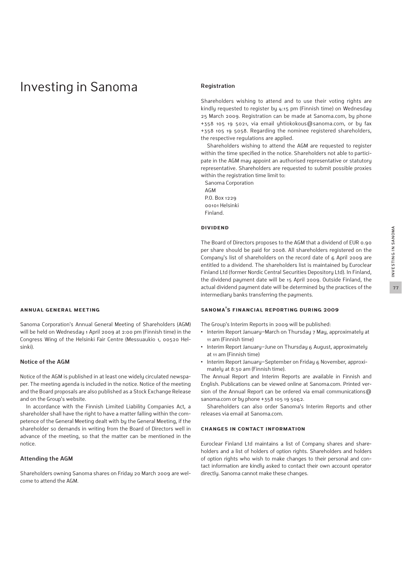# Investing in Sanoma

# **Annual General Meeting**

Sanoma Corporation's Annual General Meeting of Shareholders (AGM) will be held on Wednesday 1 April 2009 at 2:00 pm (Finnish time) in the Congress Wing of the Helsinki Fair Centre (Messuaukio 1, 00520 Helsinki).

#### **Notice of the AGM**

Notice of the AGM is published in at least one widely circulated newspaper. The meeting agenda is included in the notice. Notice of the meeting and the Board proposals are also published as a Stock Exchange Release and on the Group's website.

In accordance with the Finnish Limited Liability Companies Act, a shareholder shall have the right to have a matter falling within the competence of the General Meeting dealt with by the General Meeting, if the shareholder so demands in writing from the Board of Directors well in advance of the meeting, so that the matter can be mentioned in the notice.

### **Attending the AGM**

Shareholders owning Sanoma shares on Friday 20 March 2009 are welcome to attend the AGM.

#### **Registration**

Shareholders wishing to attend and to use their voting rights are kindly requested to register by 4:15 pm (Finnish time) on Wednesday 25 March 2009. Registration can be made at Sanoma.com, by phone +358 105 19 5021, via email yhtiokokous@sanoma.com, or by fax +358 105 19 5058. Regarding the nominee registered shareholders, the respective regulations are applied.

Shareholders wishing to attend the AGM are requested to register within the time specified in the notice. Shareholders not able to participate in the AGM may appoint an authorised representative or statutory representative. Shareholders are requested to submit possible proxies within the registration time limit to:

Sanoma Corporation AGM P.O. Box 1229 00101 Helsinki Finland.

# **Dividend**

The Board of Directors proposes to the AGM that a dividend of EUR 0.90 per share should be paid for 2008. All shareholders registered on the Company's list of shareholders on the record date of 6 April 2009 are entitled to a dividend. The shareholders list is maintained by Euroclear Finland Ltd (former Nordic Central Securities Depository Ltd). In Finland, the dividend payment date will be 15 April 2009. Outside Finland, the actual dividend payment date will be determined by the practices of the intermediary banks transferring the payments.

#### **Sanoma's financial reporting during 2009**

The Group's Interim Reports in 2009 will be published:

- **•** Interim Report January−March on Thursday 7 May, approximately at 11 am (Finnish time)
- **•** Interim Report January−June on Thursday 6 August, approximately at 11 am (Finnish time)
- **•** Interim Report January−September on Friday 6 November, approximately at 8:30 am (Finnish time).

The Annual Report and Interim Reports are available in Finnish and English. Publications can be viewed online at Sanoma.com. Printed version of the Annual Report can be ordered via email communications@ sanoma.com or by phone +358 105 19 5062.

Shareholders can also order Sanoma's Interim Reports and other releases via email at Sanoma.com.

#### **Changes in contact information**

Euroclear Finland Ltd maintains a list of Company shares and shareholders and a list of holders of option rights. Shareholders and holders of option rights who wish to make changes to their personal and contact information are kindly asked to contact their own account operator directly. Sanoma cannot make these changes.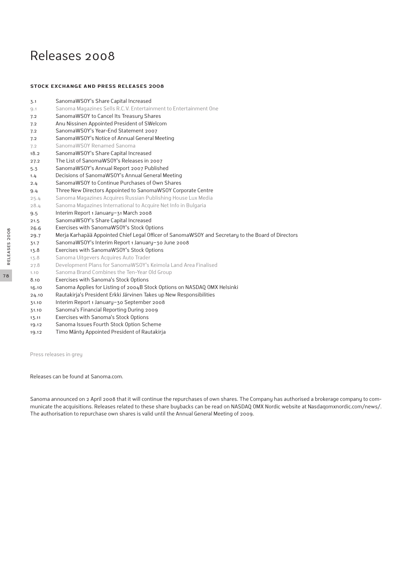# Releases 2008

#### **Stock Exchange and Press Releases 2008**

| 3.1   | SanomaWSOY's Share Capital Increased                                                               |
|-------|----------------------------------------------------------------------------------------------------|
| 9.1   | Sanoma Magazines Sells R.C.V. Entertainment to Entertainment One                                   |
| 7.2   | SanomaWSOY to Cancel Its Treasury Shares                                                           |
| 7.2   | Anu Nissinen Appointed President of SWelcom                                                        |
| 7.2   | SanomaWSOY's Year-End Statement 2007                                                               |
| 7.2   | SanomaWSOY's Notice of Annual General Meeting                                                      |
| 7.2   | SanomaWSOY Renamed Sanoma                                                                          |
| 18.2  | SanomaWSOY's Share Capital Increased                                                               |
| 27.2  | The List of SanomaWSOY's Releases in 2007                                                          |
| 5.3   | SanomaWSOY's Annual Report 2007 Published                                                          |
| 1.4   | Decisions of SanomaWSOY's Annual General Meeting                                                   |
| 2.4   | SanomaWSOY to Continue Purchases of Own Shares                                                     |
| 9.4   | Three New Directors Appointed to SanomaWS0Y Corporate Centre                                       |
| 25.4  | Sanoma Magazines Acquires Russian Publishing House Lux Media                                       |
| 28.4  | Sanoma Magazines International to Acquire Net Info in Bulgaria                                     |
| 9.5   | Interim Report 1 January-31 March 2008                                                             |
| 21.5  | SanomaWSOY's Share Capital Increased                                                               |
| 26.6  | Exercises with SanomaWSOY's Stock Options                                                          |
| 29.7  | Merja Karhapää Appointed Chief Legal Officer of SanomaWSOY and Secretary to the Board of Directors |
| 31.7  | SanomaWSOY's Interim Report 1 January-30 June 2008                                                 |
| 13.8  | Exercises with SanomaWSOY's Stock Options                                                          |
| 13.8  | Sanoma Uitgevers Acquires Auto Trader                                                              |
| 27.8  | Development Plans for SanomaWSOY's Keimola Land Area Finalised                                     |
| 1.10  | Sanoma Brand Combines the Ten-Year Old Group                                                       |
| 8.10  | Exercises with Sanoma's Stock Options                                                              |
| 16.10 | Sanoma Applies for Listing of 2004B Stock Options on NASDAQ OMX Helsinki                           |
| 24.10 | Rautakirja's President Erkki Järvinen Takes up New Responsibilities                                |
| 31.10 | Interim Report 1 January-30 September 2008                                                         |
| 31.10 | Sanoma's Financial Reporting During 2009                                                           |
| 13.11 | Exercises with Sanoma's Stock Options                                                              |
| 19.12 | Sanoma Issues Fourth Stock Option Scheme                                                           |

19.12 Timo Mänty Appointed President of Rautakirja

Press releases in grey

Releases can be found at Sanoma.com.

Sanoma announced on 2 April 2008 that it will continue the repurchases of own shares. The Company has authorised a brokerage company to communicate the acquisitions. Releases related to these share buybacks can be read on NASDAQ OMX Nordic website at Nasdaqomxnordic.com/news/. The authorisation to repurchase own shares is valid until the Annual General Meeting of 2009.

78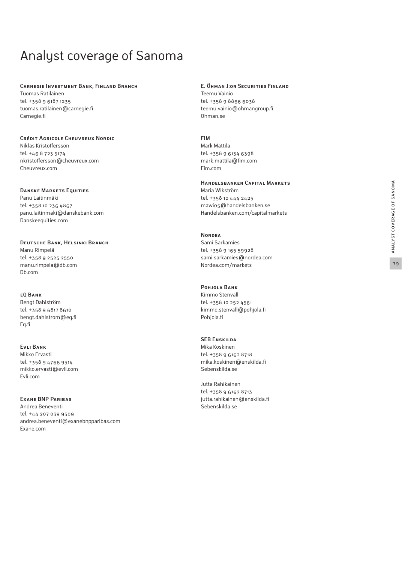# Analyst coverage of Sanoma

#### **Carnegie Investment Bank, Finland Branch**

Tuomas Ratilainen tel. +358 9 6187 1235 tuomas.ratilainen@carnegie.fi Carnegie.fi

#### **Crédit Agricole Cheuvreux Nordic**

Niklas Kristoffersson tel. +46 8 723 5174 nkristoffersson@cheuvreux.com Cheuvreux.com

### **Danske Markets Equities**

Panu Laitinmäki tel. +358 10 236 4867 panu.laitinmaki@danskebank.com Danskeequities.com

**Deutsche Bank, Helsinki Branch**  Manu Rimpelä tel. +358 9 2525 2550 manu.rimpela@db.com Db.com

#### **eQ Bank**

Bengt Dahlström tel. +358 9 6817 8610 bengt.dahlstrom@eq.fi Eq.fi

# **Evli Bank**

Mikko Ervasti tel. +358 9 4766 9314 mikko.ervasti@evli.com Evli.com

# **Exane BNP Paribas**

Andrea Beneventi tel. +44 207 039 9509 andrea.beneventi@exanebnpparibas.com Exane.com

# **E. Öhman J:or Securities Finland**

Teemu Vainio tel. +358 9 8866 6038 teemu.vainio@ohmangroup.fi Ohman.se

#### **FIM**

Mark Mattila tel. +358 9 6134 6398 mark.mattila@fim.com Fim.com

# **Handelsbanken Capital Markets**

Maria Wikström tel. +358 10 444 2425 mawi05@handelsbanken.se Handelsbanken.com/capitalmarkets

#### **Nordea**

Sami Sarkamies tel. +358 9 165 59928 sami.sarkamies@nordea.com Nordea.com/markets

# **Pohjola Bank**

Kimmo Stenvall tel. +358 10 252 4561 kimmo.stenvall@pohjola.fi Pohjola.fi

#### **SEB Enskilda**

Mika Koskinen tel. +358 9 6162 8718 mika.koskinen@enskilda.fi Sebenskilda.se

Jutta Rahikainen tel. +358 9 6162 8713 jutta.rahikainen@enskilda.fi Sebenskilda.se